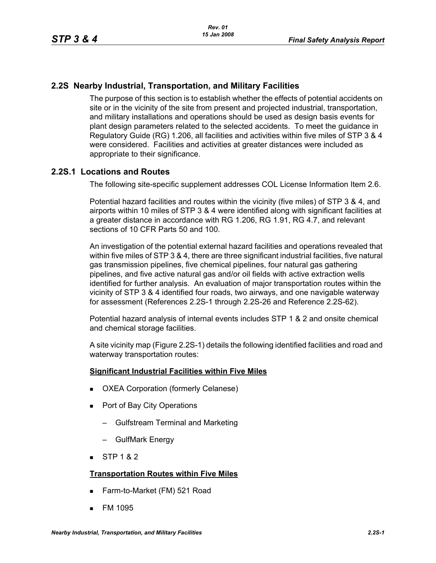#### **2.2S Nearby Industrial, Transportation, and Military Facilities**

The purpose of this section is to establish whether the effects of potential accidents on site or in the vicinity of the site from present and projected industrial, transportation, and military installations and operations should be used as design basis events for plant design parameters related to the selected accidents. To meet the guidance in Regulatory Guide (RG) 1.206, all facilities and activities within five miles of STP 3 & 4 were considered. Facilities and activities at greater distances were included as appropriate to their significance.

#### <span id="page-0-0"></span>**2.2S.1 Locations and Routes**

The following site-specific supplement addresses COL License Information Item 2.6.

Potential hazard facilities and routes within the vicinity (five miles) of STP 3 & 4, and airports within 10 miles of STP 3 & 4 were identified along with significant facilities at a greater distance in accordance with RG 1.206, RG 1.91, RG 4.7, and relevant sections of 10 CFR Parts 50 and 100.

An investigation of the potential external hazard facilities and operations revealed that within five miles of STP 3 & 4, there are three significant industrial facilities, five natural gas transmission pipelines, five chemical pipelines, four natural gas gathering pipelines, and five active natural gas and/or oil fields with active extraction wells identified for further analysis. An evaluation of major transportation routes within the vicinity of STP 3 & 4 identified four roads, two airways, and one navigable waterway for assessment (References [2.2S-1](#page-25-0) through [2.2S-26](#page-27-0) and Reference [2.2S-62](#page-30-0)).

Potential hazard analysis of internal events includes STP 1 & 2 and onsite chemical and chemical storage facilities.

A site vicinity map (Figure [2.2S-1\)](#page-62-0) details the following identified facilities and road and waterway transportation routes:

#### **Significant Industrial Facilities within Five Miles**

- OXEA Corporation (formerly Celanese)
- Port of Bay City Operations
	- Gulfstream Terminal and Marketing
	- GulfMark Energy
- $STP 1 & 2$

#### **Transportation Routes within Five Miles**

- Farm-to-Market (FM) 521 Road
- **FM 1095**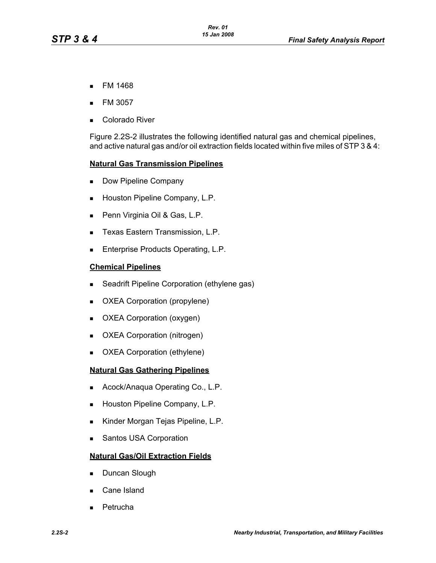- **FM 1468**
- FM 3057
- Colorado River

Figure [2.2S-2](#page-63-0) illustrates the following identified natural gas and chemical pipelines, and active natural gas and/or oil extraction fields located within five miles of STP 3 & 4:

#### **Natural Gas Transmission Pipelines**

- Dow Pipeline Company
- **Houston Pipeline Company, L.P.**
- Penn Virginia Oil & Gas, L.P.
- **Texas Eastern Transmission, L.P.**
- **Enterprise Products Operating, L.P.**

#### **Chemical Pipelines**

- **Seadrift Pipeline Corporation (ethylene gas)**
- **DXEA Corporation (propylene)**
- **DXEA Corporation (oxygen)**
- **DIMEDA** Corporation (nitrogen)
- **DXEA Corporation (ethylene)**

#### **Natural Gas Gathering Pipelines**

- **Acock/Anaqua Operating Co., L.P.**
- **Houston Pipeline Company, L.P.**
- Kinder Morgan Tejas Pipeline, L.P.
- Santos USA Corporation

#### **Natural Gas/Oil Extraction Fields**

- Duncan Slough
- Cane Island
- **Petrucha**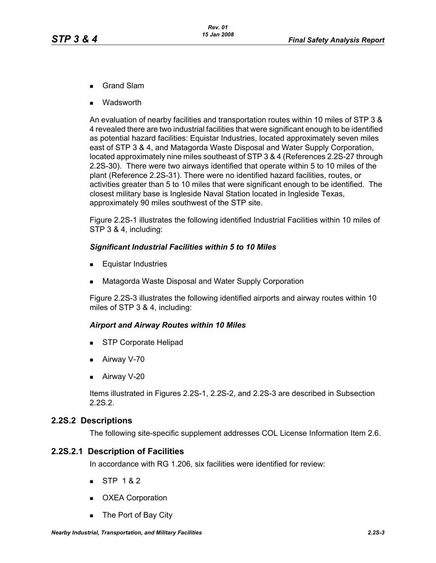- Grand Slam
- Wadsworth

An evaluation of nearby facilities and transportation routes within 10 miles of STP 3 & 4 revealed there are two industrial facilities that were significant enough to be identified as potential hazard facilities: Equistar Industries, located approximately seven miles east of STP 3 & 4, and Matagorda Waste Disposal and Water Supply Corporation, located approximately nine miles southeast of STP 3 & 4 (References [2.2S-27](#page-27-1) through [2.2S-30](#page-27-2)). There were two airways identified that operate within 5 to 10 miles of the plant (Reference [2.2S-31\)](#page-27-3). There were no identified hazard facilities, routes, or activities greater than 5 to 10 miles that were significant enough to be identified. The closest military base is Ingleside Naval Station located in Ingleside Texas, approximately 90 miles southwest of the STP site.

Figure [2.2S-1](#page-62-0) illustrates the following identified Industrial Facilities within 10 miles of STP 3 & 4, including:

#### *Significant Industrial Facilities within 5 to 10 Miles*

- **Equistar Industries**
- Matagorda Waste Disposal and Water Supply Corporation

Figure [2.2S-3](#page-64-0) illustrates the following identified airports and airway routes within 10 miles of STP 3 & 4, including:

#### *Airport and Airway Routes within 10 Miles*

- **STP Corporate Helipad**
- Airway V-70
- **Airway V-20**

Items illustrated in Figures [2.2S-1,](#page-62-0) [2.2S-2](#page-63-0), and [2.2S-3](#page-64-0) are described in Subsection [2.2S.2.](#page-2-0)

#### <span id="page-2-0"></span>**2.2S.2 Descriptions**

The following site-specific supplement addresses COL License Information Item 2.6.

#### **2.2S.2.1 Description of Facilities**

In accordance with RG 1.206, six facilities were identified for review:

- $STP 182$
- **DXEA Corporation**
- The Port of Bay City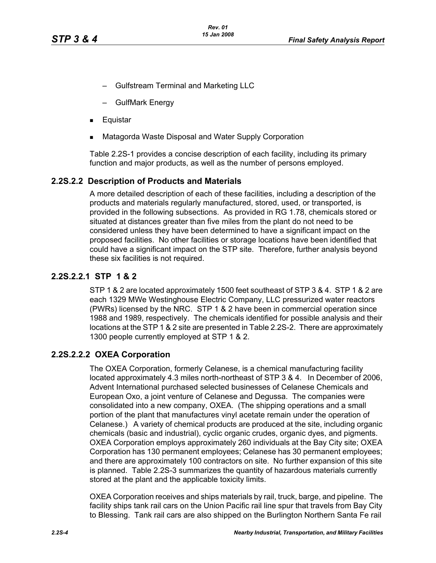- Gulfstream Terminal and Marketing LLC
- GulfMark Energy
- Equistar
- Matagorda Waste Disposal and Water Supply Corporation

Table [2.2S-1](#page-31-0) provides a concise description of each facility, including its primary function and major products, as well as the number of persons employed.

#### <span id="page-3-0"></span>**2.2S.2.2 Description of Products and Materials**

A more detailed description of each of these facilities, including a description of the products and materials regularly manufactured, stored, used, or transported, is provided in the following subsections. As provided in RG 1.78, chemicals stored or situated at distances greater than five miles from the plant do not need to be considered unless they have been determined to have a significant impact on the proposed facilities. No other facilities or storage locations have been identified that could have a significant impact on the STP site. Therefore, further analysis beyond these six facilities is not required.

#### **2.2S.2.2.1 STP 1 & 2**

STP 1 & 2 are located approximately 1500 feet southeast of STP 3 & 4. STP 1 & 2 are each 1329 MWe Westinghouse Electric Company, LLC pressurized water reactors (PWRs) licensed by the NRC. STP 1 & 2 have been in commercial operation since 1988 and 1989, respectively. The chemicals identified for possible analysis and their locations at the STP 1 & 2 site are presented in Table [2.2S-2](#page-32-0). There are approximately 1300 people currently employed at STP 1 & 2.

#### **2.2S.2.2.2 OXEA Corporation**

The OXEA Corporation, formerly Celanese, is a chemical manufacturing facility located approximately 4.3 miles north-northeast of STP 3 & 4. In December of 2006, Advent International purchased selected businesses of Celanese Chemicals and European Oxo, a joint venture of Celanese and Degussa. The companies were consolidated into a new company, OXEA. (The shipping operations and a small portion of the plant that manufactures vinyl acetate remain under the operation of Celanese.) A variety of chemical products are produced at the site, including organic chemicals (basic and industrial), cyclic organic crudes, organic dyes, and pigments. OXEA Corporation employs approximately 260 individuals at the Bay City site; OXEA Corporation has 130 permanent employees; Celanese has 30 permanent employees; and there are approximately 100 contractors on site. No further expansion of this site is planned. Table [2.2S-3](#page-34-0) summarizes the quantity of hazardous materials currently stored at the plant and the applicable toxicity limits.

OXEA Corporation receives and ships materials by rail, truck, barge, and pipeline. The facility ships tank rail cars on the Union Pacific rail line spur that travels from Bay City to Blessing. Tank rail cars are also shipped on the Burlington Northern Santa Fe rail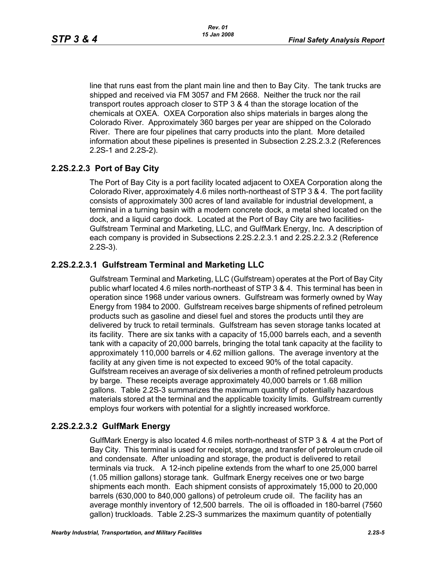line that runs east from the plant main line and then to Bay City. The tank trucks are shipped and received via FM 3057 and FM 2668. Neither the truck nor the rail transport routes approach closer to STP 3 & 4 than the storage location of the chemicals at OXEA. OXEA Corporation also ships materials in barges along the Colorado River. Approximately 360 barges per year are shipped on the Colorado River. There are four pipelines that carry products into the plant. More detailed information about these pipelines is presented in Subsection [2.2S.2.3.2](#page-7-0) (References [2.2S-1](#page-25-0) and [2.2S-2](#page-25-1)).

## **2.2S.2.2.3 Port of Bay City**

The Port of Bay City is a port facility located adjacent to OXEA Corporation along the Colorado River, approximately 4.6 miles north-northeast of STP 3 & 4. The port facility consists of approximately 300 acres of land available for industrial development, a terminal in a turning basin with a modern concrete dock, a metal shed located on the dock, and a liquid cargo dock. Located at the Port of Bay City are two facilities-Gulfstream Terminal and Marketing, LLC, and GulfMark Energy, Inc. A description of each company is provided in Subsections [2.2S.2.2.3.1](#page-4-0) and [2.2S.2.2.3.2](#page-4-1) (Reference [2.2S-3](#page-25-2)).

## <span id="page-4-0"></span>**2.2S.2.2.3.1 Gulfstream Terminal and Marketing LLC**

Gulfstream Terminal and Marketing, LLC (Gulfstream) operates at the Port of Bay City public wharf located 4.6 miles north-northeast of STP 3 & 4. This terminal has been in operation since 1968 under various owners. Gulfstream was formerly owned by Way Energy from 1984 to 2000. Gulfstream receives barge shipments of refined petroleum products such as gasoline and diesel fuel and stores the products until they are delivered by truck to retail terminals. Gulfstream has seven storage tanks located at its facility. There are six tanks with a capacity of 15,000 barrels each, and a seventh tank with a capacity of 20,000 barrels, bringing the total tank capacity at the facility to approximately 110,000 barrels or 4.62 million gallons. The average inventory at the facility at any given time is not expected to exceed 90% of the total capacity. Gulfstream receives an average of six deliveries a month of refined petroleum products by barge. These receipts average approximately 40,000 barrels or 1.68 million gallons. Table [2.2S-3](#page-34-0) summarizes the maximum quantity of potentially hazardous materials stored at the terminal and the applicable toxicity limits. Gulfstream currently employs four workers with potential for a slightly increased workforce.

## <span id="page-4-1"></span>**2.2S.2.2.3.2 GulfMark Energy**

GulfMark Energy is also located 4.6 miles north-northeast of STP 3 & 4 at the Port of Bay City. This terminal is used for receipt, storage, and transfer of petroleum crude oil and condensate. After unloading and storage, the product is delivered to retail terminals via truck. A 12-inch pipeline extends from the wharf to one 25,000 barrel (1.05 million gallons) storage tank. Gulfmark Energy receives one or two barge shipments each month. Each shipment consists of approximately 15,000 to 20,000 barrels (630,000 to 840,000 gallons) of petroleum crude oil. The facility has an average monthly inventory of 12,500 barrels. The oil is offloaded in 180-barrel (7560 gallon) truckloads. Table [2.2S-3](#page-34-0) summarizes the maximum quantity of potentially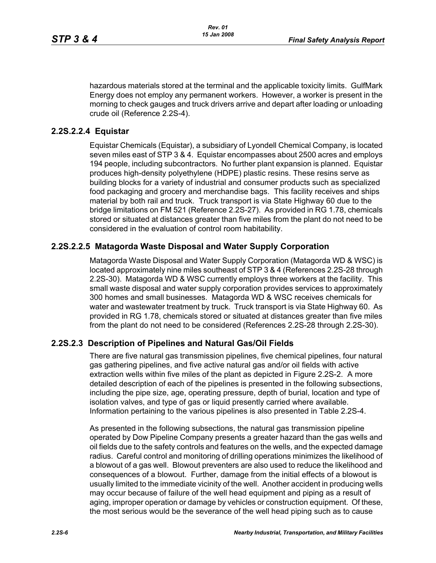hazardous materials stored at the terminal and the applicable toxicity limits. GulfMark Energy does not employ any permanent workers. However, a worker is present in the morning to check gauges and truck drivers arrive and depart after loading or unloading crude oil (Reference [2.2S-4](#page-25-3)).

#### **2.2S.2.2.4 Equistar**

Equistar Chemicals (Equistar), a subsidiary of Lyondell Chemical Company, is located seven miles east of STP 3 & 4. Equistar encompasses about 2500 acres and employs 194 people, including subcontractors. No further plant expansion is planned. Equistar produces high-density polyethylene (HDPE) plastic resins. These resins serve as building blocks for a variety of industrial and consumer products such as specialized food packaging and grocery and merchandise bags. This facility receives and ships material by both rail and truck. Truck transport is via State Highway 60 due to the bridge limitations on FM 521 (Reference [2.2S-27\)](#page-27-1). As provided in RG 1.78, chemicals stored or situated at distances greater than five miles from the plant do not need to be considered in the evaluation of control room habitability.

#### **2.2S.2.2.5 Matagorda Waste Disposal and Water Supply Corporation**

Matagorda Waste Disposal and Water Supply Corporation (Matagorda WD & WSC) is located approximately nine miles southeast of STP 3 & 4 (References [2.2S-28](#page-27-4) through [2.2S-30](#page-27-2)). Matagorda WD & WSC currently employs three workers at the facility. This small waste disposal and water supply corporation provides services to approximately 300 homes and small businesses. Matagorda WD & WSC receives chemicals for water and wastewater treatment by truck. Truck transport is via State Highway 60. As provided in RG 1.78, chemicals stored or situated at distances greater than five miles from the plant do not need to be considered (References [2.2S-28](#page-27-4) through [2.2S-30\)](#page-27-2).

#### **2.2S.2.3 Description of Pipelines and Natural Gas/Oil Fields**

There are five natural gas transmission pipelines, five chemical pipelines, four natural gas gathering pipelines, and five active natural gas and/or oil fields with active extraction wells within five miles of the plant as depicted in Figure [2.2S-2.](#page-63-0) A more detailed description of each of the pipelines is presented in the following subsections, including the pipe size, age, operating pressure, depth of burial, location and type of isolation valves, and type of gas or liquid presently carried where available. Information pertaining to the various pipelines is also presented in Table [2.2S-4](#page-37-0).

As presented in the following subsections, the natural gas transmission pipeline operated by Dow Pipeline Company presents a greater hazard than the gas wells and oil fields due to the safety controls and features on the wells, and the expected damage radius. Careful control and monitoring of drilling operations minimizes the likelihood of a blowout of a gas well. Blowout preventers are also used to reduce the likelihood and consequences of a blowout. Further, damage from the initial effects of a blowout is usually limited to the immediate vicinity of the well. Another accident in producing wells may occur because of failure of the well head equipment and piping as a result of aging, improper operation or damage by vehicles or construction equipment. Of these, the most serious would be the severance of the well head piping such as to cause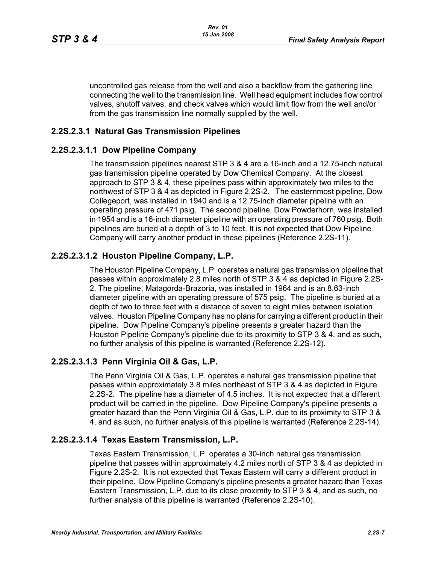uncontrolled gas release from the well and also a backflow from the gathering line connecting the well to the transmission line. Well head equipment includes flow control valves, shutoff valves, and check valves which would limit flow from the well and/or from the gas transmission line normally supplied by the well.

#### **2.2S.2.3.1 Natural Gas Transmission Pipelines**

#### **2.2S.2.3.1.1 Dow Pipeline Company**

The transmission pipelines nearest STP 3 & 4 are a 16-inch and a 12.75-inch natural gas transmission pipeline operated by Dow Chemical Company. At the closest approach to STP 3 & 4, these pipelines pass within approximately two miles to the northwest of STP 3 & 4 as depicted in Figure [2.2S-2.](#page-63-0) The easternmost pipeline, Dow Collegeport, was installed in 1940 and is a 12.75-inch diameter pipeline with an operating pressure of 471 psig. The second pipeline, Dow Powderhorn, was installed in 1954 and is a 16-inch diameter pipeline with an operating pressure of 760 psig. Both pipelines are buried at a depth of 3 to 10 feet. It is not expected that Dow Pipeline Company will carry another product in these pipelines (Reference [2.2S-11\)](#page-26-0).

#### **2.2S.2.3.1.2 Houston Pipeline Company, L.P.**

The Houston Pipeline Company, L.P. operates a natural gas transmission pipeline that passes within approximately 2.8 miles north of STP 3 & 4 as depicted in Figure [2.2S-](#page-63-0)[2](#page-63-0). The pipeline, Matagorda-Brazoria, was installed in 1964 and is an 8.63-inch diameter pipeline with an operating pressure of 575 psig. The pipeline is buried at a depth of two to three feet with a distance of seven to eight miles between isolation valves. Houston Pipeline Company has no plans for carrying a different product in their pipeline. Dow Pipeline Company's pipeline presents a greater hazard than the Houston Pipeline Company's pipeline due to its proximity to STP 3 & 4, and as such, no further analysis of this pipeline is warranted (Reference [2.2S-12\)](#page-26-1).

#### **2.2S.2.3.1.3 Penn Virginia Oil & Gas, L.P.**

The Penn Virginia Oil & Gas, L.P. operates a natural gas transmission pipeline that passes within approximately 3.8 miles northeast of STP 3 & 4 as depicted in Figure [2.2S-2](#page-63-0). The pipeline has a diameter of 4.5 inches. It is not expected that a different product will be carried in the pipeline. Dow Pipeline Company's pipeline presents a greater hazard than the Penn Virginia Oil & Gas, L.P. due to its proximity to STP 3 & 4, and as such, no further analysis of this pipeline is warranted (Reference [2.2S-14](#page-26-2)).

#### **2.2S.2.3.1.4 Texas Eastern Transmission, L.P.**

Texas Eastern Transmission, L.P. operates a 30-inch natural gas transmission pipeline that passes within approximately 4.2 miles north of STP 3 & 4 as depicted in Figure [2.2S-2.](#page-63-0) It is not expected that Texas Eastern will carry a different product in their pipeline. Dow Pipeline Company's pipeline presents a greater hazard than Texas Eastern Transmission, L.P. due to its close proximity to STP 3 & 4, and as such, no further analysis of this pipeline is warranted (Reference [2.2S-10\)](#page-26-3).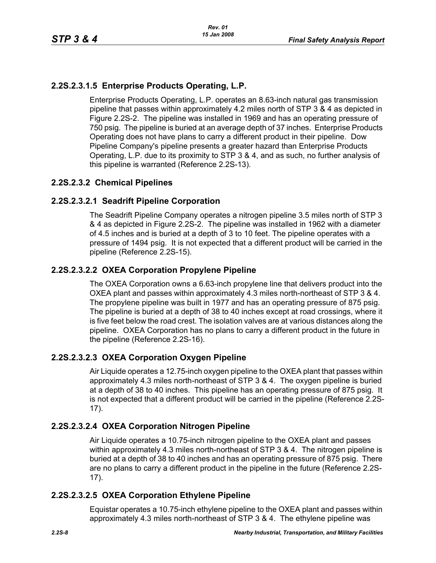## **2.2S.2.3.1.5 Enterprise Products Operating, L.P.**

Enterprise Products Operating, L.P. operates an 8.63-inch natural gas transmission pipeline that passes within approximately 4.2 miles north of STP 3 & 4 as depicted in Figure [2.2S-2.](#page-63-0) The pipeline was installed in 1969 and has an operating pressure of 750 psig. The pipeline is buried at an average depth of 37 inches. Enterprise Products Operating does not have plans to carry a different product in their pipeline. Dow Pipeline Company's pipeline presents a greater hazard than Enterprise Products Operating, L.P. due to its proximity to STP 3 & 4, and as such, no further analysis of this pipeline is warranted (Reference [2.2S-13\)](#page-26-4).

#### <span id="page-7-0"></span>**2.2S.2.3.2 Chemical Pipelines**

## **2.2S.2.3.2.1 Seadrift Pipeline Corporation**

The Seadrift Pipeline Company operates a nitrogen pipeline 3.5 miles north of STP 3 & 4 as depicted in Figure [2.2S-2.](#page-63-0) The pipeline was installed in 1962 with a diameter of 4.5 inches and is buried at a depth of 3 to 10 feet. The pipeline operates with a pressure of 1494 psig. It is not expected that a different product will be carried in the pipeline (Reference [2.2S-15\)](#page-26-5).

## **2.2S.2.3.2.2 OXEA Corporation Propylene Pipeline**

The OXEA Corporation owns a 6.63-inch propylene line that delivers product into the OXEA plant and passes within approximately 4.3 miles north-northeast of STP 3 & 4. The propylene pipeline was built in 1977 and has an operating pressure of 875 psig. The pipeline is buried at a depth of 38 to 40 inches except at road crossings, where it is five feet below the road crest. The isolation valves are at various distances along the pipeline. OXEA Corporation has no plans to carry a different product in the future in the pipeline (Reference [2.2S-16](#page-26-6)).

## **2.2S.2.3.2.3 OXEA Corporation Oxygen Pipeline**

Air Liquide operates a 12.75-inch oxygen pipeline to the OXEA plant that passes within approximately 4.3 miles north-northeast of STP 3 & 4. The oxygen pipeline is buried at a depth of 38 to 40 inches. This pipeline has an operating pressure of 875 psig. It is not expected that a different product will be carried in the pipeline (Reference [2.2S-](#page-26-7)[17](#page-26-7)).

## **2.2S.2.3.2.4 OXEA Corporation Nitrogen Pipeline**

Air Liquide operates a 10.75-inch nitrogen pipeline to the OXEA plant and passes within approximately 4.3 miles north-northeast of STP 3 & 4. The nitrogen pipeline is buried at a depth of 38 to 40 inches and has an operating pressure of 875 psig. There are no plans to carry a different product in the pipeline in the future (Reference [2.2S-](#page-26-7)[17](#page-26-7)).

#### **2.2S.2.3.2.5 OXEA Corporation Ethylene Pipeline**

Equistar operates a 10.75-inch ethylene pipeline to the OXEA plant and passes within approximately 4.3 miles north-northeast of STP 3 & 4. The ethylene pipeline was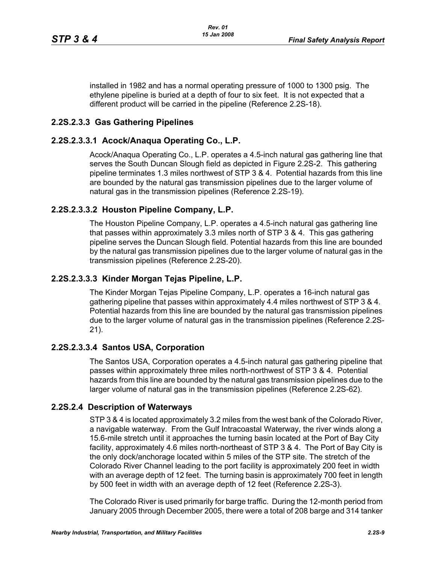installed in 1982 and has a normal operating pressure of 1000 to 1300 psig. The ethylene pipeline is buried at a depth of four to six feet. It is not expected that a different product will be carried in the pipeline (Reference [2.2S-18](#page-26-8)).

## **2.2S.2.3.3 Gas Gathering Pipelines**

## **2.2S.2.3.3.1 Acock/Anaqua Operating Co., L.P.**

Acock/Anaqua Operating Co., L.P. operates a 4.5-inch natural gas gathering line that serves the South Duncan Slough field as depicted in Figure [2.2S-2](#page-63-0). This gathering pipeline terminates 1.3 miles northwest of STP 3 & 4. Potential hazards from this line are bounded by the natural gas transmission pipelines due to the larger volume of natural gas in the transmission pipelines (Reference [2.2S-19](#page-26-9)).

#### **2.2S.2.3.3.2 Houston Pipeline Company, L.P.**

The Houston Pipeline Company, L.P. operates a 4.5-inch natural gas gathering line that passes within approximately 3.3 miles north of STP 3 & 4. This gas gathering pipeline serves the Duncan Slough field. Potential hazards from this line are bounded by the natural gas transmission pipelines due to the larger volume of natural gas in the transmission pipelines (Reference [2.2S-20\)](#page-26-10).

## **2.2S.2.3.3.3 Kinder Morgan Tejas Pipeline, L.P.**

The Kinder Morgan Tejas Pipeline Company, L.P. operates a 16-inch natural gas gathering pipeline that passes within approximately 4.4 miles northwest of STP 3 & 4. Potential hazards from this line are bounded by the natural gas transmission pipelines due to the larger volume of natural gas in the transmission pipelines (Reference [2.2S-](#page-27-5)[21](#page-27-5)).

## **2.2S.2.3.3.4 Santos USA, Corporation**

The Santos USA, Corporation operates a 4.5-inch natural gas gathering pipeline that passes within approximately three miles north-northwest of STP 3 & 4. Potential hazards from this line are bounded by the natural gas transmission pipelines due to the larger volume of natural gas in the transmission pipelines (Reference [2.2S-62](#page-30-0)).

#### **2.2S.2.4 Description of Waterways**

STP 3 & 4 is located approximately 3.2 miles from the west bank of the Colorado River, a navigable waterway. From the Gulf Intracoastal Waterway, the river winds along a 15.6-mile stretch until it approaches the turning basin located at the Port of Bay City facility, approximately 4.6 miles north-northeast of STP 3 & 4. The Port of Bay City is the only dock/anchorage located within 5 miles of the STP site. The stretch of the Colorado River Channel leading to the port facility is approximately 200 feet in width with an average depth of 12 feet. The turning basin is approximately 700 feet in length by 500 feet in width with an average depth of 12 feet (Reference [2.2S-3\)](#page-25-2).

The Colorado River is used primarily for barge traffic. During the 12-month period from January 2005 through December 2005, there were a total of 208 barge and 314 tanker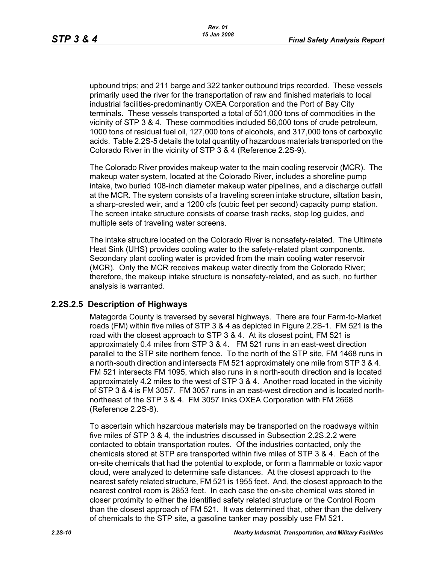upbound trips; and 211 barge and 322 tanker outbound trips recorded. These vessels primarily used the river for the transportation of raw and finished materials to local industrial facilities-predominantly OXEA Corporation and the Port of Bay City terminals. These vessels transported a total of 501,000 tons of commodities in the vicinity of STP 3 & 4. These commodities included 56,000 tons of crude petroleum, 1000 tons of residual fuel oil, 127,000 tons of alcohols, and 317,000 tons of carboxylic acids. Table 2.2S-5 details the total quantity of hazardous materials transported on the Colorado River in the vicinity of STP 3 & 4 (Reference [2.2S-9](#page-26-11)).

The Colorado River provides makeup water to the main cooling reservoir (MCR). The makeup water system, located at the Colorado River, includes a shoreline pump intake, two buried 108-inch diameter makeup water pipelines, and a discharge outfall at the MCR. The system consists of a traveling screen intake structure, siltation basin, a sharp-crested weir, and a 1200 cfs (cubic feet per second) capacity pump station. The screen intake structure consists of coarse trash racks, stop log guides, and multiple sets of traveling water screens.

The intake structure located on the Colorado River is nonsafety-related. The Ultimate Heat Sink (UHS) provides cooling water to the safety-related plant components. Secondary plant cooling water is provided from the main cooling water reservoir (MCR). Only the MCR receives makeup water directly from the Colorado River; therefore, the makeup intake structure is nonsafety-related, and as such, no further analysis is warranted.

#### **2.2S.2.5 Description of Highways**

Matagorda County is traversed by several highways. There are four Farm-to-Market roads (FM) within five miles of STP 3 & 4 as depicted in Figure [2.2S-1](#page-62-0). FM 521 is the road with the closest approach to STP 3 & 4. At its closest point, FM 521 is approximately 0.4 miles from STP 3 & 4. FM 521 runs in an east-west direction parallel to the STP site northern fence. To the north of the STP site, FM 1468 runs in a north-south direction and intersects FM 521 approximately one mile from STP 3 & 4. FM 521 intersects FM 1095, which also runs in a north-south direction and is located approximately 4.2 miles to the west of STP 3 & 4. Another road located in the vicinity of STP 3 & 4 is FM 3057. FM 3057 runs in an east-west direction and is located northnortheast of the STP 3 & 4. FM 3057 links OXEA Corporation with FM 2668 (Reference [2.2S-8\)](#page-25-4).

To ascertain which hazardous materials may be transported on the roadways within five miles of STP 3 & 4, the industries discussed in Subsection [2.2S.2.2](#page-3-0) were contacted to obtain transportation routes. Of the industries contacted, only the chemicals stored at STP are transported within five miles of STP 3 & 4. Each of the on-site chemicals that had the potential to explode, or form a flammable or toxic vapor cloud, were analyzed to determine safe distances. At the closest approach to the nearest safety related structure, FM 521 is 1955 feet. And, the closest approach to the nearest control room is 2853 feet. In each case the on-site chemical was stored in closer proximity to either the identified safety related structure or the Control Room than the closest approach of FM 521. It was determined that, other than the delivery of chemicals to the STP site, a gasoline tanker may possibly use FM 521.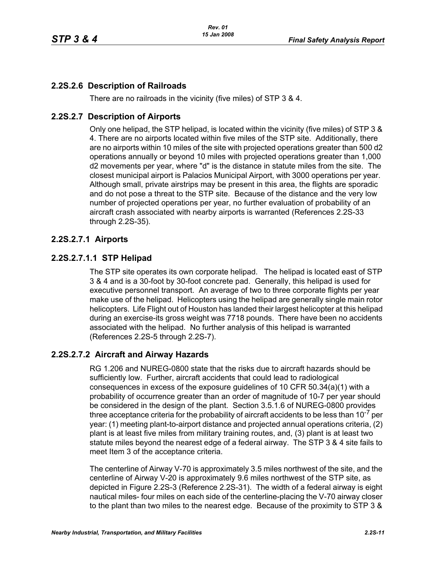## **2.2S.2.6 Description of Railroads**

There are no railroads in the vicinity (five miles) of STP 3 & 4.

#### **2.2S.2.7 Description of Airports**

Only one helipad, the STP helipad, is located within the vicinity (five miles) of STP 3 & 4. There are no airports located within five miles of the STP site. Additionally, there are no airports within 10 miles of the site with projected operations greater than 500 d2 operations annually or beyond 10 miles with projected operations greater than 1,000 d2 movements per year, where "d" is the distance in statute miles from the site. The closest municipal airport is Palacios Municipal Airport, with 3000 operations per year. Although small, private airstrips may be present in this area, the flights are sporadic and do not pose a threat to the STP site. Because of the distance and the very low number of projected operations per year, no further evaluation of probability of an aircraft crash associated with nearby airports is warranted (References [2.2S-33](#page-27-6) through [2.2S-35\)](#page-28-0).

#### **2.2S.2.7.1 Airports**

#### **2.2S.2.7.1.1 STP Helipad**

The STP site operates its own corporate helipad. The helipad is located east of STP 3 & 4 and is a 30-foot by 30-foot concrete pad. Generally, this helipad is used for executive personnel transport. An average of two to three corporate flights per year make use of the helipad. Helicopters using the helipad are generally single main rotor helicopters. Life Flight out of Houston has landed their largest helicopter at this helipad during an exercise-its gross weight was 7718 pounds. There have been no accidents associated with the helipad. No further analysis of this helipad is warranted (References [2.2S-5](#page-25-5) through [2.2S-7\)](#page-25-6).

#### **2.2S.2.7.2 Aircraft and Airway Hazards**

RG 1.206 and NUREG-0800 state that the risks due to aircraft hazards should be sufficiently low. Further, aircraft accidents that could lead to radiological consequences in excess of the exposure guidelines of 10 CFR 50.34(a)(1) with a probability of occurrence greater than an order of magnitude of 10-7 per year should be considered in the design of the plant. Section 3.5.1.6 of NUREG-0800 provides three acceptance criteria for the probability of aircraft accidents to be less than  $10^{-7}$  per year: (1) meeting plant-to-airport distance and projected annual operations criteria, (2) plant is at least five miles from military training routes, and, (3) plant is at least two statute miles beyond the nearest edge of a federal airway. The STP 3 & 4 site fails to meet Item 3 of the acceptance criteria.

The centerline of Airway V-70 is approximately 3.5 miles northwest of the site, and the centerline of Airway V-20 is approximately 9.6 miles northwest of the STP site, as depicted in Figure [2.2S-3](#page-64-0) (Reference [2.2S-31\)](#page-27-3). The width of a federal airway is eight nautical miles- four miles on each side of the centerline-placing the V-70 airway closer to the plant than two miles to the nearest edge. Because of the proximity to STP 3 &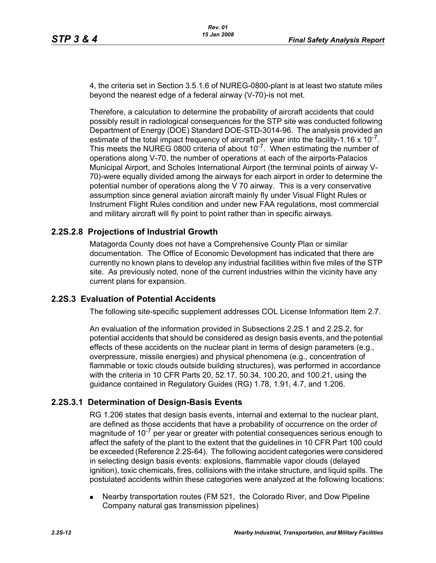4, the criteria set in Section 3.5.1.6 of NUREG-0800-plant is at least two statute miles beyond the nearest edge of a federal airway (V-70)-is not met.

Therefore, a calculation to determine the probability of aircraft accidents that could possibly result in radiological consequences for the STP site was conducted following Department of Energy (DOE) Standard DOE-STD-3014-96. The analysis provided an estimate of the total impact frequency of aircraft per year into the facility-1.16  $\times$  10<sup>- $\prime$ </sup>. This meets the NUREG 0800 criteria of about  $10^{-7}$ . When estimating the number of operations along V-70, the number of operations at each of the airports-Palacios Municipal Airport, and Scholes International Airport (the terminal points of airway V-70)-were equally divided among the airways for each airport in order to determine the potential number of operations along the V 70 airway. This is a very conservative assumption since general aviation aircraft mainly fly under Visual Flight Rules or Instrument Flight Rules condition and under new FAA regulations, most commercial and military aircraft will fly point to point rather than in specific airways.

#### **2.2S.2.8 Projections of Industrial Growth**

Matagorda County does not have a Comprehensive County Plan or similar documentation. The Office of Economic Development has indicated that there are currently no known plans to develop any industrial facilities within five miles of the STP site. As previously noted, none of the current industries within the vicinity have any current plans for expansion.

#### **2.2S.3 Evaluation of Potential Accidents**

The following site-specific supplement addresses COL License Information Item 2.7.

An evaluation of the information provided in Subsections [2.2S.1](#page-0-0) and [2.2S.2](#page-2-0), for potential accidents that should be considered as design basis events, and the potential effects of these accidents on the nuclear plant in terms of design parameters (e.g., overpressure, missile energies) and physical phenomena (e.g., concentration of flammable or toxic clouds outside building structures), was performed in accordance with the criteria in 10 CFR Parts 20, 52.17, 50.34, 100.20, and 100.21, using the guidance contained in Regulatory Guides (RG) 1.78, 1.91, 4.7, and 1.206.

#### **2.2S.3.1 Determination of Design-Basis Events**

RG 1.206 states that design basis events, internal and external to the nuclear plant, are defined as those accidents that have a probability of occurrence on the order of magnitude of  $10^{-7}$  per year or greater with potential consequences serious enough to affect the safety of the plant to the extent that the guidelines in 10 CFR Part 100 could be exceeded (Reference [2.2S-64](#page-30-1)). The following accident categories were considered in selecting design basis events: explosions, flammable vapor clouds (delayed ignition), toxic chemicals, fires, collisions with the intake structure, and liquid spills. The postulated accidents within these categories were analyzed at the following locations:

 Nearby transportation routes (FM 521, the Colorado River, and Dow Pipeline Company natural gas transmission pipelines)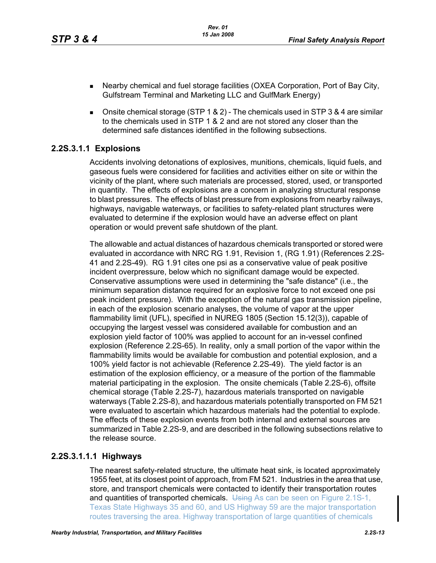- Nearby chemical and fuel storage facilities (OXEA Corporation, Port of Bay City, Gulfstream Terminal and Marketing LLC and GulfMark Energy)
- **Donsite chemical storage (STP 1 & 2) The chemicals used in STP 3 & 4 are similar** to the chemicals used in STP 1 & 2 and are not stored any closer than the determined safe distances identified in the following subsections.

#### <span id="page-12-0"></span>**2.2S.3.1.1 Explosions**

Accidents involving detonations of explosives, munitions, chemicals, liquid fuels, and gaseous fuels were considered for facilities and activities either on site or within the vicinity of the plant, where such materials are processed, stored, used, or transported in quantity. The effects of explosions are a concern in analyzing structural response to blast pressures. The effects of blast pressure from explosions from nearby railways, highways, navigable waterways, or facilities to safety-related plant structures were evaluated to determine if the explosion would have an adverse effect on plant operation or would prevent safe shutdown of the plant.

The allowable and actual distances of hazardous chemicals transported or stored were evaluated in accordance with NRC RG 1.91, Revision 1, (RG 1.91) (References [2.2S-](#page-28-1)[41](#page-28-1) and [2.2S-49](#page-29-0)). RG 1.91 cites one psi as a conservative value of peak positive incident overpressure, below which no significant damage would be expected. Conservative assumptions were used in determining the "safe distance" (i.e., the minimum separation distance required for an explosive force to not exceed one psi peak incident pressure). With the exception of the natural gas transmission pipeline, in each of the explosion scenario analyses, the volume of vapor at the upper flammability limit (UFL), specified in NUREG 1805 (Section 15.12(3)), capable of occupying the largest vessel was considered available for combustion and an explosion yield factor of 100% was applied to account for an in-vessel confined explosion (Reference [2.2S-65](#page-30-2)). In reality, only a small portion of the vapor within the flammability limits would be available for combustion and potential explosion, and a 100% yield factor is not achievable (Reference [2.2S-49](#page-29-0)). The yield factor is an estimation of the explosion efficiency, or a measure of the portion of the flammable material participating in the explosion. The onsite chemicals (Table [2.2S-6\)](#page-39-0), offsite chemical storage (Table [2.2S-7\)](#page-41-0), hazardous materials transported on navigable waterways (Table [2.2S-8](#page-51-0)), and hazardous materials potentially transported on FM 521 were evaluated to ascertain which hazardous materials had the potential to explode. The effects of these explosion events from both internal and external sources are summarized in Table [2.2S-9,](#page-53-0) and are described in the following subsections relative to the release source.

#### **2.2S.3.1.1.1 Highways**

The nearest safety-related structure, the ultimate heat sink, is located approximately 1955 feet, at its closest point of approach, from FM 521. Industries in the area that use, store, and transport chemicals were contacted to identify their transportation routes and quantities of transported chemicals. Using As can be seen on Figure 2.1S-1, Texas State Highways 35 and 60, and US Highway 59 are the major transportation routes traversing the area. Highway transportation of large quantities of chemicals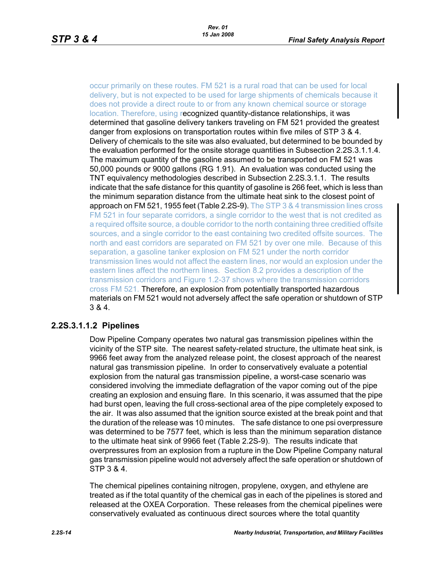occur primarily on these routes. FM 521 is a rural road that can be used for local delivery, but is not expected to be used for large shipments of chemicals because it does not provide a direct route to or from any known chemical source or storage location. Therefore, using recognized quantity-distance relationships, it was determined that gasoline delivery tankers traveling on FM 521 provided the greatest danger from explosions on transportation routes within five miles of STP 3 & 4. Delivery of chemicals to the site was also evaluated, but determined to be bounded by the evaluation performed for the onsite storage quantities in Subsection [2.2S.3.1.1.4.](#page-14-0) The maximum quantity of the gasoline assumed to be transported on FM 521 was 50,000 pounds or 9000 gallons (RG 1.91). An evaluation was conducted using the TNT equivalency methodologies described in Subsection [2.2S.3.1.1.](#page-12-0) The results indicate that the safe distance for this quantity of gasoline is 266 feet, which is less than the minimum separation distance from the ultimate heat sink to the closest point of approach on FM 521, 1955 feet (Table [2.2S-9](#page-53-0)). The STP 3 & 4 transmission lines cross FM 521 in four separate corridors, a single corridor to the west that is not credited as a required offsite source, a double corridor to the north containing three creditied offsite sources, and a single corridor to the east containing two credited offsite sources. The north and east corridors are separated on FM 521 by over one mile. Because of this separation, a gasoline tanker explosion on FM 521 under the north corridor transmission lines would not affect the eastern lines, nor would an explosion under the eastern lines affect the northern lines. Section 8.2 provides a description of the transmission corridors and Figure 1.2-37 shows where the transmission corridors cross FM 521. Therefore, an explosion from potentially transported hazardous materials on FM 521 would not adversely affect the safe operation or shutdown of STP 3 & 4.

#### <span id="page-13-0"></span>**2.2S.3.1.1.2 Pipelines**

Dow Pipeline Company operates two natural gas transmission pipelines within the vicinity of the STP site. The nearest safety-related structure, the ultimate heat sink, is 9966 feet away from the analyzed release point, the closest approach of the nearest natural gas transmission pipeline. In order to conservatively evaluate a potential explosion from the natural gas transmission pipeline, a worst-case scenario was considered involving the immediate deflagration of the vapor coming out of the pipe creating an explosion and ensuing flare. In this scenario, it was assumed that the pipe had burst open, leaving the full cross-sectional area of the pipe completely exposed to the air. It was also assumed that the ignition source existed at the break point and that the duration of the release was 10 minutes. The safe distance to one psi overpressure was determined to be 7577 feet, which is less than the minimum separation distance to the ultimate heat sink of 9966 feet (Table [2.2S-9\)](#page-53-0). The results indicate that overpressures from an explosion from a rupture in the Dow Pipeline Company natural gas transmission pipeline would not adversely affect the safe operation or shutdown of STP 3 & 4.

The chemical pipelines containing nitrogen, propylene, oxygen, and ethylene are treated as if the total quantity of the chemical gas in each of the pipelines is stored and released at the OXEA Corporation. These releases from the chemical pipelines were conservatively evaluated as continuous direct sources where the total quantity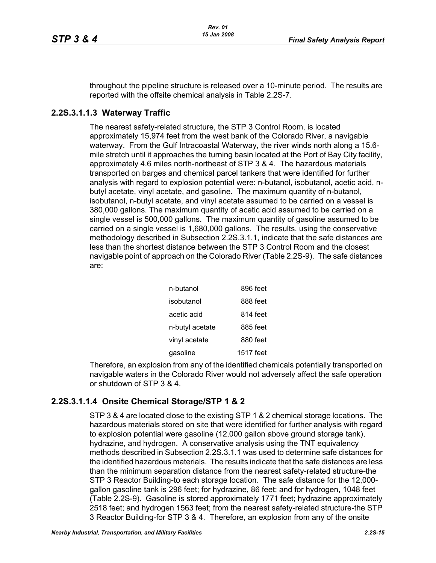throughout the pipeline structure is released over a 10-minute period. The results are reported with the offsite chemical analysis in Table [2.2S-7.](#page-41-0)

#### **2.2S.3.1.1.3 Waterway Traffic**

The nearest safety-related structure, the STP 3 Control Room, is located approximately 15,974 feet from the west bank of the Colorado River, a navigable waterway. From the Gulf Intracoastal Waterway, the river winds north along a 15.6 mile stretch until it approaches the turning basin located at the Port of Bay City facility, approximately 4.6 miles north-northeast of STP 3 & 4. The hazardous materials transported on barges and chemical parcel tankers that were identified for further analysis with regard to explosion potential were: n-butanol, isobutanol, acetic acid, nbutyl acetate, vinyl acetate, and gasoline. The maximum quantity of n-butanol, isobutanol, n-butyl acetate, and vinyl acetate assumed to be carried on a vessel is 380,000 gallons. The maximum quantity of acetic acid assumed to be carried on a single vessel is 500,000 gallons. The maximum quantity of gasoline assumed to be carried on a single vessel is 1,680,000 gallons. The results, using the conservative methodology described in Subsection [2.2S.3.1.1,](#page-12-0) indicate that the safe distances are less than the shortest distance between the STP 3 Control Room and the closest navigable point of approach on the Colorado River (Table [2.2S-9\)](#page-53-0). The safe distances are:

| n-butanol       | 896 feet  |
|-----------------|-----------|
| isobutanol      | 888 feet  |
| acetic acid     | 814 feet  |
| n-butyl acetate | 885 feet  |
| vinyl acetate   | 880 feet  |
| gasoline        | 1517 feet |

Therefore, an explosion from any of the identified chemicals potentially transported on navigable waters in the Colorado River would not adversely affect the safe operation or shutdown of STP 3 & 4.

#### <span id="page-14-0"></span>**2.2S.3.1.1.4 Onsite Chemical Storage/STP 1 & 2**

STP 3 & 4 are located close to the existing STP 1 & 2 chemical storage locations. The hazardous materials stored on site that were identified for further analysis with regard to explosion potential were gasoline (12,000 gallon above ground storage tank), hydrazine, and hydrogen. A conservative analysis using the TNT equivalency methods described in Subsection [2.2S.3.1.1](#page-12-0) was used to determine safe distances for the identified hazardous materials. The results indicate that the safe distances are less than the minimum separation distance from the nearest safety-related structure-the STP 3 Reactor Building-to each storage location. The safe distance for the 12,000 gallon gasoline tank is 296 feet; for hydrazine, 86 feet; and for hydrogen, 1048 feet (Table [2.2S-9](#page-53-0)). Gasoline is stored approximately 1771 feet; hydrazine approximately 2518 feet; and hydrogen 1563 feet; from the nearest safety-related structure-the STP 3 Reactor Building-for STP 3 & 4. Therefore, an explosion from any of the onsite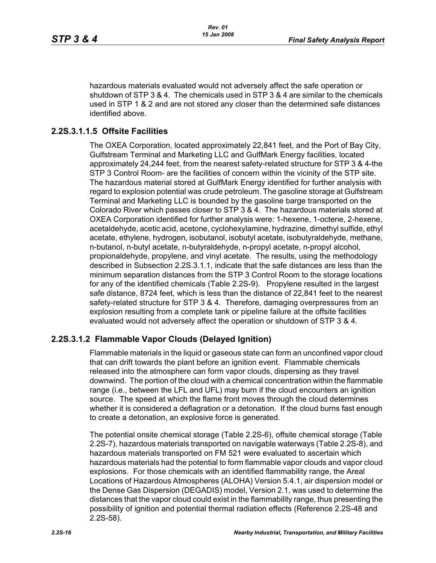hazardous materials evaluated would not adversely affect the safe operation or shutdown of STP 3 & 4. The chemicals used in STP 3 & 4 are similar to the chemicals used in STP 1 & 2 and are not stored any closer than the determined safe distances identified above.

#### **2.2S.3.1.1.5 Offsite Facilities**

The OXEA Corporation, located approximately 22,841 feet, and the Port of Bay City, Gulfstream Terminal and Marketing LLC and GulfMark Energy facilities, located approximately 24,244 feet, from the nearest safety-related structure for STP 3 & 4-the STP 3 Control Room- are the facilities of concern within the vicinity of the STP site. The hazardous material stored at GulfMark Energy identified for further analysis with regard to explosion potential was crude petroleum. The gasoline storage at Gulfstream Terminal and Marketing LLC is bounded by the gasoline barge transported on the Colorado River which passes closer to STP 3 & 4. The hazardous materials stored at OXEA Corporation identified for further analysis were: 1-hexene, 1-octene, 2-hexene, acetaldehyde, acetic acid, acetone, cyclohexylamine, hydrazine, dimethyl sulfide, ethyl acetate, ethylene, hydrogen, isobutanol, isobutyl acetate, isobutyraldehyde, methane, n-butanol, n-butyl acetate, n-butyraldehyde, n-propyl acetate, n-propyl alcohol, propionaldehyde, propylene, and vinyl acetate. The results, using the methodology described in Subsection 2.2S.3.1.1, indicate that the safe distances are less than the minimum separation distances from the STP 3 Control Room to the storage locations for any of the identified chemicals (Table [2.2S-9\)](#page-53-0). Propylene resulted in the largest safe distance, 8724 feet, which is less than the distance of 22,841 feet to the nearest safety-related structure for STP 3 & 4. Therefore, damaging overpressures from an explosion resulting from a complete tank or pipeline failure at the offsite facilities evaluated would not adversely affect the operation or shutdown of STP 3 & 4.

#### <span id="page-15-0"></span>**2.2S.3.1.2 Flammable Vapor Clouds (Delayed Ignition)**

Flammable materials in the liquid or gaseous state can form an unconfined vapor cloud that can drift towards the plant before an ignition event. Flammable chemicals released into the atmosphere can form vapor clouds, dispersing as they travel downwind. The portion of the cloud with a chemical concentration within the flammable range (i.e., between the LFL and UFL) may burn if the cloud encounters an ignition source. The speed at which the flame front moves through the cloud determines whether it is considered a deflagration or a detonation. If the cloud burns fast enough to create a detonation, an explosive force is generated.

The potential onsite chemical storage (Table [2.2S-6\)](#page-39-0), offsite chemical storage (Table [2.2S-7](#page-41-0)), hazardous materials transported on navigable waterways (Table [2.2S-8](#page-51-0)), and hazardous materials transported on FM 521 were evaluated to ascertain which hazardous materials had the potential to form flammable vapor clouds and vapor cloud explosions. For those chemicals with an identified flammability range, the Areal Locations of Hazardous Atmospheres (ALOHA) Version 5.4.1, air dispersion model or the Dense Gas Dispersion (DEGADIS) model, Version 2.1, was used to determine the distances that the vapor cloud could exist in the flammability range, thus presenting the possibility of ignition and potential thermal radiation effects (Reference [2.2S-48](#page-28-2) and [2.2S-58](#page-29-1)).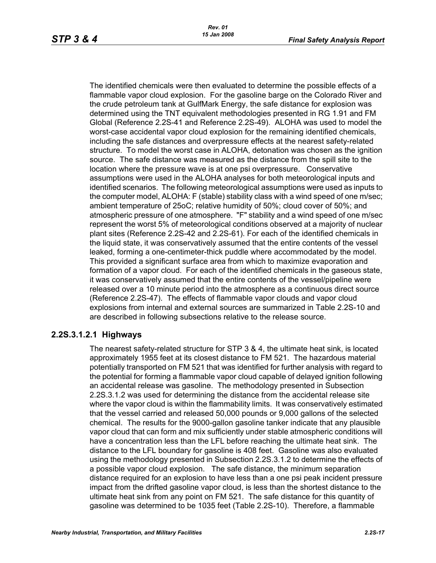The identified chemicals were then evaluated to determine the possible effects of a flammable vapor cloud explosion. For the gasoline barge on the Colorado River and the crude petroleum tank at GulfMark Energy, the safe distance for explosion was determined using the TNT equivalent methodologies presented in RG 1.91 and FM Global (Reference [2.2S-41](#page-28-1) and Reference [2.2S-49](#page-29-0)). ALOHA was used to model the worst-case accidental vapor cloud explosion for the remaining identified chemicals, including the safe distances and overpressure effects at the nearest safety-related structure. To model the worst case in ALOHA, detonation was chosen as the ignition source. The safe distance was measured as the distance from the spill site to the location where the pressure wave is at one psi overpressure. Conservative assumptions were used in the ALOHA analyses for both meteorological inputs and identified scenarios. The following meteorological assumptions were used as inputs to the computer model, ALOHA: F (stable) stability class with a wind speed of one m/sec; ambient temperature of 25oC; relative humidity of 50%; cloud cover of 50%; and atmospheric pressure of one atmosphere. "F" stability and a wind speed of one m/sec represent the worst 5% of meteorological conditions observed at a majority of nuclear plant sites (Reference [2.2S-42](#page-28-3) and [2.2S-61](#page-29-2)). For each of the identified chemicals in the liquid state, it was conservatively assumed that the entire contents of the vessel leaked, forming a one-centimeter-thick puddle where accommodated by the model. This provided a significant surface area from which to maximize evaporation and formation of a vapor cloud. For each of the identified chemicals in the gaseous state, it was conservatively assumed that the entire contents of the vessel/pipeline were released over a 10 minute period into the atmosphere as a continuous direct source (Reference [2.2S-47\)](#page-28-4). The effects of flammable vapor clouds and vapor cloud explosions from internal and external sources are summarized in Table [2.2S-10](#page-55-0) and are described in following subsections relative to the release source.

#### **2.2S.3.1.2.1 Highways**

The nearest safety-related structure for STP 3 & 4, the ultimate heat sink, is located approximately 1955 feet at its closest distance to FM 521. The hazardous material potentially transported on FM 521 that was identified for further analysis with regard to the potential for forming a flammable vapor cloud capable of delayed ignition following an accidental release was gasoline. The methodology presented in Subsection [2.2S.3.1.2](#page-15-0) was used for determining the distance from the accidental release site where the vapor cloud is within the flammability limits. It was conservatively estimated that the vessel carried and released 50,000 pounds or 9,000 gallons of the selected chemical. The results for the 9000-gallon gasoline tanker indicate that any plausible vapor cloud that can form and mix sufficiently under stable atmospheric conditions will have a concentration less than the LFL before reaching the ultimate heat sink. The distance to the LFL boundary for gasoline is 408 feet. Gasoline was also evaluated using the methodology presented in Subsection [2.2S.3.1.2](#page-15-0) to determine the effects of a possible vapor cloud explosion. The safe distance, the minimum separation distance required for an explosion to have less than a one psi peak incident pressure impact from the drifted gasoline vapor cloud, is less than the shortest distance to the ultimate heat sink from any point on FM 521. The safe distance for this quantity of gasoline was determined to be 1035 feet (Table [2.2S-10\)](#page-55-0). Therefore, a flammable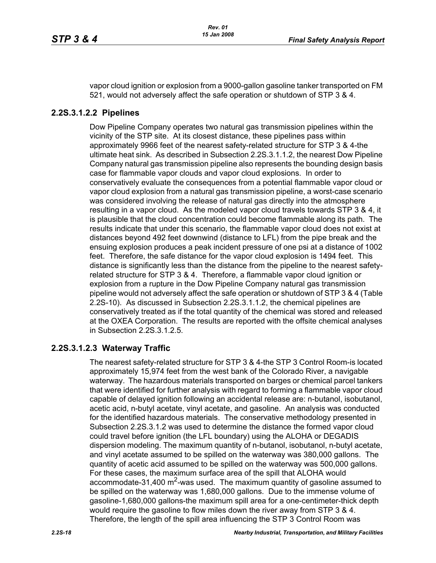vapor cloud ignition or explosion from a 9000-gallon gasoline tanker transported on FM 521, would not adversely affect the safe operation or shutdown of STP 3 & 4.

#### **2.2S.3.1.2.2 Pipelines**

Dow Pipeline Company operates two natural gas transmission pipelines within the vicinity of the STP site. At its closest distance, these pipelines pass within approximately 9966 feet of the nearest safety-related structure for STP 3 & 4-the ultimate heat sink. As described in Subsection 2.2S.3.1.1.2, the nearest Dow Pipeline Company natural gas transmission pipeline also represents the bounding design basis case for flammable vapor clouds and vapor cloud explosions. In order to conservatively evaluate the consequences from a potential flammable vapor cloud or vapor cloud explosion from a natural gas transmission pipeline, a worst-case scenario was considered involving the release of natural gas directly into the atmosphere resulting in a vapor cloud. As the modeled vapor cloud travels towards STP 3 & 4, it is plausible that the cloud concentration could become flammable along its path. The results indicate that under this scenario, the flammable vapor cloud does not exist at distances beyond 492 feet downwind (distance to LFL) from the pipe break and the ensuing explosion produces a peak incident pressure of one psi at a distance of 1002 feet. Therefore, the safe distance for the vapor cloud explosion is 1494 feet. This distance is significantly less than the distance from the pipeline to the nearest safetyrelated structure for STP 3 & 4. Therefore, a flammable vapor cloud ignition or explosion from a rupture in the Dow Pipeline Company natural gas transmission pipeline would not adversely affect the safe operation or shutdown of STP 3 & 4 (Table [2.2S-10](#page-55-0)). As discussed in Subsection [2.2S.3.1.1.2](#page-13-0), the chemical pipelines are conservatively treated as if the total quantity of the chemical was stored and released at the OXEA Corporation. The results are reported with the offsite chemical analyses in Subsection [2.2S.3.1.2.5](#page-19-0).

#### **2.2S.3.1.2.3 Waterway Traffic**

The nearest safety-related structure for STP 3 & 4-the STP 3 Control Room-is located approximately 15,974 feet from the west bank of the Colorado River, a navigable waterway. The hazardous materials transported on barges or chemical parcel tankers that were identified for further analysis with regard to forming a flammable vapor cloud capable of delayed ignition following an accidental release are: n-butanol, isobutanol, acetic acid, n-butyl acetate, vinyl acetate, and gasoline. An analysis was conducted for the identified hazardous materials. The conservative methodology presented in Subsection [2.2S.3.1.2](#page-15-0) was used to determine the distance the formed vapor cloud could travel before ignition (the LFL boundary) using the ALOHA or DEGADIS dispersion modeling. The maximum quantity of n-butanol, isobutanol, n-butyl acetate, and vinyl acetate assumed to be spilled on the waterway was 380,000 gallons. The quantity of acetic acid assumed to be spilled on the waterway was 500,000 gallons. For these cases, the maximum surface area of the spill that ALOHA would accommodate-31,400 m<sup>2</sup>-was used. The maximum quantity of gasoline assumed to be spilled on the waterway was 1,680,000 gallons. Due to the immense volume of gasoline-1,680,000 gallons-the maximum spill area for a one-centimeter-thick depth would require the gasoline to flow miles down the river away from STP 3 & 4. Therefore, the length of the spill area influencing the STP 3 Control Room was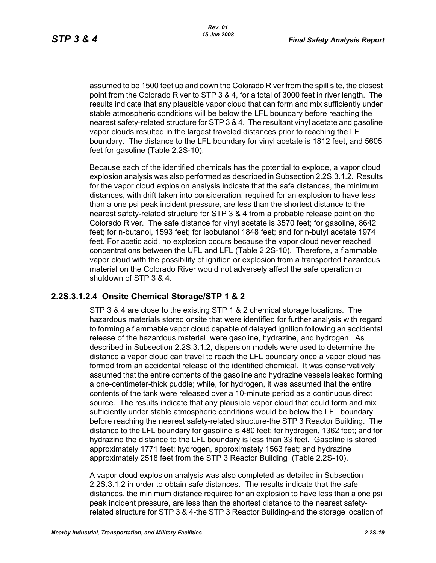assumed to be 1500 feet up and down the Colorado River from the spill site, the closest point from the Colorado River to STP 3 & 4, for a total of 3000 feet in river length. The results indicate that any plausible vapor cloud that can form and mix sufficiently under stable atmospheric conditions will be below the LFL boundary before reaching the nearest safety-related structure for STP 3 & 4. The resultant vinyl acetate and gasoline vapor clouds resulted in the largest traveled distances prior to reaching the LFL boundary. The distance to the LFL boundary for vinyl acetate is 1812 feet, and 5605 feet for gasoline (Table [2.2S-10\)](#page-55-0).

Because each of the identified chemicals has the potential to explode, a vapor cloud explosion analysis was also performed as described in Subsection 2.2S.3.1.2. Results for the vapor cloud explosion analysis indicate that the safe distances, the minimum distances, with drift taken into consideration, required for an explosion to have less than a one psi peak incident pressure, are less than the shortest distance to the nearest safety-related structure for STP 3 & 4 from a probable release point on the Colorado River. The safe distance for vinyl acetate is 3570 feet; for gasoline, 8642 feet; for n-butanol, 1593 feet; for isobutanol 1848 feet; and for n-butyl acetate 1974 feet. For acetic acid, no explosion occurs because the vapor cloud never reached concentrations between the UFL and LFL (Table [2.2S-10](#page-55-0)). Therefore, a flammable vapor cloud with the possibility of ignition or explosion from a transported hazardous material on the Colorado River would not adversely affect the safe operation or shutdown of STP 3 & 4.

#### **2.2S.3.1.2.4 Onsite Chemical Storage/STP 1 & 2**

STP 3 & 4 are close to the existing STP 1 & 2 chemical storage locations. The hazardous materials stored onsite that were identified for further analysis with regard to forming a flammable vapor cloud capable of delayed ignition following an accidental release of the hazardous material were gasoline, hydrazine, and hydrogen. As described in Subsection [2.2S.3.1.2,](#page-15-0) dispersion models were used to determine the distance a vapor cloud can travel to reach the LFL boundary once a vapor cloud has formed from an accidental release of the identified chemical. It was conservatively assumed that the entire contents of the gasoline and hydrazine vessels leaked forming a one-centimeter-thick puddle; while, for hydrogen, it was assumed that the entire contents of the tank were released over a 10-minute period as a continuous direct source. The results indicate that any plausible vapor cloud that could form and mix sufficiently under stable atmospheric conditions would be below the LFL boundary before reaching the nearest safety-related structure-the STP 3 Reactor Building. The distance to the LFL boundary for gasoline is 480 feet; for hydrogen, 1362 feet; and for hydrazine the distance to the LFL boundary is less than 33 feet. Gasoline is stored approximately 1771 feet; hydrogen, approximately 1563 feet; and hydrazine approximately 2518 feet from the STP 3 Reactor Building (Table [2.2S-10\)](#page-55-0).

A vapor cloud explosion analysis was also completed as detailed in Subsection [2.2S.3.1.2](#page-15-0) in order to obtain safe distances. The results indicate that the safe distances, the minimum distance required for an explosion to have less than a one psi peak incident pressure, are less than the shortest distance to the nearest safetyrelated structure for STP 3 & 4-the STP 3 Reactor Building-and the storage location of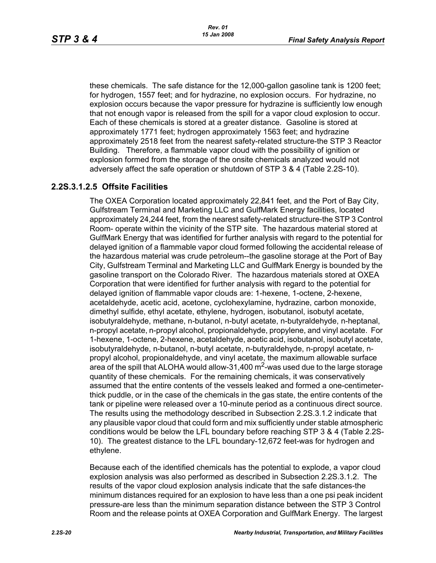these chemicals. The safe distance for the 12,000-gallon gasoline tank is 1200 feet; for hydrogen, 1557 feet; and for hydrazine, no explosion occurs. For hydrazine, no explosion occurs because the vapor pressure for hydrazine is sufficiently low enough that not enough vapor is released from the spill for a vapor cloud explosion to occur. Each of these chemicals is stored at a greater distance. Gasoline is stored at approximately 1771 feet; hydrogen approximately 1563 feet; and hydrazine approximately 2518 feet from the nearest safety-related structure-the STP 3 Reactor Building. Therefore, a flammable vapor cloud with the possibility of ignition or explosion formed from the storage of the onsite chemicals analyzed would not adversely affect the safe operation or shutdown of STP 3 & 4 (Table [2.2S-10\)](#page-55-0).

#### <span id="page-19-0"></span>**2.2S.3.1.2.5 Offsite Facilities**

The OXEA Corporation located approximately 22,841 feet, and the Port of Bay City, Gulfstream Terminal and Marketing LLC and GulfMark Energy facilities, located approximately 24,244 feet, from the nearest safety-related structure-the STP 3 Control Room- operate within the vicinity of the STP site. The hazardous material stored at GulfMark Energy that was identified for further analysis with regard to the potential for delayed ignition of a flammable vapor cloud formed following the accidental release of the hazardous material was crude petroleum--the gasoline storage at the Port of Bay City, Gulfstream Terminal and Marketing LLC and GulfMark Energy is bounded by the gasoline transport on the Colorado River. The hazardous materials stored at OXEA Corporation that were identified for further analysis with regard to the potential for delayed ignition of flammable vapor clouds are: 1-hexene, 1-octene, 2-hexene, acetaldehyde, acetic acid, acetone, cyclohexylamine, hydrazine, carbon monoxide, dimethyl sulfide, ethyl acetate, ethylene, hydrogen, isobutanol, isobutyl acetate, isobutyraldehyde, methane, n-butanol, n-butyl acetate, n-butyraldehyde, n-heptanal, n-propyl acetate, n-propyl alcohol, propionaldehyde, propylene, and vinyl acetate. For 1-hexene, 1-octene, 2-hexene, acetaldehyde, acetic acid, isobutanol, isobutyl acetate, isobutyraldehyde, n-butanol, n-butyl acetate, n-butyraldehyde, n-propyl acetate, npropyl alcohol, propionaldehyde, and vinyl acetate, the maximum allowable surface area of the spill that ALOHA would allow-31,400  $\text{m}^2$ -was used due to the large storage quantity of these chemicals. For the remaining chemicals, it was conservatively assumed that the entire contents of the vessels leaked and formed a one-centimeterthick puddle, or in the case of the chemicals in the gas state, the entire contents of the tank or pipeline were released over a 10-minute period as a continuous direct source. The results using the methodology described in Subsection [2.2S.3.1.2](#page-15-0) indicate that any plausible vapor cloud that could form and mix sufficiently under stable atmospheric conditions would be below the LFL boundary before reaching STP 3 & 4 (Table [2.2S-](#page-55-0)[10](#page-55-0)). The greatest distance to the LFL boundary-12,672 feet-was for hydrogen and ethylene.

Because each of the identified chemicals has the potential to explode, a vapor cloud explosion analysis was also performed as described in Subsection [2.2S.3.1.2.](#page-15-0) The results of the vapor cloud explosion analysis indicate that the safe distances-the minimum distances required for an explosion to have less than a one psi peak incident pressure-are less than the minimum separation distance between the STP 3 Control Room and the release points at OXEA Corporation and GulfMark Energy. The largest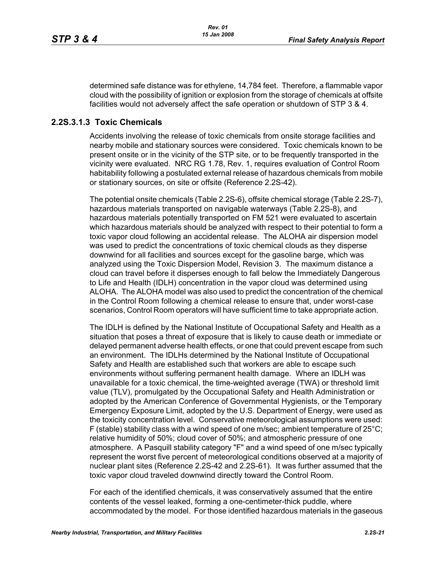determined safe distance was for ethylene, 14,784 feet. Therefore, a flammable vapor cloud with the possibility of ignition or explosion from the storage of chemicals at offsite facilities would not adversely affect the safe operation or shutdown of STP 3 & 4.

#### <span id="page-20-0"></span>**2.2S.3.1.3 Toxic Chemicals**

Accidents involving the release of toxic chemicals from onsite storage facilities and nearby mobile and stationary sources were considered. Toxic chemicals known to be present onsite or in the vicinity of the STP site, or to be frequently transported in the vicinity were evaluated. NRC RG 1.78, Rev. 1, requires evaluation of Control Room habitability following a postulated external release of hazardous chemicals from mobile or stationary sources, on site or offsite (Reference [2.2S-42\)](#page-28-3).

The potential onsite chemicals (Table [2.2S-6\)](#page-39-0), offsite chemical storage (Table [2.2S-7\)](#page-41-0), hazardous materials transported on navigable waterways (Table [2.2S-8](#page-51-0)), and hazardous materials potentially transported on FM 521 were evaluated to ascertain which hazardous materials should be analyzed with respect to their potential to form a toxic vapor cloud following an accidental release. The ALOHA air dispersion model was used to predict the concentrations of toxic chemical clouds as they disperse downwind for all facilities and sources except for the gasoline barge, which was analyzed using the Toxic Dispersion Model, Revision 3. The maximum distance a cloud can travel before it disperses enough to fall below the Immediately Dangerous to Life and Health (IDLH) concentration in the vapor cloud was determined using ALOHA. The ALOHA model was also used to predict the concentration of the chemical in the Control Room following a chemical release to ensure that, under worst-case scenarios, Control Room operators will have sufficient time to take appropriate action.

The IDLH is defined by the National Institute of Occupational Safety and Health as a situation that poses a threat of exposure that is likely to cause death or immediate or delayed permanent adverse health effects, or one that could prevent escape from such an environment. The IDLHs determined by the National Institute of Occupational Safety and Health are established such that workers are able to escape such environments without suffering permanent health damage. Where an IDLH was unavailable for a toxic chemical, the time-weighted average (TWA) or threshold limit value (TLV), promulgated by the Occupational Safety and Health Administration or adopted by the American Conference of Governmental Hygienists, or the Temporary Emergency Exposure Limit, adopted by the U.S. Department of Energy, were used as the toxicity concentration level. Conservative meteorological assumptions were used: F (stable) stability class with a wind speed of one m/sec; ambient temperature of  $25^{\circ}$ C; relative humidity of 50%; cloud cover of 50%; and atmospheric pressure of one atmosphere. A Pasquill stability category "F" and a wind speed of one m/sec typically represent the worst five percent of meteorological conditions observed at a majority of nuclear plant sites (Reference [2.2S-42](#page-28-3) and [2.2S-61](#page-29-2)). It was further assumed that the toxic vapor cloud traveled downwind directly toward the Control Room.

For each of the identified chemicals, it was conservatively assumed that the entire contents of the vessel leaked, forming a one-centimeter-thick puddle, where accommodated by the model. For those identified hazardous materials in the gaseous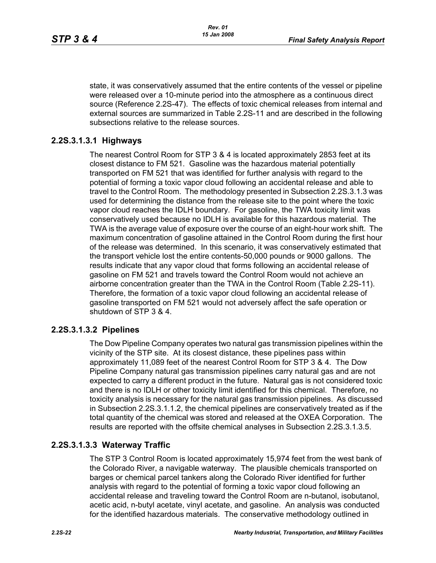state, it was conservatively assumed that the entire contents of the vessel or pipeline were released over a 10-minute period into the atmosphere as a continuous direct source (Reference [2.2S-47\)](#page-28-4). The effects of toxic chemical releases from internal and external sources are summarized in Table [2.2S-11](#page-59-0) and are described in the following subsections relative to the release sources.

## **2.2S.3.1.3.1 Highways**

The nearest Control Room for STP 3 & 4 is located approximately 2853 feet at its closest distance to FM 521. Gasoline was the hazardous material potentially transported on FM 521 that was identified for further analysis with regard to the potential of forming a toxic vapor cloud following an accidental release and able to travel to the Control Room. The methodology presented in Subsection [2.2S.3.1.3](#page-20-0) was used for determining the distance from the release site to the point where the toxic vapor cloud reaches the IDLH boundary. For gasoline, the TWA toxicity limit was conservatively used because no IDLH is available for this hazardous material. The TWA is the average value of exposure over the course of an eight-hour work shift. The maximum concentration of gasoline attained in the Control Room during the first hour of the release was determined. In this scenario, it was conservatively estimated that the transport vehicle lost the entire contents-50,000 pounds or 9000 gallons. The results indicate that any vapor cloud that forms following an accidental release of gasoline on FM 521 and travels toward the Control Room would not achieve an airborne concentration greater than the TWA in the Control Room (Table [2.2S-11\)](#page-59-0). Therefore, the formation of a toxic vapor cloud following an accidental release of gasoline transported on FM 521 would not adversely affect the safe operation or shutdown of STP 3 & 4.

#### **2.2S.3.1.3.2 Pipelines**

The Dow Pipeline Company operates two natural gas transmission pipelines within the vicinity of the STP site. At its closest distance, these pipelines pass within approximately 11,089 feet of the nearest Control Room for STP 3 & 4. The Dow Pipeline Company natural gas transmission pipelines carry natural gas and are not expected to carry a different product in the future. Natural gas is not considered toxic and there is no IDLH or other toxicity limit identified for this chemical. Therefore, no toxicity analysis is necessary for the natural gas transmission pipelines. As discussed in Subsection [2.2S.3.1.1.2,](#page-13-0) the chemical pipelines are conservatively treated as if the total quantity of the chemical was stored and released at the OXEA Corporation. The results are reported with the offsite chemical analyses in Subsection [2.2S.3.1.3.5.](#page-23-0)

#### **2.2S.3.1.3.3 Waterway Traffic**

The STP 3 Control Room is located approximately 15,974 feet from the west bank of the Colorado River, a navigable waterway. The plausible chemicals transported on barges or chemical parcel tankers along the Colorado River identified for further analysis with regard to the potential of forming a toxic vapor cloud following an accidental release and traveling toward the Control Room are n-butanol, isobutanol, acetic acid, n-butyl acetate, vinyl acetate, and gasoline. An analysis was conducted for the identified hazardous materials. The conservative methodology outlined in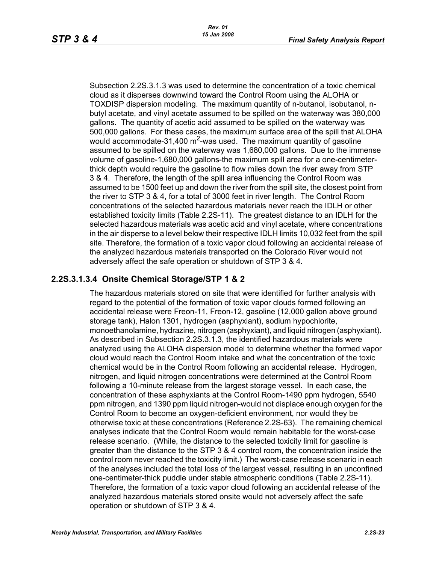Subsection [2.2S.3.1.3](#page-20-0) was used to determine the concentration of a toxic chemical cloud as it disperses downwind toward the Control Room using the ALOHA or TOXDISP dispersion modeling. The maximum quantity of n-butanol, isobutanol, nbutyl acetate, and vinyl acetate assumed to be spilled on the waterway was 380,000 gallons. The quantity of acetic acid assumed to be spilled on the waterway was 500,000 gallons. For these cases, the maximum surface area of the spill that ALOHA would accommodate-31,400  $\text{m}^2$ -was used. The maximum quantity of gasoline assumed to be spilled on the waterway was 1,680,000 gallons. Due to the immense volume of gasoline-1,680,000 gallons-the maximum spill area for a one-centimeterthick depth would require the gasoline to flow miles down the river away from STP 3 & 4. Therefore, the length of the spill area influencing the Control Room was assumed to be 1500 feet up and down the river from the spill site, the closest point from the river to STP 3 & 4, for a total of 3000 feet in river length. The Control Room concentrations of the selected hazardous materials never reach the IDLH or other established toxicity limits (Table [2.2S-11\)](#page-59-0). The greatest distance to an IDLH for the selected hazardous materials was acetic acid and vinyl acetate, where concentrations in the air disperse to a level below their respective IDLH limits 10,032 feet from the spill site. Therefore, the formation of a toxic vapor cloud following an accidental release of the analyzed hazardous materials transported on the Colorado River would not adversely affect the safe operation or shutdown of STP 3 & 4.

#### **2.2S.3.1.3.4 Onsite Chemical Storage/STP 1 & 2**

The hazardous materials stored on site that were identified for further analysis with regard to the potential of the formation of toxic vapor clouds formed following an accidental release were Freon-11, Freon-12, gasoline (12,000 gallon above ground storage tank), Halon 1301, hydrogen (asphyxiant), sodium hypochlorite, monoethanolamine, hydrazine, nitrogen (asphyxiant), and liquid nitrogen (asphyxiant). As described in Subsection [2.2S.3.1.3,](#page-20-0) the identified hazardous materials were analyzed using the ALOHA dispersion model to determine whether the formed vapor cloud would reach the Control Room intake and what the concentration of the toxic chemical would be in the Control Room following an accidental release. Hydrogen, nitrogen, and liquid nitrogen concentrations were determined at the Control Room following a 10-minute release from the largest storage vessel. In each case, the concentration of these asphyxiants at the Control Room-1490 ppm hydrogen, 5540 ppm nitrogen, and 1390 ppm liquid nitrogen-would not displace enough oxygen for the Control Room to become an oxygen-deficient environment, nor would they be otherwise toxic at these concentrations (Reference [2.2S-63\)](#page-30-3). The remaining chemical analyses indicate that the Control Room would remain habitable for the worst-case release scenario. (While, the distance to the selected toxicity limit for gasoline is greater than the distance to the STP 3 & 4 control room, the concentration inside the control room never reached the toxicity limit.) The worst-case release scenario in each of the analyses included the total loss of the largest vessel, resulting in an unconfined one-centimeter-thick puddle under stable atmospheric conditions (Table [2.2S-11](#page-59-0)). Therefore, the formation of a toxic vapor cloud following an accidental release of the analyzed hazardous materials stored onsite would not adversely affect the safe operation or shutdown of STP 3 & 4.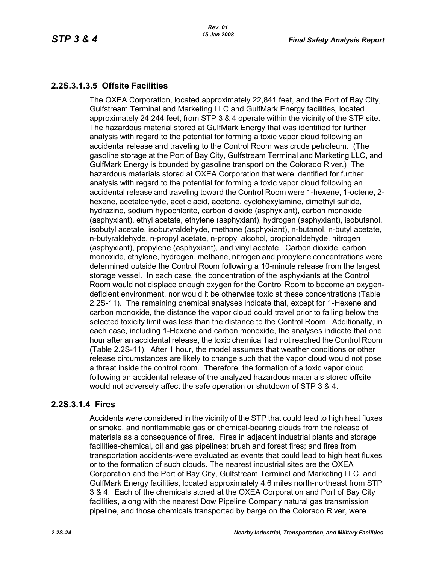## <span id="page-23-0"></span>**2.2S.3.1.3.5 Offsite Facilities**

The OXEA Corporation, located approximately 22,841 feet, and the Port of Bay City, Gulfstream Terminal and Marketing LLC and GulfMark Energy facilities, located approximately 24,244 feet, from STP 3 & 4 operate within the vicinity of the STP site. The hazardous material stored at GulfMark Energy that was identified for further analysis with regard to the potential for forming a toxic vapor cloud following an accidental release and traveling to the Control Room was crude petroleum. (The gasoline storage at the Port of Bay City, Gulfstream Terminal and Marketing LLC, and GulfMark Energy is bounded by gasoline transport on the Colorado River.) The hazardous materials stored at OXEA Corporation that were identified for further analysis with regard to the potential for forming a toxic vapor cloud following an accidental release and traveling toward the Control Room were 1-hexene, 1-octene, 2 hexene, acetaldehyde, acetic acid, acetone, cyclohexylamine, dimethyl sulfide, hydrazine, sodium hypochlorite, carbon dioxide (asphyxiant), carbon monoxide (asphyxiant), ethyl acetate, ethylene (asphyxiant), hydrogen (asphyxiant), isobutanol, isobutyl acetate, isobutyraldehyde, methane (asphyxiant), n-butanol, n-butyl acetate, n-butyraldehyde, n-propyl acetate, n-propyl alcohol, propionaldehyde, nitrogen (asphyxiant), propylene (asphyxiant), and vinyl acetate. Carbon dioxide, carbon monoxide, ethylene, hydrogen, methane, nitrogen and propylene concentrations were determined outside the Control Room following a 10-minute release from the largest storage vessel. In each case, the concentration of the asphyxiants at the Control Room would not displace enough oxygen for the Control Room to become an oxygendeficient environment, nor would it be otherwise toxic at these concentrations (Table [2.2S-11](#page-59-0)). The remaining chemical analyses indicate that, except for 1-Hexene and carbon monoxide, the distance the vapor cloud could travel prior to falling below the selected toxicity limit was less than the distance to the Control Room. Additionally, in each case, including 1-Hexene and carbon monoxide, the analyses indicate that one hour after an accidental release, the toxic chemical had not reached the Control Room (Table [2.2S-11\)](#page-59-0). After 1 hour, the model assumes that weather conditions or other release circumstances are likely to change such that the vapor cloud would not pose a threat inside the control room. Therefore, the formation of a toxic vapor cloud following an accidental release of the analyzed hazardous materials stored offsite would not adversely affect the safe operation or shutdown of STP 3 & 4.

#### **2.2S.3.1.4 Fires**

Accidents were considered in the vicinity of the STP that could lead to high heat fluxes or smoke, and nonflammable gas or chemical-bearing clouds from the release of materials as a consequence of fires. Fires in adjacent industrial plants and storage facilities-chemical, oil and gas pipelines; brush and forest fires; and fires from transportation accidents-were evaluated as events that could lead to high heat fluxes or to the formation of such clouds. The nearest industrial sites are the OXEA Corporation and the Port of Bay City, Gulfstream Terminal and Marketing LLC, and GulfMark Energy facilities, located approximately 4.6 miles north-northeast from STP 3 & 4. Each of the chemicals stored at the OXEA Corporation and Port of Bay City facilities, along with the nearest Dow Pipeline Company natural gas transmission pipeline, and those chemicals transported by barge on the Colorado River, were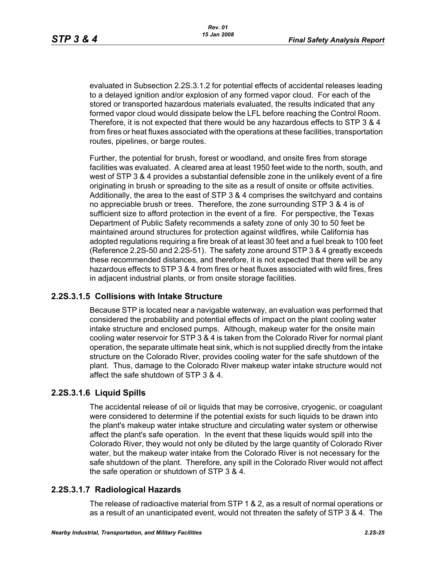evaluated in Subsection 2.2S.3.1.2 for potential effects of accidental releases leading to a delayed ignition and/or explosion of any formed vapor cloud. For each of the stored or transported hazardous materials evaluated, the results indicated that any formed vapor cloud would dissipate below the LFL before reaching the Control Room. Therefore, it is not expected that there would be any hazardous effects to STP 3 & 4 from fires or heat fluxes associated with the operations at these facilities, transportation routes, pipelines, or barge routes.

Further, the potential for brush, forest or woodland, and onsite fires from storage facilities was evaluated. A cleared area at least 1950 feet wide to the north, south, and west of STP 3 & 4 provides a substantial defensible zone in the unlikely event of a fire originating in brush or spreading to the site as a result of onsite or offsite activities. Additionally, the area to the east of STP 3 & 4 comprises the switchyard and contains no appreciable brush or trees. Therefore, the zone surrounding STP 3 & 4 is of sufficient size to afford protection in the event of a fire. For perspective, the Texas Department of Public Safety recommends a safety zone of only 30 to 50 feet be maintained around structures for protection against wildfires, while California has adopted regulations requiring a fire break of at least 30 feet and a fuel break to 100 feet (Reference [2.2S-50](#page-29-3) and [2.2S-51\)](#page-29-4). The safety zone around STP 3 & 4 greatly exceeds these recommended distances, and therefore, it is not expected that there will be any hazardous effects to STP 3 & 4 from fires or heat fluxes associated with wild fires, fires in adjacent industrial plants, or from onsite storage facilities.

#### **2.2S.3.1.5 Collisions with Intake Structure**

Because STP is located near a navigable waterway, an evaluation was performed that considered the probability and potential effects of impact on the plant cooling water intake structure and enclosed pumps. Although, makeup water for the onsite main cooling water reservoir for STP 3 & 4 is taken from the Colorado River for normal plant operation, the separate ultimate heat sink, which is not supplied directly from the intake structure on the Colorado River, provides cooling water for the safe shutdown of the plant. Thus, damage to the Colorado River makeup water intake structure would not affect the safe shutdown of STP 3 & 4.

#### **2.2S.3.1.6 Liquid Spills**

The accidental release of oil or liquids that may be corrosive, cryogenic, or coagulant were considered to determine if the potential exists for such liquids to be drawn into the plant's makeup water intake structure and circulating water system or otherwise affect the plant's safe operation. In the event that these liquids would spill into the Colorado River, they would not only be diluted by the large quantity of Colorado River water, but the makeup water intake from the Colorado River is not necessary for the safe shutdown of the plant. Therefore, any spill in the Colorado River would not affect the safe operation or shutdown of STP 3 & 4.

#### **2.2S.3.1.7 Radiological Hazards**

The release of radioactive material from STP 1 & 2, as a result of normal operations or as a result of an unanticipated event, would not threaten the safety of STP 3 & 4. The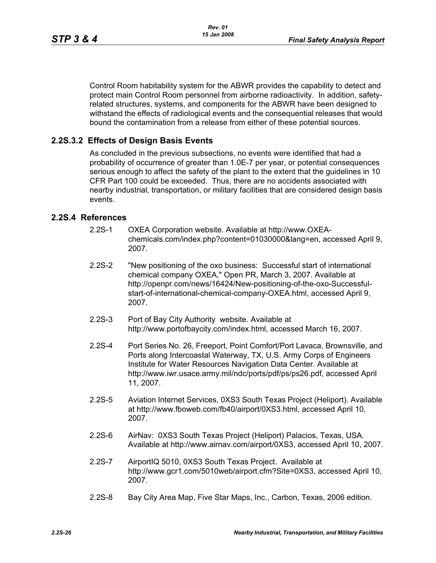Control Room habitability system for the ABWR provides the capability to detect and protect main Control Room personnel from airborne radioactivity. In addition, safetyrelated structures, systems, and components for the ABWR have been designed to withstand the effects of radiological events and the consequential releases that would bound the contamination from a release from either of these potential sources.

#### **2.2S.3.2 Effects of Design Basis Events**

As concluded in the previous subsections, no events were identified that had a probability of occurrence of greater than 1.0E-7 per year, or potential consequences serious enough to affect the safety of the plant to the extent that the guidelines in 10 CFR Part 100 could be exceeded. Thus, there are no accidents associated with nearby industrial, transportation, or military facilities that are considered design basis events.

#### <span id="page-25-0"></span>**2.2S.4 References**

- 2.2S-1 OXEA Corporation website. Available at http://www.OXEAchemicals.com/index.php?content=01030000&lang=en, accessed April 9, 2007.
- <span id="page-25-1"></span>2.2S-2 "New positioning of the oxo business: Successful start of international chemical company OXEA," Open PR, March 3, 2007. Available at http://openpr.com/news/16424/New-positioning-of-the-oxo-Successfulstart-of-international-chemical-company-OXEA.html, accessed April 9, 2007.
- <span id="page-25-2"></span>2.2S-3 Port of Bay City Authority website. Available at http://www.portofbaycity.com/index.html, accessed March 16, 2007.
- <span id="page-25-3"></span>2.2S-4 Port Series No. 26, Freeport, Point Comfort/Port Lavaca, Brownsville, and Ports along Intercoastal Waterway, TX, U.S. Army Corps of Engineers Institute for Water Resources Navigation Data Center. Available at http://www.iwr.usace.army.mil/ndc/ports/pdf/ps/ps26.pdf, accessed April 11, 2007.
- <span id="page-25-5"></span>2.2S-5 Aviation Internet Services, 0XS3 South Texas Project (Heliport). Available at http://www.fboweb.com/fb40/airport/0XS3.html, accessed April 10, 2007.
- 2.2S-6 AirNav: 0XS3 South Texas Project (Heliport) Palacios, Texas, USA. Available at http://www.airnav.com/airport/0XS3, accessed April 10, 2007.
- <span id="page-25-6"></span>2.2S-7 AirportIQ 5010, 0XS3 South Texas Project. Available at http://www.gcr1.com/5010web/airport.cfm?Site=0XS3, accessed April 10, 2007.
- <span id="page-25-4"></span>2.2S-8 Bay City Area Map, Five Star Maps, Inc., Carbon, Texas, 2006 edition.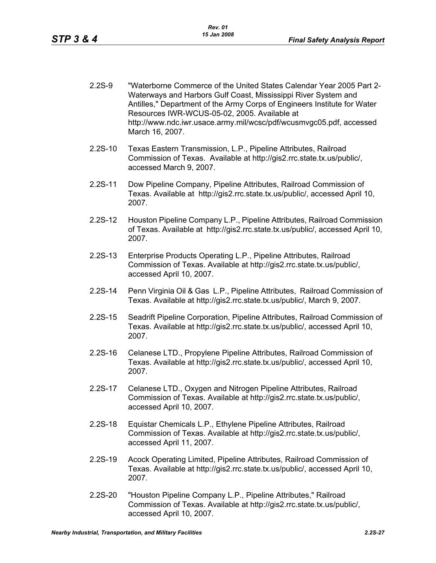- <span id="page-26-11"></span>2.2S-9 "Waterborne Commerce of the United States Calendar Year 2005 Part 2- Waterways and Harbors Gulf Coast, Mississippi River System and Antilles," Department of the Army Corps of Engineers Institute for Water Resources IWR-WCUS-05-02, 2005. Available at http://www.ndc.iwr.usace.army.mil/wcsc/pdf/wcusmvgc05.pdf, accessed March 16, 2007.
- <span id="page-26-3"></span>2.2S-10 Texas Eastern Transmission, L.P., Pipeline Attributes, Railroad Commission of Texas. Available at http://gis2.rrc.state.tx.us/public/, accessed March 9, 2007.
- <span id="page-26-0"></span>2.2S-11 Dow Pipeline Company, Pipeline Attributes, Railroad Commission of Texas. Available at http://gis2.rrc.state.tx.us/public/, accessed April 10, 2007.
- <span id="page-26-1"></span>2.2S-12 Houston Pipeline Company L.P., Pipeline Attributes, Railroad Commission of Texas. Available at http://gis2.rrc.state.tx.us/public/, accessed April 10, 2007.
- <span id="page-26-4"></span>2.2S-13 Enterprise Products Operating L.P., Pipeline Attributes, Railroad Commission of Texas. Available at http://gis2.rrc.state.tx.us/public/, accessed April 10, 2007.
- <span id="page-26-2"></span>2.2S-14 Penn Virginia Oil & Gas L.P., Pipeline Attributes, Railroad Commission of Texas. Available at http://gis2.rrc.state.tx.us/public/, March 9, 2007.
- <span id="page-26-5"></span>2.2S-15 Seadrift Pipeline Corporation, Pipeline Attributes, Railroad Commission of Texas. Available at http://gis2.rrc.state.tx.us/public/, accessed April 10, 2007.
- <span id="page-26-6"></span>2.2S-16 Celanese LTD., Propylene Pipeline Attributes, Railroad Commission of Texas. Available at http://gis2.rrc.state.tx.us/public/, accessed April 10, 2007.
- <span id="page-26-7"></span>2.2S-17 Celanese LTD., Oxygen and Nitrogen Pipeline Attributes, Railroad Commission of Texas. Available at http://gis2.rrc.state.tx.us/public/, accessed April 10, 2007.
- <span id="page-26-8"></span>2.2S-18 Equistar Chemicals L.P., Ethylene Pipeline Attributes, Railroad Commission of Texas. Available at http://gis2.rrc.state.tx.us/public/, accessed April 11, 2007.
- <span id="page-26-9"></span>2.2S-19 Acock Operating Limited, Pipeline Attributes, Railroad Commission of Texas. Available at http://gis2.rrc.state.tx.us/public/, accessed April 10, 2007.
- <span id="page-26-10"></span>2.2S-20 "Houston Pipeline Company L.P., Pipeline Attributes," Railroad Commission of Texas. Available at http://gis2.rrc.state.tx.us/public/, accessed April 10, 2007.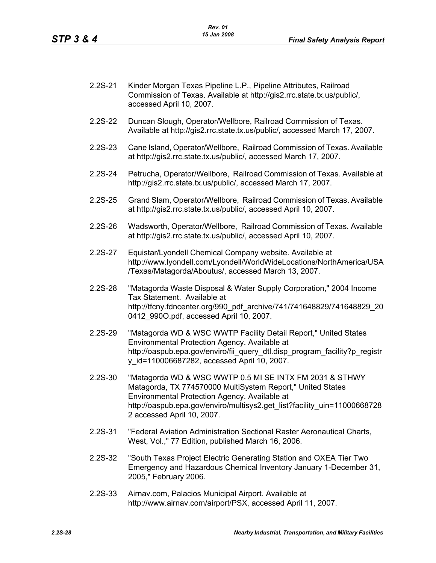<span id="page-27-5"></span>

| $2.2S-21$ | Kinder Morgan Texas Pipeline L.P., Pipeline Attributes, Railroad       |
|-----------|------------------------------------------------------------------------|
|           | Commission of Texas. Available at http://gis2.rrc.state.tx.us/public/, |
|           | accessed April 10, 2007.                                               |

- 2.2S-22 Duncan Slough, Operator/Wellbore, Railroad Commission of Texas. Available at http://gis2.rrc.state.tx.us/public/, accessed March 17, 2007.
- 2.2S-23 Cane Island, Operator/Wellbore, Railroad Commission of Texas. Available at http://gis2.rrc.state.tx.us/public/, accessed March 17, 2007.
- 2.2S-24 Petrucha, Operator/Wellbore, Railroad Commission of Texas. Available at http://gis2.rrc.state.tx.us/public/, accessed March 17, 2007.
- 2.2S-25 Grand Slam, Operator/Wellbore, Railroad Commission of Texas. Available at http://gis2.rrc.state.tx.us/public/, accessed April 10, 2007.
- <span id="page-27-0"></span>2.2S-26 Wadsworth, Operator/Wellbore, Railroad Commission of Texas. Available at http://gis2.rrc.state.tx.us/public/, accessed April 10, 2007.
- <span id="page-27-1"></span>2.2S-27 Equistar/Lyondell Chemical Company website. Available at http://www.lyondell.com/Lyondell/WorldWideLocations/NorthAmerica/USA /Texas/Matagorda/Aboutus/, accessed March 13, 2007.
- <span id="page-27-4"></span>2.2S-28 "Matagorda Waste Disposal & Water Supply Corporation," 2004 Income Tax Statement. Available at http://tfcny.fdncenter.org/990\_pdf\_archive/741/741648829/741648829\_20 0412 990O.pdf, accessed April 10, 2007.
- 2.2S-29 "Matagorda WD & WSC WWTP Facility Detail Report," United States Environmental Protection Agency. Available at http://oaspub.epa.gov/enviro/fii\_query\_dtl.disp\_program\_facility?p\_registr y\_id=110006687282, accessed April 10, 2007.
- <span id="page-27-2"></span>2.2S-30 "Matagorda WD & WSC WWTP 0.5 MI SE INTX FM 2031 & STHWY Matagorda, TX 774570000 MultiSystem Report," United States Environmental Protection Agency. Available at http://oaspub.epa.gov/enviro/multisys2.get\_list?facility\_uin=11000668728 2 accessed April 10, 2007.
- <span id="page-27-3"></span>2.2S-31 "Federal Aviation Administration Sectional Raster Aeronautical Charts, West, Vol.," 77 Edition, published March 16, 2006.
- <span id="page-27-7"></span>2.2S-32 "South Texas Project Electric Generating Station and OXEA Tier Two Emergency and Hazardous Chemical Inventory January 1-December 31, 2005," February 2006.
- <span id="page-27-6"></span>2.2S-33 Airnav.com, Palacios Municipal Airport. Available at http://www.airnav.com/airport/PSX, accessed April 11, 2007.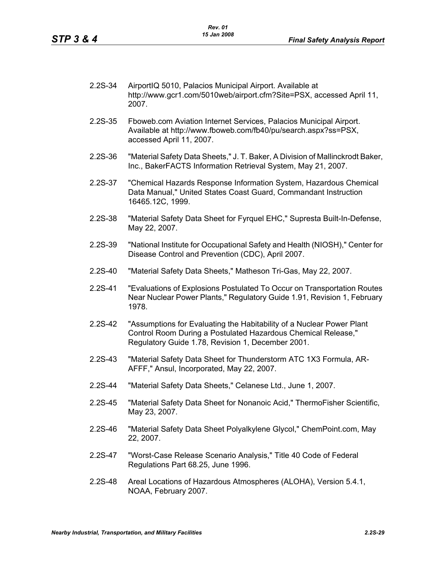- 2.2S-34 AirportIQ 5010, Palacios Municipal Airport. Available at http://www.gcr1.com/5010web/airport.cfm?Site=PSX, accessed April 11, 2007.
- <span id="page-28-0"></span>2.2S-35 Fboweb.com Aviation Internet Services, Palacios Municipal Airport. Available at http://www.fboweb.com/fb40/pu/search.aspx?ss=PSX, accessed April 11, 2007.
- <span id="page-28-7"></span>2.2S-36 "Material Safety Data Sheets," J. T. Baker, A Division of Mallinckrodt Baker, Inc., BakerFACTS Information Retrieval System, May 21, 2007.
- <span id="page-28-5"></span>2.2S-37 "Chemical Hazards Response Information System, Hazardous Chemical Data Manual," United States Coast Guard, Commandant Instruction 16465.12C, 1999.
- <span id="page-28-11"></span>2.2S-38 "Material Safety Data Sheet for Fyrquel EHC," Supresta Built-In-Defense, May 22, 2007.
- <span id="page-28-8"></span>2.2S-39 "National Institute for Occupational Safety and Health (NIOSH)," Center for Disease Control and Prevention (CDC), April 2007.
- <span id="page-28-6"></span>2.2S-40 "Material Safety Data Sheets," Matheson Tri-Gas, May 22, 2007.
- <span id="page-28-1"></span>2.2S-41 "Evaluations of Explosions Postulated To Occur on Transportation Routes Near Nuclear Power Plants," Regulatory Guide 1.91, Revision 1, February 1978.
- <span id="page-28-3"></span>2.2S-42 "Assumptions for Evaluating the Habitability of a Nuclear Power Plant Control Room During a Postulated Hazardous Chemical Release," Regulatory Guide 1.78, Revision 1, December 2001.
- <span id="page-28-9"></span>2.2S-43 "Material Safety Data Sheet for Thunderstorm ATC 1X3 Formula, AR-AFFF," Ansul, Incorporated, May 22, 2007.
- 2.2S-44 "Material Safety Data Sheets," Celanese Ltd., June 1, 2007.
- <span id="page-28-12"></span>2.2S-45 "Material Safety Data Sheet for Nonanoic Acid," ThermoFisher Scientific, May 23, 2007.
- <span id="page-28-10"></span>2.2S-46 "Material Safety Data Sheet Polyalkylene Glycol," ChemPoint.com, May 22, 2007.
- <span id="page-28-4"></span>2.2S-47 "Worst-Case Release Scenario Analysis," Title 40 Code of Federal Regulations Part 68.25, June 1996.
- <span id="page-28-2"></span>2.2S-48 Areal Locations of Hazardous Atmospheres (ALOHA), Version 5.4.1, NOAA, February 2007.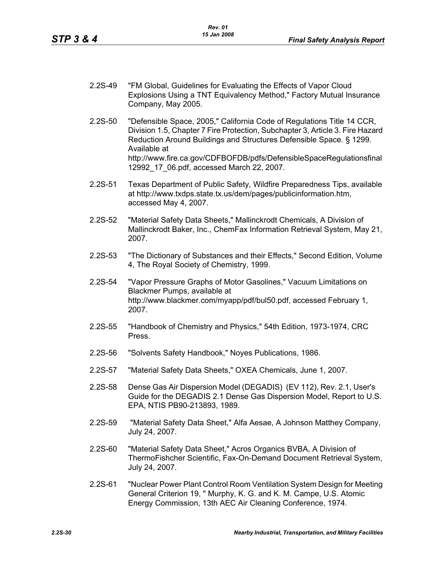- <span id="page-29-0"></span>2.2S-49 "FM Global, Guidelines for Evaluating the Effects of Vapor Cloud Explosions Using a TNT Equivalency Method," Factory Mutual Insurance Company, May 2005.
- <span id="page-29-3"></span>2.2S-50 "Defensible Space, 2005," California Code of Regulations Title 14 CCR, Division 1.5, Chapter 7 Fire Protection, Subchapter 3, Article 3. Fire Hazard Reduction Around Buildings and Structures Defensible Space. § 1299. Available at http://www.fire.ca.gov/CDFBOFDB/pdfs/DefensibleSpaceRegulationsfinal 12992\_17\_06.pdf, accessed March 22, 2007.
- <span id="page-29-4"></span>2.2S-51 Texas Department of Public Safety, Wildfire Preparedness Tips, available at http://www.txdps.state.tx.us/dem/pages/publicinformation.htm, accessed May 4, 2007.
- <span id="page-29-5"></span>2.2S-52 "Material Safety Data Sheets," Mallinckrodt Chemicals, A Division of Mallinckrodt Baker, Inc., ChemFax Information Retrieval System, May 21, 2007.
- 2.2S-53 "The Dictionary of Substances and their Effects," Second Edition, Volume 4, The Royal Society of Chemistry, 1999.
- <span id="page-29-10"></span>2.2S-54 "Vapor Pressure Graphs of Motor Gasolines," Vacuum Limitations on Blackmer Pumps, available at http://www.blackmer.com/myapp/pdf/bul50.pdf, accessed February 1, 2007.
- 2.2S-55 "Handbook of Chemistry and Physics," 54th Edition, 1973-1974, CRC Press.
- <span id="page-29-6"></span>2.2S-56 "Solvents Safety Handbook," Noyes Publications, 1986.
- <span id="page-29-7"></span>2.2S-57 "Material Safety Data Sheets," OXEA Chemicals, June 1, 2007.
- <span id="page-29-1"></span>2.2S-58 Dense Gas Air Dispersion Model (DEGADIS) (EV 112), Rev. 2.1, User's Guide for the DEGADIS 2.1 Dense Gas Dispersion Model, Report to U.S. EPA, NTIS PB90-213893, 1989.
- <span id="page-29-8"></span>2.2S-59 "Material Safety Data Sheet," Alfa Aesae, A Johnson Matthey Company, July 24, 2007.
- <span id="page-29-9"></span>2.2S-60 "Material Safety Data Sheet," Acros Organics BVBA, A Division of ThermoFishcher Scientific, Fax-On-Demand Document Retrieval System, July 24, 2007.
- <span id="page-29-2"></span>2.2S-61 "Nuclear Power Plant Control Room Ventilation System Design for Meeting General Criterion 19, " Murphy, K. G. and K. M. Campe, U.S. Atomic Energy Commission, 13th AEC Air Cleaning Conference, 1974.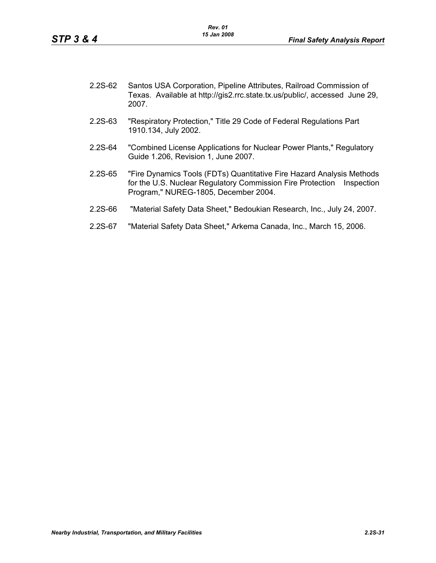<span id="page-30-0"></span>

| $2.2S-62$ | Santos USA Corporation, Pipeline Attributes, Railroad Commission of        |
|-----------|----------------------------------------------------------------------------|
|           | Texas. Available at http://gis2.rrc.state.tx.us/public/, accessed June 29, |
|           | 2007.                                                                      |

- <span id="page-30-3"></span>2.2S-63 "Respiratory Protection," Title 29 Code of Federal Regulations Part 1910.134, July 2002.
- <span id="page-30-1"></span>2.2S-64 "Combined License Applications for Nuclear Power Plants," Regulatory Guide 1.206, Revision 1, June 2007.
- <span id="page-30-2"></span>2.2S-65 "Fire Dynamics Tools (FDTs) Quantitative Fire Hazard Analysis Methods for the U.S. Nuclear Regulatory Commission Fire Protection Inspection Program," NUREG-1805, December 2004.
- <span id="page-30-4"></span>2.2S-66 "Material Safety Data Sheet," Bedoukian Research, Inc., July 24, 2007.
- <span id="page-30-5"></span>2.2S-67 "Material Safety Data Sheet," Arkema Canada, Inc., March 15, 2006.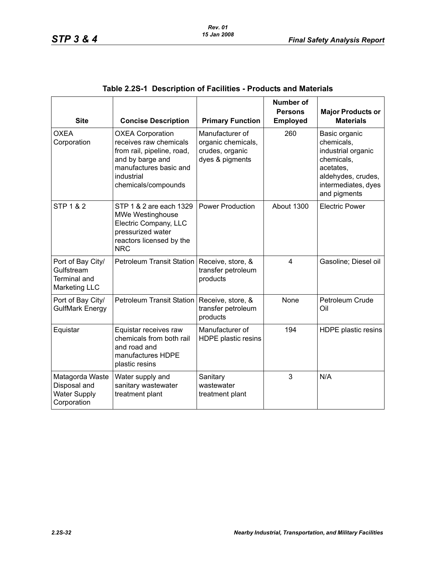<span id="page-31-0"></span>

| <b>Site</b>                                                                    | <b>Concise Description</b>                                                                                                                                         | <b>Primary Function</b>                                                     | <b>Number of</b><br><b>Persons</b><br><b>Employed</b> | <b>Major Products or</b><br><b>Materials</b>                                                                                              |
|--------------------------------------------------------------------------------|--------------------------------------------------------------------------------------------------------------------------------------------------------------------|-----------------------------------------------------------------------------|-------------------------------------------------------|-------------------------------------------------------------------------------------------------------------------------------------------|
| OXEA<br>Corporation                                                            | <b>OXEA Corporation</b><br>receives raw chemicals<br>from rail, pipeline, road,<br>and by barge and<br>manufactures basic and<br>industrial<br>chemicals/compounds | Manufacturer of<br>organic chemicals,<br>crudes, organic<br>dyes & pigments | 260                                                   | Basic organic<br>chemicals,<br>industrial organic<br>chemicals,<br>acetates,<br>aldehydes, crudes,<br>intermediates, dyes<br>and pigments |
| <b>STP 1 &amp; 2</b>                                                           | STP 1 & 2 are each 1329<br><b>MWe Westinghouse</b><br>Electric Company, LLC<br>pressurized water<br>reactors licensed by the<br><b>NRC</b>                         | <b>Power Production</b>                                                     | About 1300                                            | <b>Electric Power</b>                                                                                                                     |
| Port of Bay City/<br>Gulfstream<br><b>Terminal and</b><br><b>Marketing LLC</b> | <b>Petroleum Transit Station</b>                                                                                                                                   | Receive, store, &<br>transfer petroleum<br>products                         | 4                                                     | Gasoline; Diesel oil                                                                                                                      |
| Port of Bay City/<br><b>GulfMark Energy</b>                                    | <b>Petroleum Transit Station</b>                                                                                                                                   | Receive, store, &<br>transfer petroleum<br>products                         | None                                                  | Petroleum Crude<br>Oil                                                                                                                    |
| Equistar                                                                       | Equistar receives raw<br>chemicals from both rail<br>and road and<br>manufactures HDPE<br>plastic resins                                                           | Manufacturer of<br>HDPE plastic resins                                      | 194                                                   | HDPE plastic resins                                                                                                                       |
| Matagorda Waste<br>Disposal and<br><b>Water Supply</b><br>Corporation          | Water supply and<br>sanitary wastewater<br>treatment plant                                                                                                         | Sanitary<br>wastewater<br>treatment plant                                   | 3                                                     | N/A                                                                                                                                       |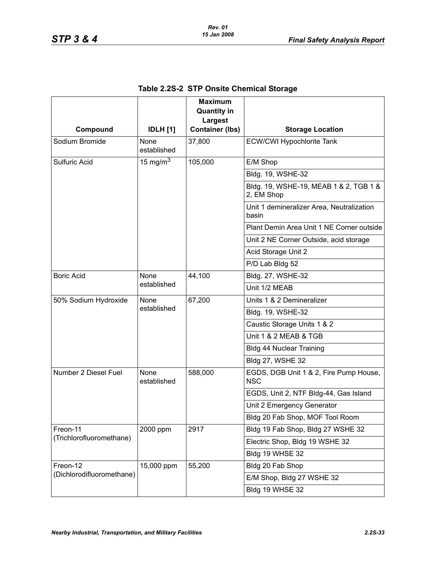<span id="page-32-0"></span>

|                           |                     | <b>Maximum</b><br><b>Quantity in</b> |                                                      |
|---------------------------|---------------------|--------------------------------------|------------------------------------------------------|
| Compound                  | <b>IDLH</b> [1]     | Largest<br><b>Container (lbs)</b>    | <b>Storage Location</b>                              |
| Sodium Bromide            | None<br>established | 37,800                               | <b>ECW/CWI Hypochlorite Tank</b>                     |
| <b>Sulfuric Acid</b>      | 15 mg/m $^3$        | 105,000                              | E/M Shop                                             |
|                           |                     |                                      | Bldg. 19, WSHE-32                                    |
|                           |                     |                                      | Bldg. 19, WSHE-19, MEAB 1 & 2, TGB 1 &<br>2, EM Shop |
|                           |                     |                                      | Unit 1 demineralizer Area, Neutralization<br>basin   |
|                           |                     |                                      | Plant Demin Area Unit 1 NE Corner outside            |
|                           |                     |                                      | Unit 2 NE Corner Outside, acid storage               |
|                           |                     |                                      | Acid Storage Unit 2                                  |
|                           |                     |                                      | P/D Lab Bldg 52                                      |
| <b>Boric Acid</b>         | None<br>established | 44,100                               | Bldg. 27, WSHE-32                                    |
|                           |                     |                                      | Unit 1/2 MEAB                                        |
| 50% Sodium Hydroxide      | None<br>established | 67,200                               | Units 1 & 2 Demineralizer                            |
|                           |                     |                                      | Bldg. 19, WSHE-32                                    |
|                           |                     |                                      | Caustic Storage Units 1 & 2                          |
|                           |                     |                                      | Unit 1 & 2 MEAB & TGB                                |
|                           |                     |                                      | <b>Bldg 44 Nuclear Training</b>                      |
|                           |                     |                                      | <b>Bldg 27, WSHE 32</b>                              |
| Number 2 Diesel Fuel      | None<br>established | 588,000                              | EGDS, DGB Unit 1 & 2, Fire Pump House,<br><b>NSC</b> |
|                           |                     |                                      | EGDS, Unit 2, NTF Bldg-44, Gas Island                |
|                           |                     |                                      | Unit 2 Emergency Generator                           |
|                           |                     |                                      | Bldg 20 Fab Shop, MOF Tool Room                      |
| Freon-11                  | 2000 ppm            | 2917                                 | Bldg 19 Fab Shop, Bldg 27 WSHE 32                    |
| (Trichlorofluoromethane)  |                     |                                      | Electric Shop, Bldg 19 WSHE 32                       |
|                           |                     |                                      | Bldg 19 WHSE 32                                      |
| Freon-12                  | 15,000 ppm          | 55,200                               | Bldg 20 Fab Shop                                     |
| (Dichlorodifluoromethane) |                     |                                      | E/M Shop, Bldg 27 WSHE 32                            |
|                           |                     |                                      | Bldg 19 WHSE 32                                      |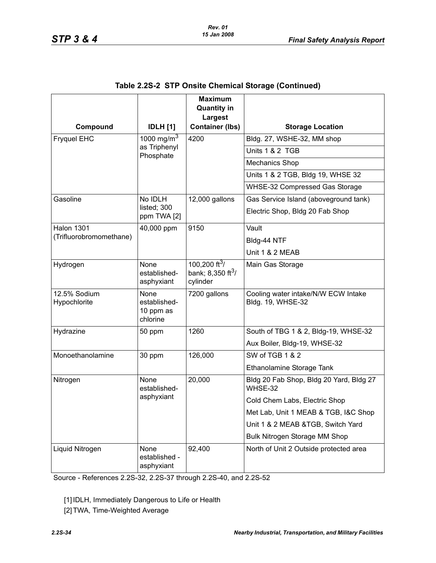|                              |                                               | <b>Maximum</b><br><b>Quantity in</b>                               |                                                          |
|------------------------------|-----------------------------------------------|--------------------------------------------------------------------|----------------------------------------------------------|
|                              |                                               | Largest                                                            |                                                          |
| Compound                     | <b>IDLH</b> [1]                               | <b>Container (lbs)</b>                                             | <b>Storage Location</b>                                  |
| <b>Fryquel EHC</b>           | 1000 mg/m <sup>3</sup><br>as Triphenyl        | 4200                                                               | Bldg. 27, WSHE-32, MM shop                               |
|                              | Phosphate                                     |                                                                    | Units 1 & 2 TGB                                          |
|                              |                                               |                                                                    | <b>Mechanics Shop</b>                                    |
|                              |                                               |                                                                    | Units 1 & 2 TGB, Bldg 19, WHSE 32                        |
|                              |                                               |                                                                    | WHSE-32 Compressed Gas Storage                           |
| Gasoline                     | No IDLH                                       | 12,000 gallons                                                     | Gas Service Island (aboveground tank)                    |
|                              | listed; 300<br>ppm TWA [2]                    |                                                                    | Electric Shop, Bldg 20 Fab Shop                          |
| <b>Halon 1301</b>            | 40,000 ppm                                    | 9150                                                               | Vault                                                    |
| (Trifluorobromomethane)      |                                               |                                                                    | Bldg-44 NTF                                              |
|                              |                                               |                                                                    | Unit 1 & 2 MEAB                                          |
| Hydrogen                     | None<br>established-<br>asphyxiant            | 100.200 ft $^{3}$ /<br>bank; $8,350$ ft <sup>3</sup> /<br>cylinder | Main Gas Storage                                         |
| 12.5% Sodium<br>Hypochlorite | None<br>established-<br>10 ppm as<br>chlorine | 7200 gallons                                                       | Cooling water intake/N/W ECW Intake<br>Bldg. 19, WHSE-32 |
| Hydrazine                    | 50 ppm                                        | 1260                                                               | South of TBG 1 & 2, Bldg-19, WHSE-32                     |
|                              |                                               |                                                                    | Aux Boiler, Bldg-19, WHSE-32                             |
| Monoethanolamine             | 30 ppm                                        | 126,000                                                            | SW of TGB 1 & 2                                          |
|                              |                                               |                                                                    | Ethanolamine Storage Tank                                |
| Nitrogen                     | None<br>established-<br>asphyxiant            | 20,000                                                             | Bldg 20 Fab Shop, Bldg 20 Yard, Bldg 27<br>WHSE-32       |
|                              |                                               |                                                                    | Cold Chem Labs, Electric Shop                            |
|                              |                                               |                                                                    | Met Lab, Unit 1 MEAB & TGB, I&C Shop                     |
|                              |                                               |                                                                    | Unit 1 & 2 MEAB & TGB, Switch Yard                       |
|                              |                                               |                                                                    | Bulk Nitrogen Storage MM Shop                            |
| Liquid Nitrogen              | None<br>established -<br>asphyxiant           | 92,400                                                             | North of Unit 2 Outside protected area                   |

Source - References [2.2S-32](#page-27-7), [2.2S-37](#page-28-5) through [2.2S-40](#page-28-6), and [2.2S-52](#page-29-5)

[1] IDLH, Immediately Dangerous to Life or Health

[2] TWA, Time-Weighted Average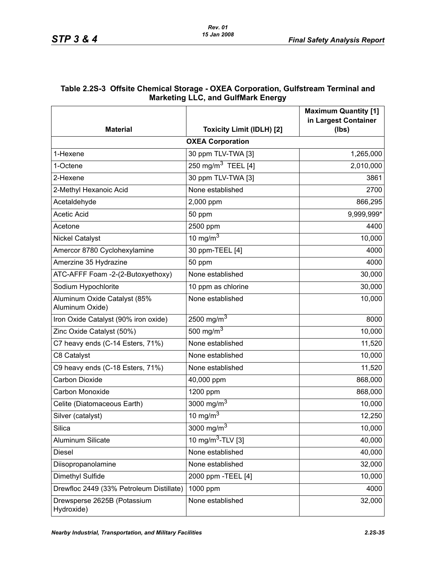### <span id="page-34-0"></span>**Table 2.2S-3 Offsite Chemical Storage - OXEA Corporation, Gulfstream Terminal and Marketing LLC, and GulfMark Energy**

|                                                 |                                  | <b>Maximum Quantity [1]</b><br>in Largest Container |
|-------------------------------------------------|----------------------------------|-----------------------------------------------------|
| <b>Material</b>                                 | <b>Toxicity Limit (IDLH) [2]</b> | (Ibs)                                               |
|                                                 | <b>OXEA Corporation</b>          |                                                     |
| 1-Hexene                                        | 30 ppm TLV-TWA [3]               | 1,265,000                                           |
| 1-Octene                                        | 250 mg/m <sup>3</sup> TEEL [4]   | 2,010,000                                           |
| 2-Hexene                                        | 30 ppm TLV-TWA [3]               | 3861                                                |
| 2-Methyl Hexanoic Acid                          | None established                 | 2700                                                |
| Acetaldehyde                                    | 2,000 ppm                        | 866,295                                             |
| <b>Acetic Acid</b>                              | 50 ppm                           | 9,999,999*                                          |
| Acetone                                         | 2500 ppm                         | 4400                                                |
| <b>Nickel Catalyst</b>                          | 10 mg/m $3$                      | 10,000                                              |
| Amercor 8780 Cyclohexylamine                    | 30 ppm-TEEL [4]                  | 4000                                                |
| Amerzine 35 Hydrazine                           | 50 ppm                           | 4000                                                |
| ATC-AFFF Foam -2-(2-Butoxyethoxy)               | None established                 | 30,000                                              |
| Sodium Hypochlorite                             | 10 ppm as chlorine               | 30,000                                              |
| Aluminum Oxide Catalyst (85%<br>Aluminum Oxide) | None established                 | 10,000                                              |
| Iron Oxide Catalyst (90% iron oxide)            | 2500 mg/m <sup>3</sup>           | 8000                                                |
| Zinc Oxide Catalyst (50%)                       | 500 mg/m $3$                     | 10,000                                              |
| C7 heavy ends (C-14 Esters, 71%)                | None established                 | 11,520                                              |
| C8 Catalyst                                     | None established                 | 10,000                                              |
| C9 heavy ends (C-18 Esters, 71%)                | None established                 | 11,520                                              |
| <b>Carbon Dioxide</b>                           | 40,000 ppm                       | 868,000                                             |
| Carbon Monoxide                                 | 1200 ppm                         | 868,000                                             |
| Celite (Diatomaceous Earth)                     | 3000 mg/m <sup>3</sup>           | 10,000                                              |
| Silver (catalyst)                               | 10 mg/m $3$                      | 12,250                                              |
| Silica                                          | 3000 mg/m $3$                    | 10,000                                              |
| Aluminum Silicate                               | 10 mg/m <sup>3</sup> -TLV [3]    | 40,000                                              |
| Diesel                                          | None established                 | 40,000                                              |
| Diisopropanolamine                              | None established                 | 32,000                                              |
| Dimethyl Sulfide                                | 2000 ppm - TEEL [4]              | 10,000                                              |
| Drewfloc 2449 (33% Petroleum Distillate)        | 1000 ppm                         | 4000                                                |
| Drewsperse 2625B (Potassium<br>Hydroxide)       | None established                 | 32,000                                              |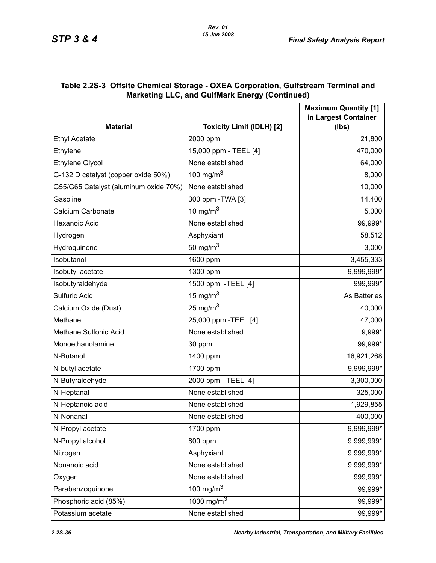| www.grade.com/www.chergy.commutation/ |                                  |                                                     |  |  |
|---------------------------------------|----------------------------------|-----------------------------------------------------|--|--|
|                                       |                                  | <b>Maximum Quantity [1]</b><br>in Largest Container |  |  |
| <b>Material</b>                       | <b>Toxicity Limit (IDLH) [2]</b> | (lbs)                                               |  |  |
| <b>Ethyl Acetate</b>                  | 2000 ppm                         | 21,800                                              |  |  |
| Ethylene                              | 15,000 ppm - TEEL [4]            | 470,000                                             |  |  |
| <b>Ethylene Glycol</b>                | None established                 | 64,000                                              |  |  |
| G-132 D catalyst (copper oxide 50%)   | 100 mg/m $3$                     | 8,000                                               |  |  |
| G55/G65 Catalyst (aluminum oxide 70%) | None established                 | 10,000                                              |  |  |
| Gasoline                              | 300 ppm - TWA [3]                | 14,400                                              |  |  |
| Calcium Carbonate                     | 10 mg/m $3$                      | 5,000                                               |  |  |
| Hexanoic Acid                         | None established                 | 99,999*                                             |  |  |
| Hydrogen                              | Asphyxiant                       | 58,512                                              |  |  |
| Hydroquinone                          | 50 mg/m $3$                      | 3,000                                               |  |  |
| Isobutanol                            | 1600 ppm                         | 3,455,333                                           |  |  |
| Isobutyl acetate                      | 1300 ppm                         | 9,999,999*                                          |  |  |
| Isobutyraldehyde                      | 1500 ppm - TEEL [4]              | 999,999*                                            |  |  |
| Sulfuric Acid                         | 15 mg/m $3$                      | As Batteries                                        |  |  |
| Calcium Oxide (Dust)                  | 25 mg/m $3$                      | 40,000                                              |  |  |
| Methane                               | 25,000 ppm - TEEL [4]            | 47,000                                              |  |  |
| Methane Sulfonic Acid                 | None established                 | 9,999*                                              |  |  |
| Monoethanolamine                      | 30 ppm                           | 99,999*                                             |  |  |
| N-Butanol                             | 1400 ppm                         | 16,921,268                                          |  |  |
| N-butyl acetate                       | 1700 ppm                         | 9,999,999*                                          |  |  |
| N-Butyraldehyde                       | 2000 ppm - TEEL [4]              | 3,300,000                                           |  |  |
| N-Heptanal                            | None established                 | 325,000                                             |  |  |
| N-Heptanoic acid                      | None established                 | 1,929,855                                           |  |  |
| N-Nonanal                             | None established                 | 400,000                                             |  |  |
| N-Propyl acetate                      | 1700 ppm                         | 9,999,999*                                          |  |  |
| N-Propyl alcohol                      | 800 ppm                          | 9,999,999*                                          |  |  |
| Nitrogen                              | Asphyxiant                       | 9,999,999*                                          |  |  |
| Nonanoic acid                         | None established                 | 9,999,999*                                          |  |  |
| Oxygen                                | None established                 | 999,999*                                            |  |  |
| Parabenzoquinone                      | 100 mg/m $3$                     | 99,999*                                             |  |  |
| Phosphoric acid (85%)                 | 1000 mg/m $3$                    | 99,999*                                             |  |  |
| Potassium acetate                     | None established                 | 99,999*                                             |  |  |

#### **Table 2.2S-3 Offsite Chemical Storage - OXEA Corporation, Gulfstream Terminal and Marketing LLC, and GulfMark Energy (Continued)**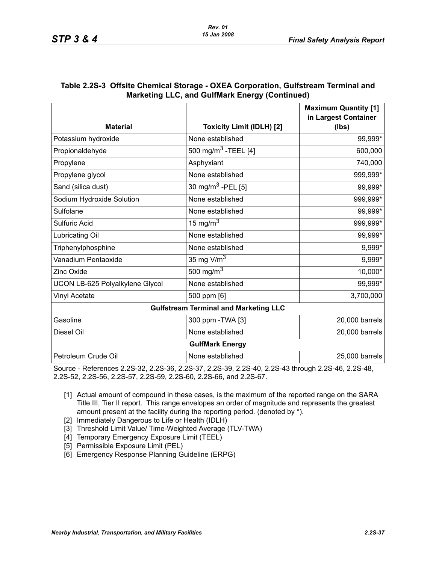| <b>Material</b>                              | <b>Toxicity Limit (IDLH) [2]</b> | <b>Maximum Quantity [1]</b><br>in Largest Container<br>(Ibs) |  |
|----------------------------------------------|----------------------------------|--------------------------------------------------------------|--|
| Potassium hydroxide                          | None established                 | 99,999*                                                      |  |
| Propionaldehyde                              | 500 mg/m <sup>3</sup> -TEEL [4]  | 600,000                                                      |  |
| Propylene                                    | Asphyxiant                       | 740,000                                                      |  |
| Propylene glycol                             | None established                 | 999,999*                                                     |  |
| Sand (silica dust)                           | 30 mg/m <sup>3</sup> -PEL [5]    | 99,999*                                                      |  |
| Sodium Hydroxide Solution                    | None established                 | 999,999*                                                     |  |
| Sulfolane                                    | None established                 | 99,999*                                                      |  |
| Sulfuric Acid                                | 15 mg/m $3$                      | 999,999*                                                     |  |
| Lubricating Oil                              | None established                 | 99,999*                                                      |  |
| Triphenylphosphine                           | None established                 | 9,999*                                                       |  |
| Vanadium Pentaoxide                          | 35 mg V/m $3$                    | 9,999*                                                       |  |
| <b>Zinc Oxide</b>                            | 500 mg/m $3$                     | 10,000*                                                      |  |
| UCON LB-625 Polyalkylene Glycol              | None established                 | 99,999*                                                      |  |
| Vinyl Acetate                                | 500 ppm [6]                      | 3,700,000                                                    |  |
| <b>Gulfstream Terminal and Marketing LLC</b> |                                  |                                                              |  |
| Gasoline                                     | 300 ppm - TWA [3]                | 20,000 barrels                                               |  |
| Diesel Oil                                   | None established                 | 20,000 barrels                                               |  |
| <b>GulfMark Energy</b>                       |                                  |                                                              |  |
| Petroleum Crude Oil                          | None established                 | 25,000 barrels                                               |  |

#### **Table 2.2S-3 Offsite Chemical Storage - OXEA Corporation, Gulfstream Terminal and Marketing LLC, and GulfMark Energy (Continued)**

Source - References [2.2S-32](#page-27-7), [2.2S-36,](#page-28-7) [2.2S-37,](#page-28-5) [2.2S-39](#page-28-8), [2.2S-40,](#page-28-6) [2.2S-43](#page-28-9) through [2.2S-46,](#page-28-10) [2.2S-48](#page-28-2), [2.2S-52,](#page-29-5) [2.2S-56,](#page-29-6) [2.2S-57](#page-29-7), [2.2S-59,](#page-29-8) [2.2S-60](#page-29-9), [2.2S-66,](#page-30-4) and [2.2S-67.](#page-30-5)

- [1] Actual amount of compound in these cases, is the maximum of the reported range on the SARA Title III, Tier II report. This range envelopes an order of magnitude and represents the greatest amount present at the facility during the reporting period. (denoted by \*).
- [2] Immediately Dangerous to Life or Health (IDLH)
- [3] Threshold Limit Value/ Time-Weighted Average (TLV-TWA)
- [4] Temporary Emergency Exposure Limit (TEEL)
- [5] Permissible Exposure Limit (PEL)
- [6] Emergency Response Planning Guideline (ERPG)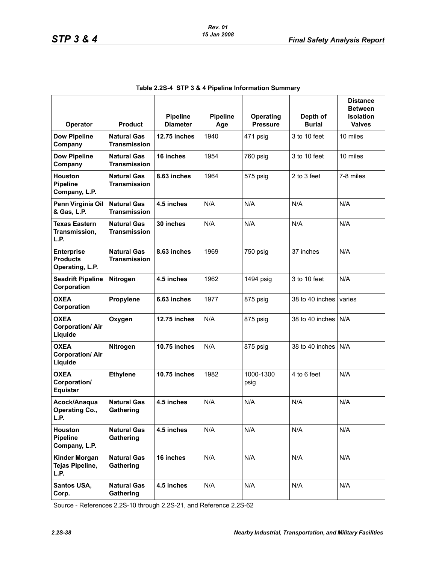<span id="page-37-0"></span>

| Operator                                                | <b>Product</b>                            | <b>Pipeline</b><br><b>Diameter</b> | <b>Pipeline</b><br>Age | <b>Operating</b><br><b>Pressure</b> | Depth of<br><b>Burial</b> | <b>Distance</b><br><b>Between</b><br><b>Isolation</b><br><b>Valves</b> |
|---------------------------------------------------------|-------------------------------------------|------------------------------------|------------------------|-------------------------------------|---------------------------|------------------------------------------------------------------------|
| <b>Dow Pipeline</b><br>Company                          | <b>Natural Gas</b><br><b>Transmission</b> | 12.75 inches                       | 1940                   | 471 psig                            | 3 to 10 feet              | 10 miles                                                               |
| <b>Dow Pipeline</b><br>Company                          | <b>Natural Gas</b><br><b>Transmission</b> | 16 inches                          | 1954                   | 760 psig                            | 3 to 10 feet              | 10 miles                                                               |
| <b>Houston</b><br><b>Pipeline</b><br>Company, L.P.      | <b>Natural Gas</b><br><b>Transmission</b> | 8.63 inches                        | 1964                   | 575 psig                            | 2 to 3 feet               | 7-8 miles                                                              |
| Penn Virginia Oil<br>& Gas, L.P.                        | <b>Natural Gas</b><br><b>Transmission</b> | 4.5 inches                         | N/A                    | N/A                                 | N/A                       | N/A                                                                    |
| <b>Texas Eastern</b><br>Transmission,<br>L.P.           | <b>Natural Gas</b><br><b>Transmission</b> | 30 inches                          | N/A                    | N/A                                 | N/A                       | N/A                                                                    |
| <b>Enterprise</b><br><b>Products</b><br>Operating, L.P. | <b>Natural Gas</b><br><b>Transmission</b> | 8.63 inches                        | 1969                   | 750 psig                            | 37 inches                 | N/A                                                                    |
| <b>Seadrift Pipeline</b><br>Corporation                 | Nitrogen                                  | 4.5 inches                         | 1962                   | 1494 psig                           | 3 to 10 feet              | N/A                                                                    |
| <b>OXEA</b><br>Corporation                              | Propylene                                 | 6.63 inches                        | 1977                   | 875 psig                            | 38 to 40 inches           | varies                                                                 |
| <b>OXEA</b><br><b>Corporation/Air</b><br>Liquide        | Oxygen                                    | 12.75 inches                       | N/A                    | 875 psig                            | 38 to 40 inches           | N/A                                                                    |
| <b>OXEA</b><br><b>Corporation/Air</b><br>Liquide        | Nitrogen                                  | <b>10.75 inches</b>                | N/A                    | 875 psig                            | 38 to 40 inches           | N/A                                                                    |
| <b>OXEA</b><br>Corporation/<br>Equistar                 | <b>Ethylene</b>                           | 10.75 inches                       | 1982                   | 1000-1300<br>psig                   | 4 to 6 feet               | N/A                                                                    |
| Acock/Anaqua<br><b>Operating Co.,</b><br>L.P.           | <b>Natural Gas</b><br>Gathering           | 4.5 inches                         | N/A                    | N/A                                 | N/A                       | N/A                                                                    |
| Houston<br><b>Pipeline</b><br>Company, L.P.             | <b>Natural Gas</b><br>Gathering           | 4.5 inches                         | N/A                    | N/A                                 | N/A                       | N/A                                                                    |
| <b>Kinder Morgan</b><br>Tejas Pipeline,<br>L.P.         | <b>Natural Gas</b><br>Gathering           | 16 inches                          | N/A                    | N/A                                 | N/A                       | N/A                                                                    |
| Santos USA,<br>Corp.                                    | <b>Natural Gas</b><br>Gathering           | 4.5 inches                         | N/A                    | N/A                                 | N/A                       | N/A                                                                    |

Source - References [2.2S-10](#page-26-3) through [2.2S-21](#page-27-5), and Reference [2.2S-62](#page-30-0)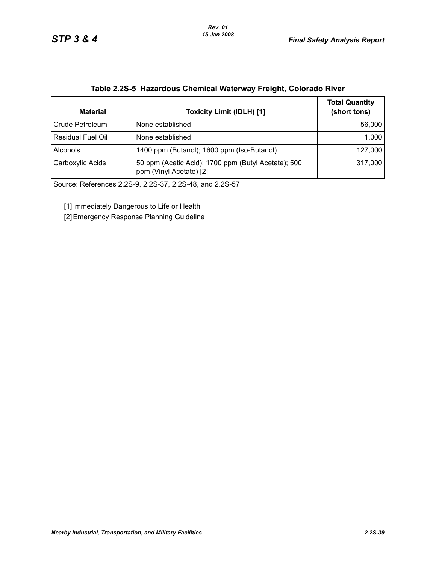| <b>Material</b>          | <b>Toxicity Limit (IDLH) [1]</b>                                               | <b>Total Quantity</b><br>(short tons) |
|--------------------------|--------------------------------------------------------------------------------|---------------------------------------|
| Crude Petroleum          | None established                                                               | 56,000                                |
| <b>Residual Fuel Oil</b> | None established                                                               | 1,000                                 |
| Alcohols                 | 1400 ppm (Butanol); 1600 ppm (Iso-Butanol)                                     | 127,000                               |
| Carboxylic Acids         | 50 ppm (Acetic Acid); 1700 ppm (Butyl Acetate); 500<br>ppm (Vinyl Acetate) [2] | 317,000                               |

#### **Table 2.2S-5 Hazardous Chemical Waterway Freight, Colorado River**

Source: References 2.2S-9, 2.2S-37, 2.2S-48, and 2.2S-57

[1] Immediately Dangerous to Life or Health

[2] Emergency Response Planning Guideline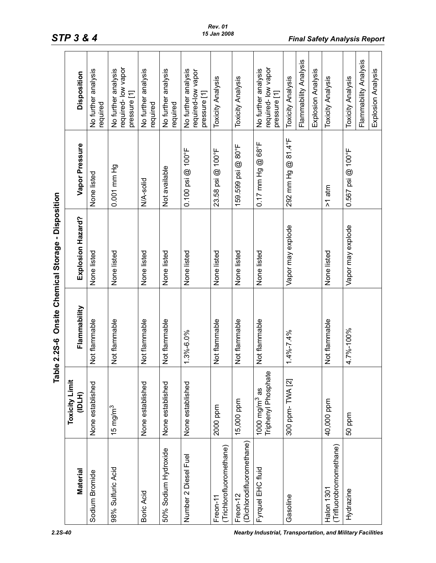| Onsite Chemical Storage - Disposition | <b>Disposition</b><br>Vapor Pressure | No further analysis<br>required<br>None listed | required-low vapor<br>No further analysis<br>pressure [1]<br>0.001 mm Hg | No further analysis<br>required<br>N/A-solid | No further analysis<br>required<br>Not available | No further analysis<br>required-low vapor<br>pressure [1]<br>$0.100$ psi $@$ 100°F | <b>Toxicity Analysis</b><br>@100°F<br>23.58 psi | <b>Toxicity Analysis</b><br>159.599 psi @ 80°F | required-low vapor<br>No further analysis<br>pressure [1]<br>$@68^{\circ}F$<br>$0.17$ mm Hg | Toxicity Analysis<br>292 mm Hg @ 81.4°F | Flammability Analysis | Explosion Analysis | Toxicity Analysis<br>$>1$ atm         | <b>Toxicity Analysis</b><br>$0.567$ psi @ 100°F | Flammability Analysis |  |
|---------------------------------------|--------------------------------------|------------------------------------------------|--------------------------------------------------------------------------|----------------------------------------------|--------------------------------------------------|------------------------------------------------------------------------------------|-------------------------------------------------|------------------------------------------------|---------------------------------------------------------------------------------------------|-----------------------------------------|-----------------------|--------------------|---------------------------------------|-------------------------------------------------|-----------------------|--|
|                                       | Explosion Hazard?                    | None listed                                    | None listed                                                              | None listed                                  | None listed                                      | None listed                                                                        | None listed                                     | None listed                                    | None listed                                                                                 | Vapor may explode                       |                       |                    | None listed                           | Vapor may explode                               |                       |  |
| 2.25-6                                | Flammability                         | Not flammable                                  | Not flammable                                                            | Not flammable                                | Not flammable                                    | 1.3%-6.0%                                                                          | Not flammable                                   | Not flammable                                  | Not flammable                                                                               | $065.7 - 964.1$                         |                       |                    | Not flammable                         | 4.7%-100%                                       |                       |  |
| $\overline{\mathbf{c}}$<br>Tabl       | <b>Toxicity Limit</b><br>(IDLH)      | None established                               | $15 \text{ mg/m}^3$                                                      | None established                             | None established                                 | None established                                                                   | 2000 ppm                                        | 15,000 ppm                                     | Triphenyl Phosphate<br>1000 $mg/m3$ as                                                      | 300 ppm-TWA [2]                         |                       |                    | 40,000 ppm                            | 50 ppm                                          |                       |  |
|                                       | <b>Material</b>                      | Sodium Bromide                                 | 98% Sulfuric Acid                                                        | Boric Acid                                   | 50% Sodium Hydroxide                             | Number 2 Diesel Fuel                                                               | (Trichlorofluoromethane)<br>Freon-11            | (Dichlorodifluoromethane)<br>Freon-12          | Fyrquel EHC fluid                                                                           | Gasoline                                |                       |                    | (Trifluorobromomethane)<br>Halon 1301 | Hydrazine                                       |                       |  |

# *STP 3 & 4 Final Safety Analysis Report*

<span id="page-39-0"></span>*2.2S-40 Nearby Industrial, Transportation, and Military Facilities*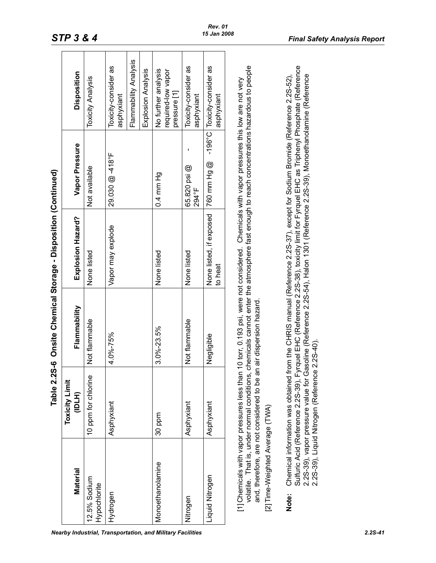|                                 |                                                                                                                                            |                       | Table 2.2S-6 Onsite Chemical Storage - Disposition (Continued) |                                                                                                                                                                                                                                                                                                                                                                                                     |                                                           |
|---------------------------------|--------------------------------------------------------------------------------------------------------------------------------------------|-----------------------|----------------------------------------------------------------|-----------------------------------------------------------------------------------------------------------------------------------------------------------------------------------------------------------------------------------------------------------------------------------------------------------------------------------------------------------------------------------------------------|-----------------------------------------------------------|
| <b>Material</b>                 | <b>Toxicity Limit</b><br>(IDTH)                                                                                                            | Flammability          | Explosion Hazard?                                              | Vapor Pressure                                                                                                                                                                                                                                                                                                                                                                                      | Disposition                                               |
| 12.5% Sodium<br>Hypochlorite    | 10 ppm for chlorine                                                                                                                        | Not flammable         | None listed                                                    | Not available                                                                                                                                                                                                                                                                                                                                                                                       | <b>Toxicity Analysis</b>                                  |
| Hydrogen                        | Asphyxiant                                                                                                                                 | 4.0%-75%              | Vapor may explode                                              | $29.030 \text{ } @.418^{\circ}$ F                                                                                                                                                                                                                                                                                                                                                                   | Toxicity-consider as<br>asphyxiant                        |
|                                 |                                                                                                                                            |                       |                                                                |                                                                                                                                                                                                                                                                                                                                                                                                     | Flammability Analysis                                     |
|                                 |                                                                                                                                            |                       |                                                                |                                                                                                                                                                                                                                                                                                                                                                                                     | Explosion Analysis                                        |
| Monoethanolamine                | 30 ppm                                                                                                                                     | 3.0%-23.5%            | None listed                                                    | 0.4 mm Hg                                                                                                                                                                                                                                                                                                                                                                                           | No further analysis<br>required-low vapor<br>pressure [1] |
| Nitrogen                        | Asphyxiant                                                                                                                                 | Not flammable         | None listed                                                    | 65.820 psi @<br>294°F                                                                                                                                                                                                                                                                                                                                                                               | Toxicity-consider as<br>asphyxiant                        |
| Liquid Nitrogen                 | Asphyxiant                                                                                                                                 | Negligible            | None listed, if exposed<br>to heat                             | Dep uuu 092                                                                                                                                                                                                                                                                                                                                                                                         | -196°C Toxicity-consider as<br>asphyxiant                 |
| [2] Time-Weighted Average (TWA) | [1] Chemicals with vapor pressures less than<br>and, therefore, are not considered to be ar<br>volatile. That is, under normal conditions, | air dispersion hazard |                                                                | chemicals cannot enter the atmosphere fast enough to reach concentrations hazardous to people<br>10 torr, 0.193 psi, were not considered. Chemicals with vapor pressures this low are not very                                                                                                                                                                                                      |                                                           |
| Note:                           | 2.2S-39), Liquid Nitrogen (Reference                                                                                                       | $2.2S-40$ ).          |                                                                | Sulfuric Acid (Reference 2.2S-39), Fyrquel EHC (Reference 2.2S-38), toxicity limit for Fyrquel EHC as Triphenyl Phosphate (Reference<br>2.25-39), vapor pressure value for Gasoline (Reference 2.25-54), Halon 1301 (Reference 2.25-39), Monoethanolamine (Reference<br>Chemical information was obtained from the CHRIS manual (Reference 2.2S-37), except for Sodium Bromide (Reference 2.2S-52), |                                                           |

<span id="page-40-0"></span>*Nearby Industrial, Transportation, and Military Facilities 2.2S-41*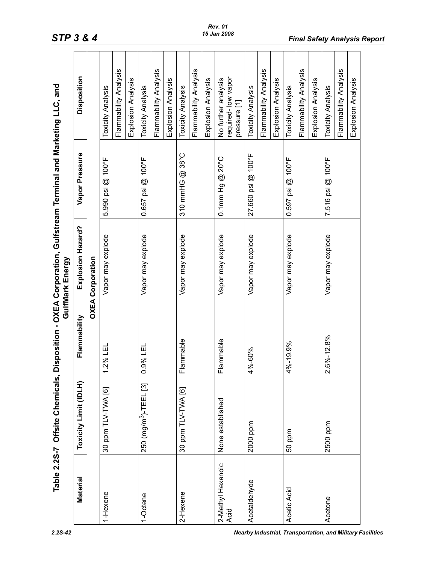<span id="page-41-0"></span>

|                           | Table 2.2S-7 Offsite Chemicals,   |                                     | GulfMark Energy         | Disposition - OXEA Corporation, Gulfstream Terminal and Marketing LLC, and |                                                           |
|---------------------------|-----------------------------------|-------------------------------------|-------------------------|----------------------------------------------------------------------------|-----------------------------------------------------------|
| Material                  | Toxicity Limit (IDLH)             | Flammability                        | Explosion Hazard?       | Vapor Pressure                                                             | Disposition                                               |
|                           |                                   |                                     | <b>OXEA Corporation</b> |                                                                            |                                                           |
| 1-Hexene                  | 30 ppm TLV-TWA [6]                | 2% LEL                              | Vapor may explode       | 5.990 psi @ 100°F                                                          | <b>Toxicity Analysis</b>                                  |
|                           |                                   |                                     |                         |                                                                            | Flammability Analysis                                     |
|                           |                                   |                                     |                         |                                                                            | Explosion Analysis                                        |
| 1-Octene                  | 250 (mg/m <sup>3</sup> )-TEEL [3] | .9% LEL<br>$\circ$                  | Vapor may explode       | 0.657 psi @ 100°F                                                          | <b>Toxicity Analysis</b>                                  |
|                           |                                   |                                     |                         |                                                                            | Flammability Analysis                                     |
|                           |                                   |                                     |                         |                                                                            | Explosion Analysis                                        |
| 2-Hexene                  | 30 ppm TLV-TWA [6]                | lammable<br>щ                       | Vapor may explode       | 310 mmHG @ 38°C                                                            | <b>Toxicity Analysis</b>                                  |
|                           |                                   |                                     |                         |                                                                            | Flammability Analysis                                     |
|                           |                                   |                                     |                         |                                                                            | Explosion Analysis                                        |
| 2-Methyl Hexanoic<br>Acid | None established                  | lammable<br>щ                       | Vapor may explode       | $0.1$ mm Hg $@$ 20°C                                                       | required-low vapor<br>No further analysis<br>pressure [1] |
| Acetaldehyde              | 2000 ppm                          | 4%-60%                              | Vapor may explode       | 27.660 psi @ 100°F                                                         | <b>Toxicity Analysis</b>                                  |
|                           |                                   |                                     |                         |                                                                            | Flammability Analysis                                     |
|                           |                                   |                                     |                         |                                                                            | Explosion Analysis                                        |
| Acetic Acid               | 50 ppm                            | 4%-19.9%                            | Vapor may explode       | 0.597 psi @ 100°F                                                          | <b>Toxicity Analysis</b>                                  |
|                           |                                   |                                     |                         |                                                                            | Flammability Analysis                                     |
|                           |                                   |                                     |                         |                                                                            | Explosion Analysis                                        |
| Acetone                   | 2500 ppm                          | $6\% - 12.8\%$<br>$\mathbf{\Omega}$ | Vapor may explode       | 7.516 psi @ 100°F                                                          | <b>Toxicity Analysis</b>                                  |
|                           |                                   |                                     |                         |                                                                            | Flammability Analysis                                     |
|                           |                                   |                                     |                         |                                                                            | Explosion Analysis                                        |

# *STP 3 & 4 Final Safety Analysis Report*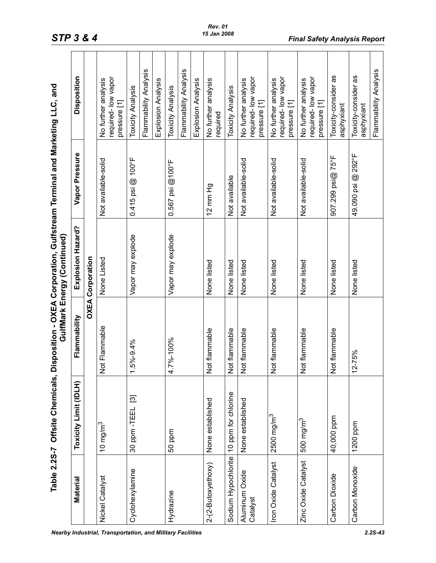|                            | Table 2.2S-7 Offsite Chemicals, Disposition - OXEA Corporation, Gulfstream Terminal and Marketing LLC, and |                    | GulfMark Energy (Continued) |                               |                                                           |
|----------------------------|------------------------------------------------------------------------------------------------------------|--------------------|-----------------------------|-------------------------------|-----------------------------------------------------------|
| Material                   | Toxicity Limit (IDLH)                                                                                      | Flammability       | Explosion Hazard?           | Vapor Pressure                | Disposition                                               |
|                            |                                                                                                            | OXEA               | Corporation                 |                               |                                                           |
| Nickel Catalyst            | 10 mg/m $^3$                                                                                               | ot Flammable<br>z  | None Listed                 | Not available-solid           | required-low vapor<br>No further analysis<br>pressure [1] |
| Cyclohexylamine            | 30 ppm - TEEL [3]                                                                                          | 5%-9.4%<br>↽       | Vapor may explode           | $0.415$ psi @ $100^{\circ}$ F | Flammability Analysis<br><b>Toxicity Analysis</b>         |
|                            |                                                                                                            |                    |                             |                               | Explosion Analysis                                        |
| Hydrazine                  | 50 ppm                                                                                                     | 7%-100%<br>4       | Vapor may explode           | $0.567$ psi $@100^{\circ}$ F  | <b>Toxicity Analysis</b>                                  |
|                            |                                                                                                            |                    |                             |                               | Flammability Analysis                                     |
|                            |                                                                                                            |                    |                             |                               | Explosion Analysis                                        |
| 2-(2-Butoxyethoxy)         | None established                                                                                           | lot flammable<br>z | None listed                 | $12$ mm $Hg$                  | No further analysis<br>required                           |
| Sodium Hypochlorite        | 10 ppm for chlorine                                                                                        | ot flammable<br>z  | None listed                 | Not available                 | <b>Toxicity Analysis</b>                                  |
| Aluminum Oxide<br>Catalyst | None established                                                                                           | ot flammable<br>z  | None listed                 | Not available-solid           | required-low vapor<br>No further analysis<br>pressure [1] |
| Iron Oxide Catalyst        | $2500$ mg/m <sup>3</sup>                                                                                   | Not flammable      | None listed                 | Not available-solid           | required-low vapor<br>No further analysis<br>pressure [1] |
| Zinc Oxide Catalyst        | 500 mg/m <sup>3</sup>                                                                                      | ot flammable<br>z  | None listed                 | Not available-solid           | required-low vapor<br>No further analysis<br>pressure [1] |
| Carbon Dioxide             | 40,000 ppm                                                                                                 | ot flammable<br>z  | None listed                 | 907.299 psi@ 75°F             | Toxicity-consider as<br>asphyxiant                        |
| Carbon Monoxide            | 1200 ppm                                                                                                   | 2-75%<br>↽         | None listed                 | 49.090 psi @ 292°F            | Toxicity-consider as<br>asphyxiant                        |
|                            |                                                                                                            |                    |                             |                               | Flammability Analysis                                     |

# *STP 3 & 4 Final Safety Analysis Report*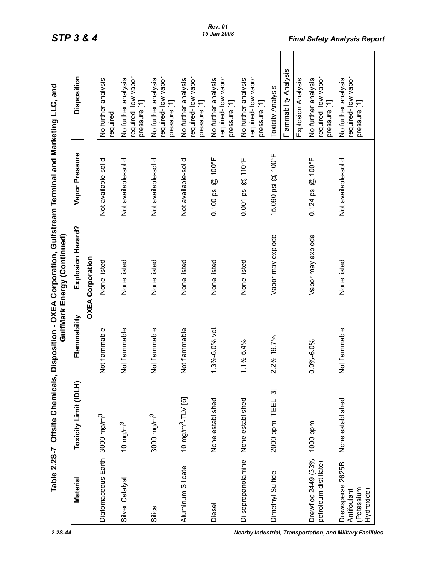|                                                                                                                                          | Disnosition                      |
|------------------------------------------------------------------------------------------------------------------------------------------|----------------------------------|
|                                                                                                                                          |                                  |
| able 2.2S-7 Offsite Chemicals, Disposition - OXEA Corporation, Gulfstream Terminal and Marketing LLC, and<br>GulfMark Energy (Continued) | Fynlosion Hazard? Vanor Pressire |
|                                                                                                                                          | <b>Flammahiin</b>                |
|                                                                                                                                          | ニュニ<br>LU the limit of the limit |
|                                                                                                                                          |                                  |

|                                                                |                               |                         | Table 2.2S-7 Offsite Chemicals, Disposition - OXEA Corporation, Gulfstream Terminal and Marketing LLC, and<br>GulfMark Energy (Continued) |                               |                                                                         |
|----------------------------------------------------------------|-------------------------------|-------------------------|-------------------------------------------------------------------------------------------------------------------------------------------|-------------------------------|-------------------------------------------------------------------------|
| Material                                                       | Toxicity Limit (IDLH)         | Flammability            | Explosion Hazard?                                                                                                                         | Vapor Pressure                | <b>Disposition</b>                                                      |
|                                                                |                               |                         | <b>OXEA Corporation</b>                                                                                                                   |                               |                                                                         |
| Diatomaceous Earth                                             | 3000 mg/m $3$                 | Not flammable           | None listed                                                                                                                               | Not available-solid           | No further analysis<br>required                                         |
| Silver Catalyst                                                | 10 mg/m $^3$                  | Not flammable           | None listed                                                                                                                               | Not available-solid           | required-low vapor<br>No further analysis<br>pressure [1]               |
| Silica                                                         | 3000 mg/m $3$                 | Not flammable           | None listed                                                                                                                               | Not available-solid           | required-low vapor<br>No further analysis<br>pressure [1]               |
| Aluminum Silicate                                              | 10 mg/m <sup>3</sup> -TLV [6] | Not flammable           | None listed                                                                                                                               | Not available-solid           | required-low vapor<br>No further analysis<br>pressure [1]               |
| Diesel                                                         | None established              | 1.3%-6.0% vol.          | None listed                                                                                                                               | $0.100$ psi $@$ 100°F         | required-low vapor<br>No further analysis<br>pressure [1]               |
| Diisopropanolamine                                             | None established              | $1\% - 5.4\%$<br>$\div$ | None listed                                                                                                                               | $0.001$ psi @ 110°F           | required-low vapor<br>No further analysis<br>pressure [1]               |
| Dimethyl Sulfide                                               | 2000 ppm -TEEL [3]            | $2.2\% - 19.7\%$        | Vapor may explode                                                                                                                         | 15.090 psi @ 100°F            | Flammability Analysis<br>Explosion Analysis<br><b>Toxicity Analysis</b> |
| Drewfloc 2449 (33%<br>petroleum distillate)                    | 1000 ppm                      | $0.9\% - 6.0\%$         | Vapor may explode                                                                                                                         | $0.124$ psi @ $100^{\circ}$ F | required-low vapor<br>No further analysis<br>pressure [1]               |
| 2625B<br>Drewsperse<br>(Potassium<br>Hydroxide)<br>Antifoulant | None established              | Not flammable           | None listed                                                                                                                               | Not available-solid           | required-low vapor<br>No further analysis<br>pressure [1]               |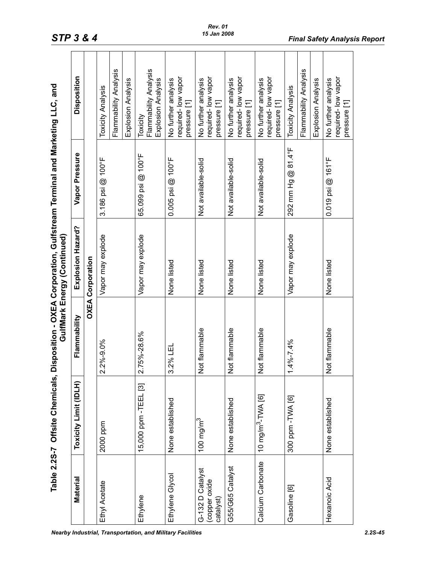| $\frac{1}{2}$<br>,<br>. To who<br>l. |        |
|--------------------------------------|--------|
| $\frac{1}{2}$<br>こく トロンへ<br>うりく      | )<br>) |
| $\frac{1}{2}$                        | .<br>ו |
| م Che                                |        |
| <b>I くく</b><br>7                     |        |

|                                                | Table 2.2S-7 Offsite Chemicals, D |                 | isposition - OXEA Corporation, Gulfstream Terminal and Marketing LLC, and<br>GulfMark Energy (Continued) |                       |                                                           |
|------------------------------------------------|-----------------------------------|-----------------|----------------------------------------------------------------------------------------------------------|-----------------------|-----------------------------------------------------------|
| Material                                       | Toxicity Limit (IDLH)             | Flammability    | Explosion Hazard?                                                                                        | Vapor Pressure        | Disposition                                               |
|                                                |                                   |                 | <b>OXEA Corporation</b>                                                                                  |                       |                                                           |
| Ethyl Acetate                                  | 2000 ppm                          | 2.2%-9.0%       | Vapor may explode                                                                                        | 3.186 psi @ 100°F     | <b>Toxicity Analysis</b>                                  |
|                                                |                                   |                 |                                                                                                          |                       | Flammability Analysis                                     |
|                                                |                                   |                 |                                                                                                          |                       | Explosion Analysis                                        |
| Ethylene                                       | 15,000 ppm - TEEL [3]             | 5%-28.6%<br>2.7 | Vapor may explode                                                                                        | 65.099 psi @ 100°F    | Flammability Analysis<br>Explosion Analysis<br>Toxicity   |
| Ethylene Glycol                                | None established                  | 3.2% LEL        | None listed                                                                                              | $0.005$ psi @ 100°F   | required-low vapor<br>No further analysis<br>pressure [1] |
| G-132 D Catalyst<br>(copper oxide<br>catalyst) | 100 mg/m $^3$                     | Not flammable   | None listed                                                                                              | Not available-solid   | required-low vapor<br>No further analysis<br>pressure [1] |
| G55/G65 Catalyst                               | None established                  | Not flammable   | None listed                                                                                              | Not available-solid   | required-low vapor<br>No further analysis<br>pressure [1] |
| Calcium Carbonate                              | 10 mg/m <sup>3</sup> -TWA [6]     | Not flammable   | None listed                                                                                              | Not available-solid   | required-low vapor<br>No further analysis<br>pressure [1] |
| Gasoline [6]                                   | 300 ppm - TVA [6]                 | $1.4\% - 7.4\%$ | Vapor may explode                                                                                        | 81.4°F<br>292 mm Hg @ | Flammability Analysis<br><b>Toxicity Analysis</b>         |
|                                                |                                   |                 |                                                                                                          |                       | Explosion Analysis                                        |
| Hexanoic Acid                                  | None established                  | Not flammable   | None listed                                                                                              | $0.019$ psi @ 161°F   | required-low vapor<br>No further analysis<br>pressure [1] |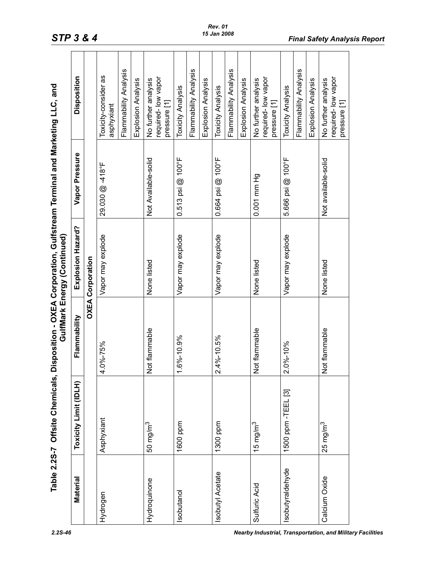|                  | Table 2.2S-7 Offsite Chemicals, |                    | Disposition - OXEA Corporation, Gulfstream Terminal and Marketing LLC, and<br>GulfMark Energy (Continued) |                       |                                                           |
|------------------|---------------------------------|--------------------|-----------------------------------------------------------------------------------------------------------|-----------------------|-----------------------------------------------------------|
| Material         | Toxicity Limit (IDLH)           | Flammability       | Explosion Hazard?                                                                                         | Vapor Pressure        | Disposition                                               |
|                  |                                 |                    | <b>OXEA Corporation</b>                                                                                   |                       |                                                           |
| Hydrogen         | Asphyxiant                      | $.0\% - 75\%$<br>4 | Vapor may explode                                                                                         | 29.030 @ -418°F       | Toxicity-consider as<br>asphyxiant                        |
|                  |                                 |                    |                                                                                                           |                       | Flammability Analysis                                     |
|                  |                                 |                    |                                                                                                           |                       | Explosion Analysis                                        |
| Hydroquinone     | 50 mg/m <sup>3</sup>            | Not flammable      | None listed                                                                                               | Not Available-solid   | required-low vapor<br>No further analysis<br>pressure [1] |
| Isobutanol       | 1600 ppm                        | $.6\% - 10.9\%$    | Vapor may explode                                                                                         | $0.513$ psi $@$ 100°F | <b>Toxicity Analysis</b>                                  |
|                  |                                 |                    |                                                                                                           |                       | Flammability Analysis                                     |
|                  |                                 |                    |                                                                                                           |                       | Explosion Analysis                                        |
| Isobutyl Acetate | 1300 ppm                        | $2.4\% - 10.5\%$   | Vapor may explode                                                                                         | 0.664 psi @ 100°F     | Toxicity Analysis                                         |
|                  |                                 |                    |                                                                                                           |                       | Flammability Analysis                                     |
|                  |                                 |                    |                                                                                                           |                       | Explosion Analysis                                        |
| Sulfuric Acid    | 15 mg/m $^3$                    | Not flammable      | None listed                                                                                               | 0.001 mm Hg           | required-low vapor<br>No further analysis<br>pressure [1] |
| sobutyraldehyde  | 1500 ppm - TEEL [3]             | $2.0\% - 10\%$     | Vapor may explode                                                                                         | 5.666 psi @ 100°F     | <b>Toxicity Analysis</b>                                  |
|                  |                                 |                    |                                                                                                           |                       | Flammability Analysis                                     |
|                  |                                 |                    |                                                                                                           |                       | Explosion Analysis                                        |
| Calcium Oxide    | $25$ mg/m $3$                   | Not flammable      | None listed                                                                                               | Not available-solid   | required-low vapor<br>No further analysis<br>pressure [1] |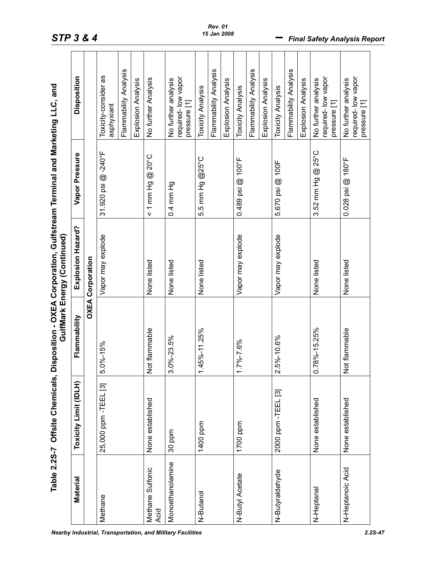|                                                                                                           | Disposition           |                         | Toxicity-consider as<br>asphyxiant | Flammability Analysis | Explosion Analysis | No further Analysis               | required-low vapor<br>No further analysis<br>pressure [1] | <b>Toxicity Analysis</b> | Flammability Analysis | Explosion Analysis | <b>Toxicity Analysis</b> | Flammability Analysis | Explosion Analysis | Toxicity Analysis   | Flammability Analysis | Explosion Analysis | required-low vapor<br>No further analysis<br>pressure [1] | required-low vapor<br>No further analysis<br>pressure [1] |
|-----------------------------------------------------------------------------------------------------------|-----------------------|-------------------------|------------------------------------|-----------------------|--------------------|-----------------------------------|-----------------------------------------------------------|--------------------------|-----------------------|--------------------|--------------------------|-----------------------|--------------------|---------------------|-----------------------|--------------------|-----------------------------------------------------------|-----------------------------------------------------------|
|                                                                                                           | Vapor Pressure        |                         | 31.920 psi @-240°F                 |                       |                    | $< 1$ mm Hg $\textcircled{20}$ °C | 0.4 mm Hg                                                 | 5.5 mm Hg @25°C          |                       |                    | 0.489 psi @ 100°F        |                       |                    | 5.670 psi @ 100F    |                       |                    | 3.52 mm Hg @ 25°C                                         | 0.028 psi @ 180°F                                         |
| Disposition - OXEA Corporation, Gulfstream Terminal and Marketing LLC, and<br>GulfMark Energy (Continued) | Explosion Hazard?     | <b>OXEA Corporation</b> | Vapor may explode                  |                       |                    | None listed                       | None listed                                               | None listed              |                       |                    | Vapor may explode        |                       |                    | Vapor may explode   |                       |                    | None listed                                               | None listed                                               |
|                                                                                                           | Flammability          |                         | $5.0\% - 15\%$                     |                       |                    | Not flammable                     | $3.0\% - 23.5\%$                                          | 45%-11.25%               |                       |                    | $7\% - 7.6\%$            |                       |                    | $2.5\% - 10.6\%$    |                       |                    | 0.78%-15.25%                                              | <b>Not flammable</b>                                      |
| Table 2.2S-7 Offsite Chemicals,                                                                           | Toxicity Limit (IDLH) |                         | 25,000 ppm - TEEL [3]              |                       |                    | None established                  | 30 ppm                                                    | 1400 ppm                 |                       |                    | 1700 ppm                 |                       |                    | 2000 ppm - TEEL [3] |                       |                    | None established                                          | None established                                          |
|                                                                                                           | Material              |                         | Methane                            |                       |                    | Methane Sulfonic<br>Acid          | Monoethanolamine                                          | N-Butanol                |                       |                    | N-Butyl Acetate          |                       |                    | N-Butyraldehyde     |                       |                    | N-Heptanal                                                | N-Heptanoic Acid                                          |

*Rev. 01 15 Jan 2008*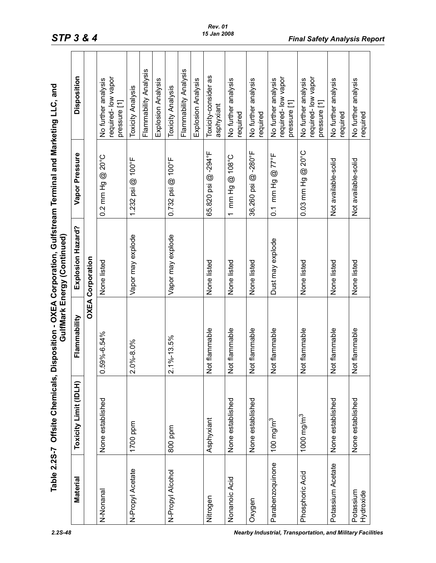|                        | Table 2.2S-7 Offsite Chemicals, |                          | Disposition - OXEA Corporation, Gulfstream Terminal and Marketing LLC, and<br>GulfMark Energy (Continued) |                                                |                                                           |
|------------------------|---------------------------------|--------------------------|-----------------------------------------------------------------------------------------------------------|------------------------------------------------|-----------------------------------------------------------|
| Material               | Toxicity Limit (IDLH)           | Flammability             | Explosion Hazard?                                                                                         | Vapor Pressure                                 | <b>Disposition</b>                                        |
|                        |                                 |                          | <b>OXEA Corporation</b>                                                                                   |                                                |                                                           |
| N-Nonanal              | None established                | 59%-6.54%                | None listed                                                                                               | $0.2$ mm Hg @ $20^{\circ}$ C                   | required-low vapor<br>No further analysis<br>pressure [1] |
| N-Propyl Acetate       | 1700 ppm                        | $.0\% - 8.0\%$<br>$\sim$ | Vapor may explode                                                                                         | $1.232$ psi $@$ $100^{\circ}$ F                | <b>Toxicity Analysis</b>                                  |
|                        |                                 |                          |                                                                                                           |                                                | Flammability Analysis                                     |
|                        |                                 |                          |                                                                                                           |                                                | Explosion Analysis                                        |
| N-Propyl Alcohol       | 800 ppm                         | $2.1\% - 13.5\%$         | Vapor may explode                                                                                         | $0.732$ psi @ 100°F                            | <b>Toxicity Analysis</b>                                  |
|                        |                                 |                          |                                                                                                           |                                                | Flammability Analysis                                     |
|                        |                                 |                          |                                                                                                           |                                                | Explosion Analysis                                        |
| Nitrogen               | Asphyxiant                      | Not flammable            | None listed                                                                                               | 65.820 psi @-294°F                             | Toxicity-consider as<br>asphyxiant                        |
| Nonanoic Acid          | None established                | Not flammable            | None listed                                                                                               | mm Hg @ 108°C<br>$\overline{\phantom{0}}$      | No further analysis<br>required                           |
| Oxygen                 | None established                | Not flammable            | None listed                                                                                               | 36.260 psi @-280°F                             | No further analysis<br>required                           |
| Parabenzoquinone       | 100 mg/m $^3$                   | Not flammable            | Dust may explode                                                                                          | $0.1$ mm Hg $@$ 77°F                           | required-low vapor<br>No further analysis<br>pressure [1] |
| Phosphoric Acid        | 1000 mg/m $^3$                  | Not flammable            | None listed                                                                                               | $20^{\circ}$ C<br>$^{\circledR}$<br>0.03 mm Hg | required-low vapor<br>No further analysis<br>pressure [1] |
| Potassium Acetate      | None established                | Not flammable            | None listed                                                                                               | Not available-solid                            | No further analysis<br>required                           |
| Potassium<br>Hydroxide | None established                | Not flammable            | None listed                                                                                               | Not available-solid                            | No further analysis<br>required                           |

#### *Rev. 01 15 Jan 2008*

*2.2S-48 Nearby Industrial, Transportation, and Military Facilities*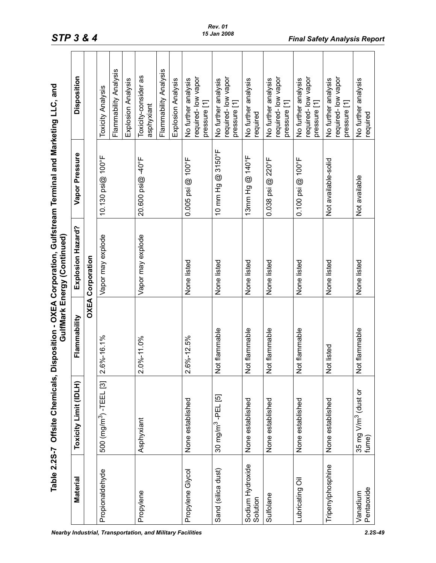|                              | Table 2.2S-7 Offsite Chemicals,          |                                          | Disposition - OXEA Corporation, Gulfstream Terminal and Marketing LLC, and<br>GulfMark Energy (Continued) |                       |                                                           |
|------------------------------|------------------------------------------|------------------------------------------|-----------------------------------------------------------------------------------------------------------|-----------------------|-----------------------------------------------------------|
| Material                     | Toxicity Limit (IDLH)                    | Flammability                             | Explosion Hazard?                                                                                         | Vapor Pressure        | <b>Disposition</b>                                        |
|                              |                                          | <b>OXEA</b>                              | Corporation                                                                                               |                       |                                                           |
| Propionaldehyde              | 500 (mg/m <sup>3</sup> ) - TEEL [3]      | $2.6\% - 16.1\%$<br>$\mathbf{\tilde{a}}$ | Vapor may explode                                                                                         | 10.130 psi@ 100°F     | <b>Toxicity Analysis</b>                                  |
|                              |                                          |                                          |                                                                                                           |                       | Flammability Analysis                                     |
|                              |                                          |                                          |                                                                                                           |                       | Explosion Analysis                                        |
| Propylene                    | Asphyxiant                               | 2.0%-11.0%                               | Vapor may explode                                                                                         | 20.600 psi@ -40°F     | Toxicity-consider as<br>asphyxiant                        |
|                              |                                          |                                          |                                                                                                           |                       | Flammability Analysis                                     |
|                              |                                          |                                          |                                                                                                           |                       | Explosion Analysis                                        |
| Propylene Glycol             | None established                         | $2.6\% - 12.5\%$                         | None listed                                                                                               | $0.005$ psi @ 100°F   | required-low vapor<br>No further analysis<br>pressure [1] |
| Sand (silica dust)           | 30 mg/m <sup>3</sup> -PEL [5]            | Not flammable                            | None listed                                                                                               | 10 mm Hg @ 3150°F     | required-low vapor<br>No further analysis<br>pressure [1] |
| Sodium Hydroxide<br>Solution | None established                         | Not flammable                            | None listed                                                                                               | @ 140°F<br>13mm Hg    | No further analysis<br>required                           |
| Sulfolane                    | None established                         | Not flammable                            | None listed                                                                                               | 0.038 psi @ 220°F     | required-low vapor<br>No further analysis<br>pressure [1] |
| Lubricating Oil              | None established                         | Not flammable                            | None listed                                                                                               | $0.100$ psi $@$ 100°F | required-low vapor<br>No further analysis<br>pressure [1] |
| Tripenylphosphine            | None established                         | Not listed                               | None listed                                                                                               | Not available-solid   | required-low vapor<br>No further analysis<br>pressure [1] |
| Pentaoxide<br>Vanadium       | 35 mg V/m <sup>3</sup> (dust or<br>fume) | Not flammable                            | None listed                                                                                               | Not available         | No further analysis<br>required                           |
|                              |                                          |                                          |                                                                                                           |                       |                                                           |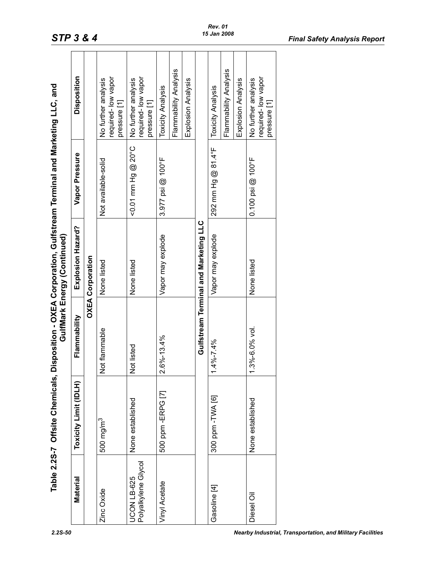|                                    | Table 2.2S-7 Offsite Chemicals, |                                     | GulfMark Energy (Continued)           | Disposition - OXEA Corporation, Gulfstream Terminal and Marketing LLC, and |                                                           |
|------------------------------------|---------------------------------|-------------------------------------|---------------------------------------|----------------------------------------------------------------------------|-----------------------------------------------------------|
| Material                           | Toxicity Limit (IDLH)           | Flammability                        | Explosion Hazard?                     | Vapor Pressure                                                             | Disposition                                               |
|                                    |                                 |                                     | <b>OXEA Corporation</b>               |                                                                            |                                                           |
| Zinc Oxide                         | 500 mg/m <sup>3</sup>           | ot flammable<br>z                   | None listed                           | Not available-solid                                                        | required-low vapor<br>No further analysis<br>pressure [1] |
| Polyalkylene Glycol<br>JCON LB-625 | None established                | ot listed<br>z                      | None listed                           | $0.07$ mm Hg $\circ$ 20°                                                   | required-low vapor<br>No further analysis<br>pressure [1] |
| Vinyl Acetate                      | 500 ppm - ERPG [7]              | $6\% - 13.4\%$<br>$\mathbf{\Omega}$ | Vapor may explode                     | 3.977 psi @ 100°F                                                          | <b>Toxicity Analysis</b>                                  |
|                                    |                                 |                                     |                                       |                                                                            | Flammability Analysis                                     |
|                                    |                                 |                                     |                                       |                                                                            | Explosion Analysis                                        |
|                                    |                                 |                                     | Gulfstream Terminal and Marketing LLC |                                                                            |                                                           |
| Gasoline [4]                       | 300 ppm - TVA [6]               | 4%-7.4%                             | Vapor may explode                     | 292 mm Hg @ 81.4°F                                                         | <b>Toxicity Analysis</b>                                  |
|                                    |                                 |                                     |                                       |                                                                            | Flammability Analysis                                     |
|                                    |                                 |                                     |                                       |                                                                            | Explosion Analysis                                        |
| Diesel Oil                         | None established                | $.3\% - 6.0\%$ vol.<br>ᡪ            | None listed                           | $0.100$ psi @ $100^{\circ}$ F                                              | required-low vapor<br>No further analysis<br>pressure [1] |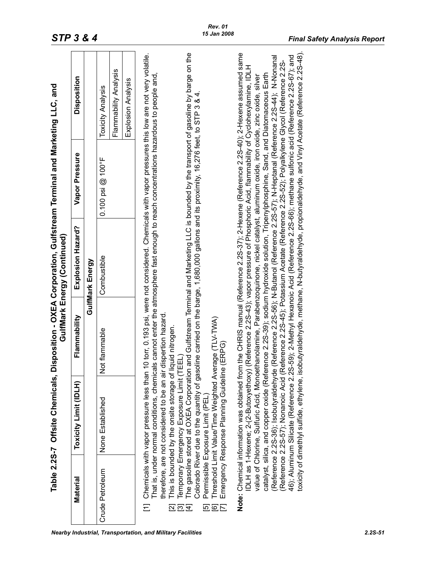| Material                         | Table 2.2S-7 Offsite Chemicals, D<br>Toxicity Limit (IDLH)                                                                                                                                                                                                                                                                               | Flammability                                                                                                                                                                                                                                                                                                | isposition - OXEA Corporation, Gulfstream Terminal and Marketing LLC, and<br>Explosion Hazard?<br>GulfMark Energy (Continued) | Vapor Pressure                     | Disposition                                                                                                                                                                                                                                                                                                                                                                                                                                                                                                                                                                    |
|----------------------------------|------------------------------------------------------------------------------------------------------------------------------------------------------------------------------------------------------------------------------------------------------------------------------------------------------------------------------------------|-------------------------------------------------------------------------------------------------------------------------------------------------------------------------------------------------------------------------------------------------------------------------------------------------------------|-------------------------------------------------------------------------------------------------------------------------------|------------------------------------|--------------------------------------------------------------------------------------------------------------------------------------------------------------------------------------------------------------------------------------------------------------------------------------------------------------------------------------------------------------------------------------------------------------------------------------------------------------------------------------------------------------------------------------------------------------------------------|
|                                  |                                                                                                                                                                                                                                                                                                                                          |                                                                                                                                                                                                                                                                                                             | GulfMark Energy                                                                                                               |                                    |                                                                                                                                                                                                                                                                                                                                                                                                                                                                                                                                                                                |
| Crude Petroleum                  | None Established                                                                                                                                                                                                                                                                                                                         | Not flammable                                                                                                                                                                                                                                                                                               | Combustible                                                                                                                   | $0.100$ psi @ $100$ <sup>5</sup> F | Flammability Analysis<br>Explosion Analysis<br><b>Toxicity Analysis</b>                                                                                                                                                                                                                                                                                                                                                                                                                                                                                                        |
| <u>ය ල ප</u><br>Ξ<br>නු<br>$\Xi$ | Threshold Limit Value/Time Weighted Average (TLV-TWA)<br>This is bounded by the onsite storage of liquid nitrogen.<br>Temporary Emergency Exposure Limit (TEEL<br>therefore, are not considered to be an air d<br>Chemicals with vapor pressure less than 1<br>Emergency Response Planning Guideline<br>Permissible Exposure Limit (PEL) | That is, under normal conditions, chemicals cannot enter the atmosphere fast enough to reach concentrations hazardous to people and,<br>Colorado River due to the quantity of gasoline carried on the barge, 1,680,000 gallons and its proximity, 16,276 feet, to STP 3 & 4.<br>ispertion hazard.<br>(ERPG) |                                                                                                                               |                                    | The gasoline stored at OXEA Corporation and Gulfstream Terminal and Marketing LLC is bounded by the transport of gasoline by barge on the<br>0 torr, 0.193 psi, were not considered. Chemicals with vapor pressures this low are not very volatile.                                                                                                                                                                                                                                                                                                                            |
|                                  | Note: Chemical information was obtained from<br>toxicity of dimethlyl sulfide, ethylene, isol<br>IDLH as 1-Hexene; 2-(2-Butoxyethoxy)<br>(Reference 2.2S-36); Isobutyraldehyde                                                                                                                                                           | catalyst, silica, and copper oxide (Reference 2.2S-39); sodium hydroxide solution, Tripenylphosphine, Sand, and Diatomaceous Earth<br>value of Chlorine, Sulfuric Acid, Monoethanolamine, Parabenzoquinone, nickel catalyst, aluminum oxide, iron oxide, zinc oxide, silver                                 | Reference 2.2S-43); vapor pressure of Phosphoric Acid, flammability of Cyclohexylamine, IDLH                                  |                                    | butyraldehyde, methane, N-butyraldehyde, propionaldehyde, and Vinyl Acetate (Reference 2.2S-48).<br>the CHRIS manual (Reference 2.2S-37); 2-Hexene (Reference 2.2S-40); 2-Hexene assumed same<br>46); Aluminum Silicate (Reference 2.2S-59); 2-Methyl Hexanoic Acid (Reference 2.2S-66); methane sulfonic acid (Reference 2.2S-67); and<br>Reference 2.2S-56); N-Butanol (Reference 2.2S-57); N-Heptanal (Reference 2.2S-44); N-Nonanal<br>(Reference 2.2S-57); Nonanoic Acid (Reference 2.2S-45); Potassium Acetate (Reference 2.2S-52); Polyalkylene Glycol (Reference 2.2S- |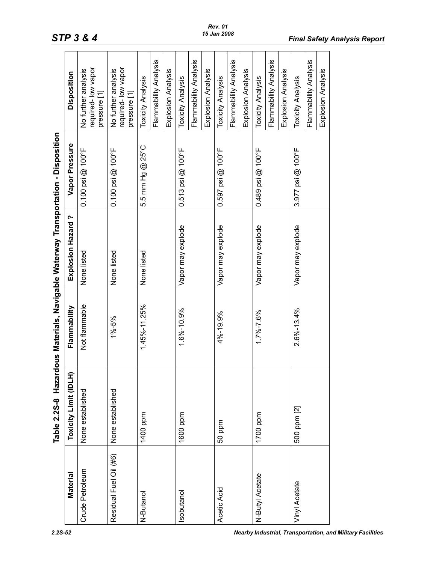<span id="page-51-0"></span>

|                                                                                   | <b>sodsir</b>                |  |
|-----------------------------------------------------------------------------------|------------------------------|--|
|                                                                                   | Vapor Pressure               |  |
|                                                                                   | Explosion Hazard?            |  |
|                                                                                   |                              |  |
| Table 2.2S-8 Hazardous Materials, Navigable Waterway Transportation - Dispositior | <b>Toxicity Limit (IDLH)</b> |  |
|                                                                                   |                              |  |

| <b>Material</b>        | Toxicity Limit (IDLH) | Flammability     | Explosion Hazard? | Vapor Pressure                | Disposition                                               |
|------------------------|-----------------------|------------------|-------------------|-------------------------------|-----------------------------------------------------------|
| Crude Petroleum        | None established      | Not flammable    | None listed       | $0.100$ psi @ $100$ °F        | required-low vapor<br>No further analysis<br>pressure [1] |
| Residual Fuel Oil (#6) | None established      | $1\% - 5\%$      | None listed       | $0.100$ psi @ $100^{\circ}$ F | required-low vapor<br>No further analysis<br>pressure [1] |
| N-Butanol              | 1400 ppm              | 1.45%-11.25%     | None listed       | 5.5 mm Hg @ 25°C              | Flammability Analysis<br><b>Toxicity Analysis</b>         |
|                        |                       |                  |                   |                               | Explosion Analysis                                        |
| sobutanol              | 1600 ppm              | 1.6%-10.9%       | Vapor may explode | $0.513$ psi @ $100^{\circ}$ F | <b>Toxicity Analysis</b>                                  |
|                        |                       |                  |                   |                               | Flammability Analysis                                     |
|                        |                       |                  |                   |                               | Explosion Analysis                                        |
| Acetic Acid            | 50 ppm                | 4%-19.9%         | Vapor may explode | $0.597$ psi @ 100°F           | Toxicity Analysis                                         |
|                        |                       |                  |                   |                               | Flammability Analysis                                     |
|                        |                       |                  |                   |                               | Explosion Analysis                                        |
| N-Butyl Acetate        | 1700 ppm              | 1.7%-7.6%        | Vapor may explode | $0.489$ psi @ 100°F           | Toxicity Analysis                                         |
|                        |                       |                  |                   |                               | Flammability Analysis                                     |
|                        |                       |                  |                   |                               | Explosion Analysis                                        |
| Vinyl Acetate          | 500 ppm [2]           | $2.6\% - 13.4\%$ | Vapor may explode | 3.977 psi @ 100°F             | Toxicity Analysis                                         |
|                        |                       |                  |                   |                               | Flammability Analysis                                     |
|                        |                       |                  |                   |                               | Explosion Analysis                                        |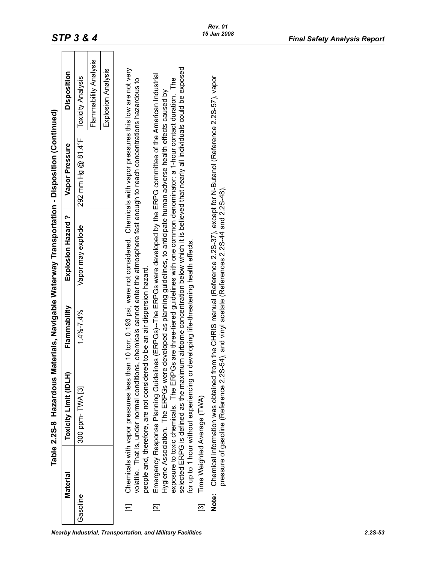<span id="page-52-0"></span>

|                          | Material | Table 2.2S-8 Hazardous M                                                                                                                                                                                                                                     | Flammability                                | aterials, Navigable Waterway Transportation - Disposition (Continued)<br>Explosion Hazard? | Vapor Pressure     |                          |
|--------------------------|----------|--------------------------------------------------------------------------------------------------------------------------------------------------------------------------------------------------------------------------------------------------------------|---------------------------------------------|--------------------------------------------------------------------------------------------|--------------------|--------------------------|
|                          |          | Toxicity Limit (IDLH)                                                                                                                                                                                                                                        |                                             |                                                                                            |                    | <b>Disposition</b>       |
| Gasoline                 |          | 300 ppm-TWA [3]                                                                                                                                                                                                                                              | $1.4\% - 7.4\%$                             | Vapor may explode                                                                          | 292 mm Hg @ 81.4°F | <b>Toxicity Analysis</b> |
|                          |          |                                                                                                                                                                                                                                                              |                                             |                                                                                            |                    | Flammability Analysis    |
|                          |          |                                                                                                                                                                                                                                                              |                                             |                                                                                            |                    | Explosion Analysis       |
|                          |          | Chemicals with vapor pressures less than 10 torr, 0.193 psi, were not considered. Chemicals with vapor pressures this low are not very                                                                                                                       |                                             |                                                                                            |                    |                          |
|                          |          | volatile. That is, under normal conditions, chemicals cannot enter the atmosphere fast enough to reach concentrations hazardous to<br>people and, therefore, are not considered to be an air dispersion hazard.                                              |                                             |                                                                                            |                    |                          |
| $\overline{\mathbb{Z}}$  |          | Emergency Response Planning Guidelines (ERPGs)-The ERPGs were developed by the ERPG committee of the American Industrial                                                                                                                                     |                                             |                                                                                            |                    |                          |
|                          |          | exposure to toxic chemicals. The ERPGs are three-tiered guidelines with one common denominator: a 1-hour contact duration. The<br>Hygiene Association. The ERPGs were developed as planning guidelines, to anticipate human adverse health effects caused by |                                             |                                                                                            |                    |                          |
|                          |          | selected ERPG is defined as the maximum airborne concentration below which it is believed that nearly all individuals could be exposed<br>for up to 1 hour without experiencing or                                                                           | developing life-threatening health effects. |                                                                                            |                    |                          |
| $\overline{\mathcal{E}}$ |          | Time Weighted Average (TWA)                                                                                                                                                                                                                                  |                                             |                                                                                            |                    |                          |
| Note:                    |          | Chemical information was obtained from the CHRIS manual (Reference 2.2S-37), except for N-Butanol (Reference 2.2S-57), vapor<br>pressure of gasoline (Reference 2.2S-54), and vinyl acetate (References 2.2S-44 and 2.2S-48).                                |                                             |                                                                                            |                    |                          |
|                          |          |                                                                                                                                                                                                                                                              |                                             |                                                                                            |                    |                          |
|                          |          |                                                                                                                                                                                                                                                              |                                             |                                                                                            |                    |                          |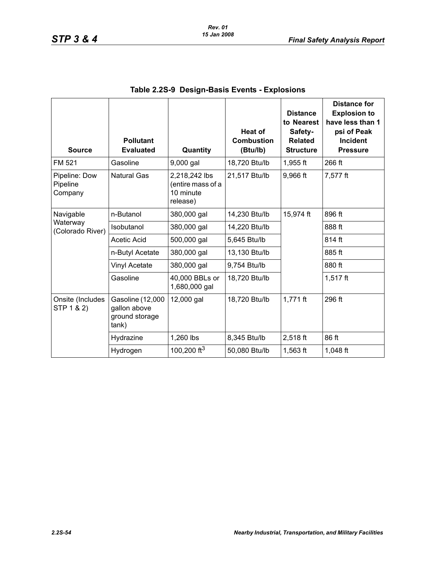<span id="page-53-0"></span>

| <b>Source</b>                        | <b>Pollutant</b><br><b>Evaluated</b>                        | Quantity                                                    | <b>Heat of</b><br><b>Combustion</b><br>(Btu/lb) | <b>Distance</b><br>to Nearest<br>Safety-<br><b>Related</b><br><b>Structure</b> | <b>Distance for</b><br><b>Explosion to</b><br>have less than 1<br>psi of Peak<br><b>Incident</b><br><b>Pressure</b> |
|--------------------------------------|-------------------------------------------------------------|-------------------------------------------------------------|-------------------------------------------------|--------------------------------------------------------------------------------|---------------------------------------------------------------------------------------------------------------------|
| FM 521                               | Gasoline                                                    | 9,000 gal                                                   | 18,720 Btu/lb                                   | $1,955$ ft                                                                     | 266 ft                                                                                                              |
| Pipeline: Dow<br>Pipeline<br>Company | <b>Natural Gas</b>                                          | 2,218,242 lbs<br>(entire mass of a<br>10 minute<br>release) | 21,517 Btu/lb                                   | 9,966 ft                                                                       | 7,577 ft                                                                                                            |
| Navigable                            | n-Butanol                                                   | 380,000 gal                                                 | 14,230 Btu/lb                                   | 15,974 ft                                                                      | 896 ft                                                                                                              |
| Waterway<br>(Colorado River)         | Isobutanol                                                  | 380,000 gal                                                 | 14,220 Btu/lb                                   |                                                                                | 888 ft                                                                                                              |
|                                      | Acetic Acid                                                 | 500,000 gal                                                 | 5,645 Btu/lb                                    |                                                                                | 814 ft                                                                                                              |
|                                      | n-Butyl Acetate                                             | 380,000 gal                                                 | 13,130 Btu/lb                                   |                                                                                | 885 ft                                                                                                              |
|                                      | Vinyl Acetate                                               | 380,000 gal                                                 | 9,754 Btu/lb                                    |                                                                                | 880 ft                                                                                                              |
|                                      | Gasoline                                                    | 40,000 BBLs or<br>1,680,000 gal                             | 18,720 Btu/lb                                   |                                                                                | $1,517$ ft                                                                                                          |
| Onsite (Includes<br>STP 1 & 2)       | Gasoline (12,000<br>gallon above<br>ground storage<br>tank) | 12,000 gal                                                  | 18,720 Btu/lb                                   | $1,771$ ft                                                                     | 296 ft                                                                                                              |
|                                      | Hydrazine                                                   | 1,260 lbs                                                   | 8,345 Btu/lb                                    | 2,518 ft                                                                       | 86 ft                                                                                                               |
|                                      | Hydrogen                                                    | 100,200 ft <sup>3</sup>                                     | 50,080 Btu/lb                                   | $1,563$ ft                                                                     | 1,048 ft                                                                                                            |

#### **Table 2.2S-9 Design-Basis Events - Explosions**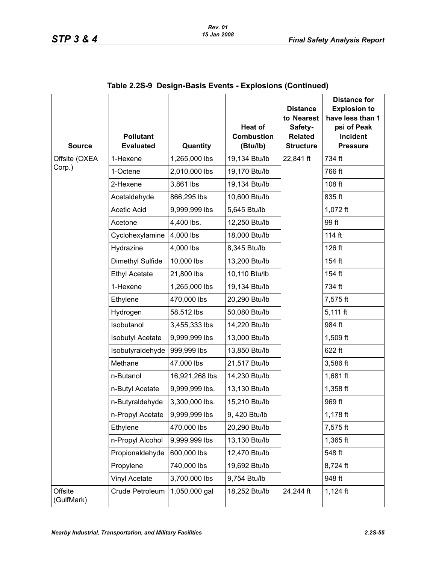| <b>Source</b>         | <b>Pollutant</b><br><b>Evaluated</b> | Quantity        | Heat of<br><b>Combustion</b><br>(Btu/lb) | <b>Distance</b><br>to Nearest<br>Safety-<br><b>Related</b><br><b>Structure</b> | <b>Distance for</b><br><b>Explosion to</b><br>have less than 1<br>psi of Peak<br>Incident<br><b>Pressure</b> |
|-----------------------|--------------------------------------|-----------------|------------------------------------------|--------------------------------------------------------------------------------|--------------------------------------------------------------------------------------------------------------|
| Offsite (OXEA         | 1-Hexene                             | 1,265,000 lbs   | 19,134 Btu/lb                            | 22,841 ft                                                                      | 734 ft                                                                                                       |
| Corp.)                | 1-Octene                             | 2,010,000 lbs   | 19,170 Btu/lb                            |                                                                                | 766 ft                                                                                                       |
|                       | 2-Hexene                             | 3,861 lbs       | 19,134 Btu/lb                            |                                                                                | 108 ft                                                                                                       |
|                       | Acetaldehyde                         | 866,295 lbs     | 10,600 Btu/lb                            |                                                                                | 835 ft                                                                                                       |
|                       | <b>Acetic Acid</b>                   | 9,999,999 lbs   | 5,645 Btu/lb                             |                                                                                | 1,072 ft                                                                                                     |
|                       | Acetone                              | 4,400 lbs.      | 12,250 Btu/lb                            |                                                                                | 99 ft                                                                                                        |
|                       | Cyclohexylamine                      | 4,000 lbs       | 18,000 Btu/lb                            |                                                                                | 114 ft                                                                                                       |
|                       | Hydrazine                            | 4,000 lbs       | 8,345 Btu/lb                             |                                                                                | 126 ft                                                                                                       |
|                       | Dimethyl Sulfide                     | 10,000 lbs      | 13,200 Btu/lb                            |                                                                                | 154 ft                                                                                                       |
|                       | <b>Ethyl Acetate</b>                 | 21,800 lbs      | 10,110 Btu/lb                            |                                                                                | 154 ft                                                                                                       |
|                       | 1-Hexene                             | 1,265,000 lbs   | 19,134 Btu/lb                            |                                                                                | 734 ft                                                                                                       |
|                       | Ethylene                             | 470,000 lbs     | 20,290 Btu/lb                            |                                                                                | 7,575 ft                                                                                                     |
|                       | Hydrogen                             | 58,512 lbs      | 50,080 Btu/lb                            |                                                                                | $5,111$ ft                                                                                                   |
|                       | Isobutanol                           | 3,455,333 lbs   | 14,220 Btu/lb                            |                                                                                | 984 ft                                                                                                       |
|                       | <b>Isobutyl Acetate</b>              | 9,999,999 lbs   | 13,000 Btu/lb                            |                                                                                | 1,509 ft                                                                                                     |
|                       | Isobutyraldehyde                     | 999,999 lbs     | 13,850 Btu/lb                            |                                                                                | 622 ft                                                                                                       |
|                       | Methane                              | 47,000 lbs      | 21,517 Btu/lb                            |                                                                                | 3,586 ft                                                                                                     |
|                       | n-Butanol                            | 16,921,268 lbs. | 14,230 Btu/lb                            |                                                                                | 1,681 ft                                                                                                     |
|                       | n-Butyl Acetate                      | 9,999,999 lbs.  | 13,130 Btu/lb                            |                                                                                | $1,358$ ft                                                                                                   |
|                       | n-Butyraldehyde                      | 3,300,000 lbs.  | 15,210 Btu/lb                            |                                                                                | 969 ft                                                                                                       |
|                       | n-Propyl Acetate                     | 9,999,999 lbs   | 9, 420 Btu/lb                            |                                                                                | $1,178$ ft                                                                                                   |
|                       | Ethylene                             | 470,000 lbs     | 20,290 Btu/lb                            |                                                                                | 7,575 ft                                                                                                     |
|                       | n-Propyl Alcohol                     | 9,999,999 lbs   | 13,130 Btu/lb                            |                                                                                | $1,365$ ft                                                                                                   |
|                       | Propionaldehyde                      | 600,000 lbs     | 12,470 Btu/lb                            |                                                                                | 548 ft                                                                                                       |
|                       | Propylene                            | 740,000 lbs     | 19,692 Btu/lb                            |                                                                                | 8,724 ft                                                                                                     |
|                       | Vinyl Acetate                        | 3,700,000 lbs   | 9,754 Btu/lb                             |                                                                                | 948 ft                                                                                                       |
| Offsite<br>(GulfMark) | Crude Petroleum                      | 1,050,000 gal   | 18,252 Btu/lb                            | 24,244 ft                                                                      | $1,124$ ft                                                                                                   |

|  | Table 2.2S-9 Design-Basis Events - Explosions (Continued) |  |  |
|--|-----------------------------------------------------------|--|--|
|--|-----------------------------------------------------------|--|--|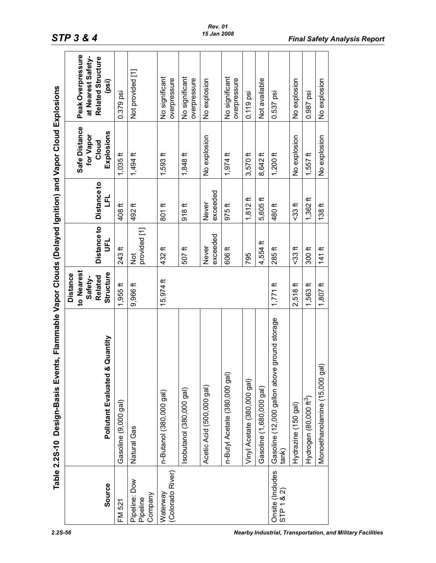<span id="page-55-0"></span>

|                                      | Table 2.2S-10 Design-Basis Events, Flammable Vapor Clouds (Delayed Ignition) and Vapor Cloud Explosions |                                                                  |                               |                          |                                                   |                                                                       |
|--------------------------------------|---------------------------------------------------------------------------------------------------------|------------------------------------------------------------------|-------------------------------|--------------------------|---------------------------------------------------|-----------------------------------------------------------------------|
| Source                               | & Quantity<br>Pollutant Evaluated                                                                       | to Nearest<br>Structure<br><b>Distance</b><br>Related<br>Safety- | <b>Distance to</b><br>ピ       | Distance to<br>E)        | Safe Distance<br>Explosions<br>for Vapor<br>Cloud | Peak Overpressure<br>at Nearest Safety-<br>Related Structure<br>(psi) |
| FM 521                               | Gasoline (9,000 gal)                                                                                    | $1,955$ ft                                                       | 243 ft                        | 408ft                    | $1,035$ ft                                        | 0.379 psi                                                             |
| Pipeline: Dow<br>Company<br>Pipeline | Natural Gas                                                                                             | 9,966 ft                                                         | provided [1]<br>$\frac{1}{2}$ | 492 <sup>ft</sup>        | $1,494$ ft                                        | Not provided [1]                                                      |
| (Colorado River)<br>Waterway         | n-Butanol (380,000 gal)                                                                                 | $15,974$ ft                                                      | 432 ft                        | $801$ ft                 | $1,593$ ft                                        | No significant<br>overpressure                                        |
|                                      | sobutanol (380,000 gal)                                                                                 |                                                                  | $507$ ft                      | 918 <sup>ft</sup>        | $1,848$ ft                                        | No significant<br>overpressure                                        |
|                                      | Acetic Acid (500,000 gal)                                                                               |                                                                  | exceeded<br>Never             | exceeded<br><b>Never</b> | No explosion                                      | No explosion                                                          |
|                                      | n-Butyl Acetate (380,000 gal)                                                                           |                                                                  | 606 ft                        | 975ft                    | $1,974$ ft                                        | No significant<br>overpressure                                        |
|                                      | Vinyl Acetate (380,000 gal)                                                                             |                                                                  | 795                           | $1,812$ ft               | $3,570$ ft                                        | $0.119$ psi                                                           |
|                                      | Gasoline (1,680,000 gal)                                                                                |                                                                  | 4,554 ft                      | 5,605 ft                 | 8,642 ft                                          | Not available                                                         |
| Onsite (Includes<br>STP 1 & 2)       | e ground storage<br>Gasoline (12,000 gallon abov<br>tank)                                               | $1,771$ ft                                                       | 285ft                         | 480 ft                   | 1,200 $ft$                                        | $0.537$ psi                                                           |
|                                      | Hydrazine (150 gal)                                                                                     | $2,518$ ft                                                       | $533$ ft                      | $-33$ ft                 | No explosion                                      | No explosion                                                          |
|                                      | Hydrogen (80,000 ft <sup>3</sup> )                                                                      | $1,563$ ft                                                       | 300f                          | $1,362$ ft               | $1,557$ ft                                        | 0.987 psi                                                             |
|                                      | Monoethanolamine (15,000 gal)                                                                           | $1,807$ ft                                                       | $141$ ft                      | 138 <sup>ft</sup>        | No explosion                                      | No explosion                                                          |

#### *Rev. 01 15 Jan 2008*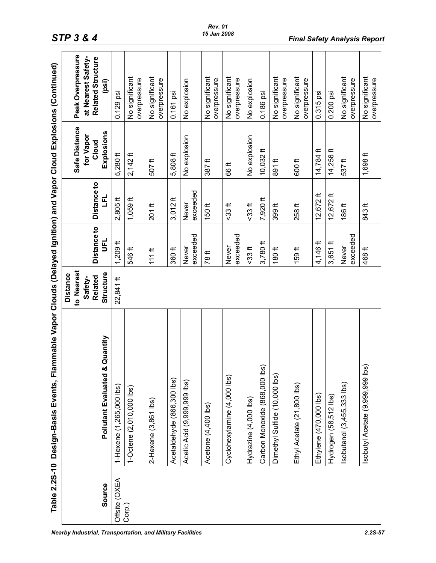| Table 2.2S-10 | ammable Vapor Clouds (Delayed Ignition) and Vapor Cloud Explosions (Continued)<br>Design-Basis Events, Fl |                                                                  |                                 |                          |                                                   |                                                                            |
|---------------|-----------------------------------------------------------------------------------------------------------|------------------------------------------------------------------|---------------------------------|--------------------------|---------------------------------------------------|----------------------------------------------------------------------------|
| Source        | & Quantity<br><b>Pollutant Evaluated</b>                                                                  | to Nearest<br>Structure<br><b>Distance</b><br>Related<br>Safety- | <b>Distance to</b><br>$\vec{5}$ | Distance to<br>ل<br>با   | Safe Distance<br>Explosions<br>for Vapor<br>Cloud | Peak Overpressure<br>at Nearest Safety-<br>Related Structure<br>$^{(psi)}$ |
| Offsite (OXEA | 1-Hexene (1,265,000 lbs)                                                                                  | 22,841 ft                                                        | $1,209$ ft                      | $2,805$ ft               | 5,280 ft                                          | $0.129$ psi                                                                |
| Corp.)        | 1-Octene (2,010,000 lbs)                                                                                  |                                                                  | 546 ft                          | $1,059$ ft               | $2,142$ ft                                        | No significant<br>overpressure                                             |
|               | $2$ -Hexene $(3,861$ lbs)                                                                                 |                                                                  | $111$ ft                        | $\leftarrow$<br>201      | 507ft                                             | No significant<br>overpressure                                             |
|               | Acetaldehyde (866,300 lbs)                                                                                |                                                                  | 360 <sup>ft</sup>               | $3,012$ ft               | 5,808 ft                                          | 0.161 psi                                                                  |
|               | Acetic Acid (9,999,999 lbs)                                                                               |                                                                  | exceeded<br>Never               | exceeded<br><b>Never</b> | No explosion                                      | No explosion                                                               |
|               | Acetone (4,400 lbs)                                                                                       |                                                                  | 78 ft                           | $150$ ft                 | 387 <sup>ft</sup>                                 | No significant<br>overpressure                                             |
|               | Cyclohexylamine (4,000 lbs)                                                                               |                                                                  | exceeded<br>Never               | $533$ ft                 | 66 ft                                             | No significant<br>overpressure                                             |
|               | Hydrazine (4,000 lbs)                                                                                     |                                                                  | $-33$ ft                        | $-33$ ft                 | No explosion                                      | No explosion                                                               |
|               | <u>ଡି</u><br>Carbon Monoxide (868,000 lb                                                                  |                                                                  | $3,780$ ft                      | 7,920 ft                 | 10,032 ft                                         | 0.186 psi                                                                  |
|               | Dimethyl Sulfide (10,000 lbs)                                                                             |                                                                  | 180ft                           | 399 <sup>ft</sup>        | 891 ft                                            | No significant<br>overpressure                                             |
|               | Ethyl Acetate (21,800 lbs)                                                                                |                                                                  | 159 <sup>ft</sup>               | 258 ft                   | 600 <sup>ft</sup>                                 | No significant<br>overpressure                                             |
|               | Ethylene (470,000 lbs)                                                                                    |                                                                  | 4,146 ft                        | $12,672$ ft              | $14,784$ ft                                       | 0.315 psi                                                                  |
|               | Hydrogen (58,512 lbs)                                                                                     |                                                                  | $\pm$<br>3,651                  | 12,672 ft                | 14,256 ft                                         | 0.200 psi                                                                  |
|               | sobutanol (3,455,333 lbs)                                                                                 |                                                                  | exceeded<br>Never               | 186 ft                   | 537ft                                             | No significant<br>overpressure                                             |
|               | <u>ଡି</u><br>sobutyl Acetate (9,999,999 lb                                                                |                                                                  | 468 <sup>ft</sup>               | 843 ft                   | $1,698$ ft                                        | No significant<br>overpressure                                             |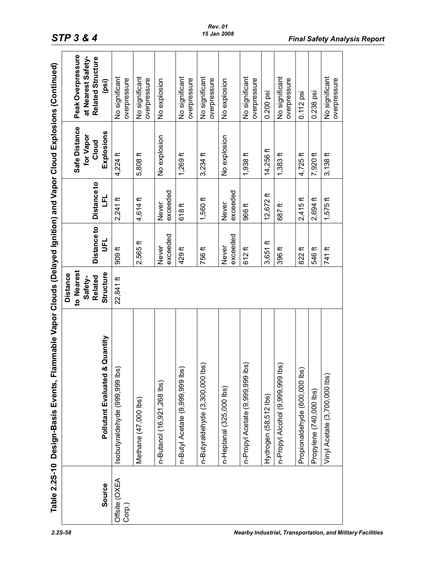| lammable Vapor Clouds (Delayed Ignition) and Vapor Cloud Explosions (Continued) | Peak Overpressure<br>at Nearest Safety-<br>Related Structure<br>(psi)<br>Safe Distance<br>Explosions<br>for Vapor<br>Cloud | No significant<br>overpressure    | No significant<br>overpressure | No explosion<br>No explosion | No significant<br>overpressure     | No significant<br>overpressure       | No explosion<br>No explosion      | No significant<br>overpressure            | 0.200 psi                | No significant<br>overpressure      | $0.112$ psi                   | 0.238 psi               | No significant                |
|---------------------------------------------------------------------------------|----------------------------------------------------------------------------------------------------------------------------|-----------------------------------|--------------------------------|------------------------------|------------------------------------|--------------------------------------|-----------------------------------|-------------------------------------------|--------------------------|-------------------------------------|-------------------------------|-------------------------|-------------------------------|
|                                                                                 | Distance to<br>E,                                                                                                          | 4,224 ft                          | 5,808 ft                       | exceeded                     | $1,269$ ft                         | $3,234$ ft                           | exceeded                          | $1,938$ ft                                | 14,256 ft<br>$12,672$ ft | $1,383$ ft                          | $4,725$ ft                    | 7,920 ft                | $3,138$ ft                    |
|                                                                                 | <b>Distance to</b><br>$\vec{5}$                                                                                            | $2,241$ ft<br>909 <sup>th</sup>   | 4,614ft<br>$2,565$ ft          | Never<br>exceeded<br>Never   | 618ft<br>429ft                     | $1,560$ ft<br>756 ft                 | <b>Never</b><br>exceeded<br>Never | 966 <sup>ft</sup><br>$612$ ft             | $\pm$<br>3,651           | 687 ft<br>396 ft                    | $2,415$ ft<br>$822$ ft        | $2,694$ ft<br>546 ft    | $1,575$ ft<br>741 ft          |
|                                                                                 | to Nearest<br>Structure<br><b>Distance</b><br>Related<br>Safety-                                                           | 22,841 ft                         |                                |                              |                                    |                                      |                                   |                                           |                          |                                     |                               |                         |                               |
| Table 2.2S-10 Design-Basis Events, Fl                                           | & Quantity<br><b>Pollutant Evaluated</b>                                                                                   | ଜ<br>lsobutyraldehyde (999,999 lb | Methane (47,000 lbs)           | n-Butanol (16,921,268 lbs)   | ଇ<br>n-Butyl Acetate (9,999,999 lb | ີ SQ<br>n-Butyraldehyde (3,300,000 l | n-Heptanal (325,000 lbs)          | <u>ໂຮງ</u><br>n-Propyl Acetate (9,999,999 | Hydrogen (58,512 lbs)    | ີ ໂອ<br>n-Propyl Alcohol (9,999,69) | Propionaldehyde (600,000 lbs) | Propylene (740,000 lbs) | Vinyl Acetate (3,700,000 lbs) |
|                                                                                 | Source                                                                                                                     | Offsite (OXEA<br>Corp.)           |                                |                              |                                    |                                      |                                   |                                           |                          |                                     |                               |                         |                               |

#### *Rev. 01 15 Jan 2008*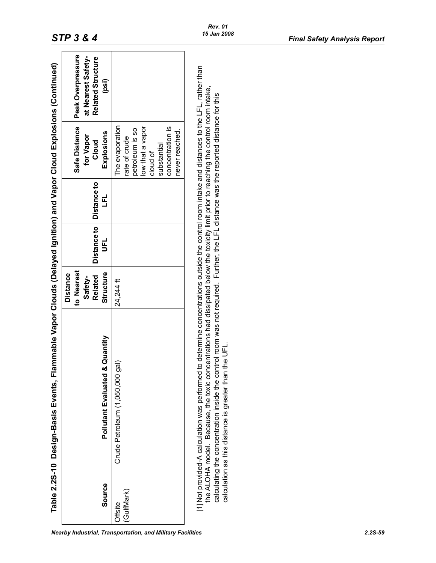|                       | ammable Vapor Clouds (Delayed Ignition) and Vapor Cloud Explosions (Continued)<br>Table 2.2S-10 Design-Basis Events, Fl                                                                                                                                                                                                                                                                                                                                                                  |                                                                  |                               |                   |                                                                                                                                          |                                                                       |
|-----------------------|------------------------------------------------------------------------------------------------------------------------------------------------------------------------------------------------------------------------------------------------------------------------------------------------------------------------------------------------------------------------------------------------------------------------------------------------------------------------------------------|------------------------------------------------------------------|-------------------------------|-------------------|------------------------------------------------------------------------------------------------------------------------------------------|-----------------------------------------------------------------------|
| Source                | Pollutant Evaluated & Quantity                                                                                                                                                                                                                                                                                                                                                                                                                                                           | to Nearest<br>Structure<br><b>Distance</b><br>Related<br>Safety- | <b>Distance to</b><br>มี<br>5 | Distance to<br>Ľ, | Safe Distance<br>Explosions<br>for Vapor<br>Cloud                                                                                        | Peak Overpressure<br>at Nearest Safety-<br>Related Structure<br>(psi) |
| (GulfMark)<br>Offsite | gal)<br>Crude Petroleum (1,050,000                                                                                                                                                                                                                                                                                                                                                                                                                                                       | 24,244 ft                                                        |                               |                   | The evaporation<br>low that a vapor<br>concentration is<br>petroleum is so<br>never reached.<br>rate of crude<br>substantial<br>cloud of |                                                                       |
|                       | [1] Not provided-A calculation was performed to determine concentrations outside the control room intake and distances to the LFL, rather than<br>the ALOHA model. Because, the toxic concentrations had dissipated below the toxicity limit prior to reaching the control room intake,<br>calculating the concentration inside the control room was not required. Further, the LFL distance was the reported distance for this<br>calculation as this distance is greater than the UFL. |                                                                  |                               |                   |                                                                                                                                          |                                                                       |

<span id="page-58-0"></span>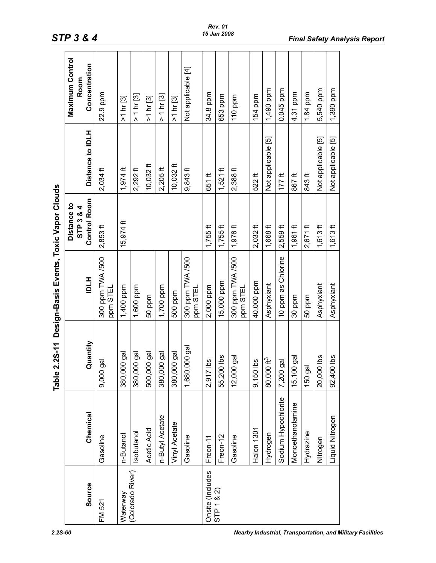<span id="page-59-0"></span>

|                                |                     | $2.2S-11$<br>Table     | Design-Basis Events, Toxic Vapor Clouds |                          |                    |                                |
|--------------------------------|---------------------|------------------------|-----------------------------------------|--------------------------|--------------------|--------------------------------|
|                                |                     |                        |                                         | Distance to<br>STP 3 & 4 |                    | <b>Maximum Control</b><br>Room |
| Source                         | Chemical            | Quantity               | <b>HTQI</b>                             | <b>Control Room</b>      | Distance to IDLH   | Concentration                  |
| FM 521                         | Gasoline            | ā<br>9,000             | 300 ppm TWA /500<br>ppm STEL            | $2,853$ ft               | $2,034$ ft         | 22.9 ppm                       |
| Waterway                       | n-Butanol           | 380,000 gal            | 1,400 ppm                               | $15,974$ ft              | $1,974$ ft         | >1 hr [3]                      |
| (Colorado River)               | Isobutanol          | 380,000 gal            | 1,600 ppm                               |                          | $2,292$ ft         | > 1 hr [3]                     |
|                                | Acetic Acid         | 500,000 gal            | 50 ppm                                  |                          | $10,032$ ft        | >1 hr [3]                      |
|                                | n-Butyl Acetate     | 380,000 gal            | 1,700 ppm                               |                          | $2,205$ ft         | $>1 \text{ hr}$ [3]            |
|                                | Vinyl Acetate       | 380,000 gal            | 500 ppm                                 |                          | 10,032 ft          | >1 hr [3]                      |
|                                | Gasoline            | 1,680,000 gal          | 300 ppm TWA /500<br>ppm STEL            |                          | $9,843$ ft         | Not applicable [4]             |
| Onsite (Includes<br>STP 1 & 2) | Freon-11            | <u>Sq</u><br>2,917     | 2,000 ppm                               | $1,755$ ft               | 651 ft             | 34.8 ppm                       |
|                                | Freon-12            | 55,200 lbs             | 15,000 ppm                              | $1,755$ ft               | $1,521$ ft         | 653 ppm                        |
|                                | Gasoline            | 12,000 gal             | 300 ppm TWA /500<br>ppm STEL            | 1,976 ft                 | $2,388$ ft         | 110 ppm                        |
|                                | Halon 1301          | <u>sq</u><br>9,150     | 40,000 ppm                              | $2,032$ ft               | $522$ ft           | 154 ppm                        |
|                                | Hydrogen            | 80,000 ft <sup>3</sup> | Asphyxiant                              | 1,668 ft                 | Not applicable [5] | 1,490 ppm                      |
|                                | Sodium Hypochlorite | gal<br>7,200           | 10 ppm as Chlorine                      | $2,559$ ft               | $177$ ft           | 0.045 ppm                      |
|                                | Monoethanolamine    | 15,100 gal             | 30 ppm                                  | $1,961$ ft               | 867ft              | 4.31 ppm                       |
|                                | Hydrazine           | 150 gal                | 50 ppm                                  | $2,671$ ft               | 843 ft             | 1.84 ppm                       |
|                                | Nitrogen            | 20,000 lbs             | Asphyxiant                              | $1,613$ ft               | Not applicable [5] | 5,540 ppm                      |
|                                | Liquid Nitrogen     | 92,400 lbs             | Asphyxiant                              | $1,613$ ft               | Not applicable [5] | 1,390 ppm                      |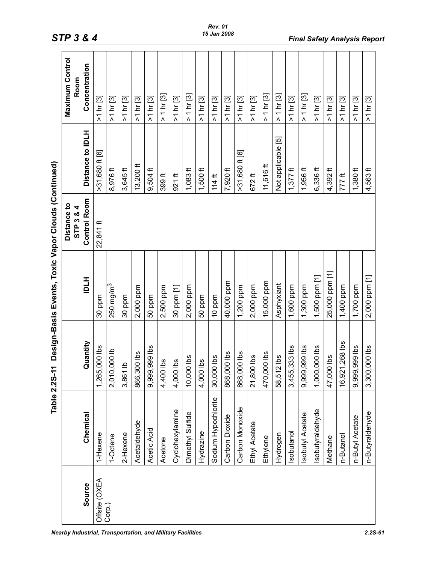|                                                     | Maximum Control<br>Room  | Concentration       | >1 hr [3]        | >1 hr [3]      | >1 hr [3]               | >1 hr [3]    | >1 hr [3]     | $1 \text{ hr}$ [3]<br>$\boldsymbol{\wedge}$ | >1 hr [3]       | $1 \text{ hr}$ [3]<br>Λ | >1 hr [3]  | >1 hr [3]           | >1 hr [3]      | >1 hr [3]        | >1 hr [3]     | $1 \text{ hr}$ [3]<br>$\Lambda$ | $1 \text{ hr}$ [3]<br>$\Lambda$ | >1 hr [3]     | 1 hr [3]<br>Λ   | >1 hr [3]       | >1 hr [3]      | >1 hr [3]      | >1 hr [3]       | >1 hr [3]       |
|-----------------------------------------------------|--------------------------|---------------------|------------------|----------------|-------------------------|--------------|---------------|---------------------------------------------|-----------------|-------------------------|------------|---------------------|----------------|------------------|---------------|---------------------------------|---------------------------------|---------------|-----------------|-----------------|----------------|----------------|-----------------|-----------------|
|                                                     |                          | Distance to IDLH    | $>31,680$ ft [6] | 8,976 ft       | $3,645$ ft              | $13,200$ ft  | $9,504$ ft    | 399 <sup>ft</sup>                           | $921$ ft        | $1,083$ ft              | $1,500$ ft | $114$ ft            | 7,920 ft       | $>31,680$ ft [6] | $672$ ft      | 11,616 ft                       | Not applicable [5]              | $1,377$ ft    | $1,956$ ft      | $6,336$ ft      | $4,392$ ft     | 777 ft         | $1,380$ ft      | 4,563 ft        |
|                                                     | Distance to<br>STP 3 & 4 | <b>Control Room</b> | 22,841 ft        |                |                         |              |               |                                             |                 |                         |            |                     |                |                  |               |                                 |                                 |               |                 |                 |                |                |                 |                 |
| Design-Basis Events, Toxic Vapor Clouds (Continued) |                          | HTQI                | 30 ppm           | $250$ mg/m $3$ | 30 ppm                  | 2,000 ppm    | 50 ppm        | 2,500 ppm                                   | 30 ppm [1]      | 2,000 ppm               | 50 ppm     | 10 ppm              | 40,000 ppm     | 1,200 ppm        | 2,000 ppm     | 15,000 ppm                      | Asphyxiant                      | 1,600 ppm     | 1,300 ppm       | 1,500 ppm [1]   | 25,000 ppm [1] | 1,400 ppm      | 1,700 ppm       | 2,000 ppm [1]   |
| Table 2.2S-11                                       |                          | Quantity            | 1,265,000 lbs    | 2,010,000 lb   | $\overline{a}$<br>3,861 | 866,300 lbs  | 9,999,999 lbs | 4,400 lbs                                   | 4,000 lbs       | 10,000 lbs              | 4,000 lbs  | 30,000 lbs          | 868,000 lbs    | 868,000 lbs      | 21,800 lbs    | 470,000 lbs                     | $12$ lbs<br>58,51               | 3,455,333 lbs | 9,999,999 lbs   | 1,000,000 lbs   | 47,000 lbs     | 16,921,268 lbs | 9,999,999 lbs   | 3,300,000 lbs   |
|                                                     |                          | Chemical            | 1-Hexene         | 1-Octene       | 2-Hexene                | Acetaldehyde | Acetic Acid   | Acetone                                     | Cyclohexylamine | Dimethyl Sulfide        | Hydrazine  | Sodium Hypochlorite | Carbon Dioxide | Carbon Monoxide  | Ethyl Acetate | Ethylene                        | Hydrogen                        | sobutanol     | sobutyl Acetate | sobutyraldehyde | Methane        | n-Butanol      | n-Butyl Acetate | n-Butyraldehyde |
|                                                     |                          | Source              | Offsite (OXEA    | Corp.)         |                         |              |               |                                             |                 |                         |            |                     |                |                  |               |                                 |                                 |               |                 |                 |                |                |                 |                 |

*Nearby Industrial, Transportation, and Military Facilities 2.2S-61*

*STP 3 & 4 Final Safety Analysis Report*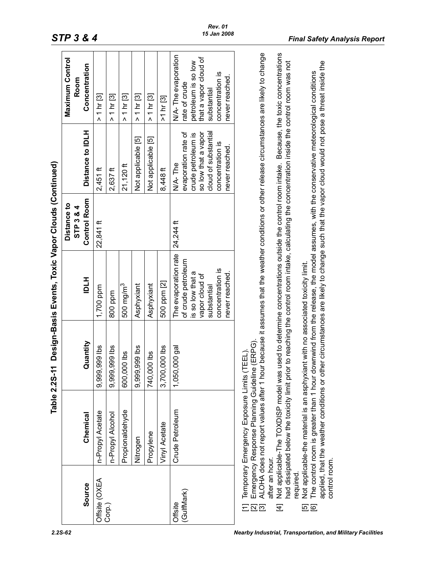|                                                                      |                                                                                                                                                                                                                                                                         | Table 2.2S-11 | Design-Basis Events, Toxic Vapor Clouds (Continued)                                                |                          |                                                                                                     |                                                                                                     |
|----------------------------------------------------------------------|-------------------------------------------------------------------------------------------------------------------------------------------------------------------------------------------------------------------------------------------------------------------------|---------------|----------------------------------------------------------------------------------------------------|--------------------------|-----------------------------------------------------------------------------------------------------|-----------------------------------------------------------------------------------------------------|
|                                                                      |                                                                                                                                                                                                                                                                         |               |                                                                                                    | Distance to<br>STP 3 & 4 |                                                                                                     | Maximum Control<br>Room                                                                             |
| Source                                                               | Chemical                                                                                                                                                                                                                                                                | Quantity      | HTDI                                                                                               | <b>Control Room</b>      | Distance to IDLH                                                                                    | Concentration                                                                                       |
| Offsite (OXEA                                                        | n-Propyl Acetate                                                                                                                                                                                                                                                        | 9,999,999 lbs | 1,700 ppm                                                                                          | 22,841 ft                | $2,451$ ft                                                                                          | 1 hr [3]<br>1<br>$\Lambda$                                                                          |
| Corp.)                                                               | n-Propyl Alcohol                                                                                                                                                                                                                                                        | 9,999,999 lbs | 800 ppm                                                                                            |                          | $2,637$ ft                                                                                          | > 1 hr [3]                                                                                          |
|                                                                      | Propionaldehyde                                                                                                                                                                                                                                                         | 600,000 lbs   | 500 mg/m <sup>3</sup>                                                                              |                          | $21,120$ ft                                                                                         | > 1 hr [3]                                                                                          |
|                                                                      | Nitrogen                                                                                                                                                                                                                                                                | 9,999,999 lbs | Asphyxiant                                                                                         |                          | Not applicable [5]                                                                                  | $>1$ hr [3]                                                                                         |
|                                                                      | Propylene                                                                                                                                                                                                                                                               | 740,000 lbs   | Asphyxiant                                                                                         |                          | Not applicable [5]                                                                                  | > 1 hr [3]                                                                                          |
|                                                                      | Vinyl Acetate                                                                                                                                                                                                                                                           | 3,700,000 lbs | 500 ppm [2]                                                                                        |                          | 8,448 ft                                                                                            | >1 hr [3]                                                                                           |
| (GulfMark)<br>Offsite                                                | Crude Petroleum                                                                                                                                                                                                                                                         | 1,050,000 gal | The evaporation rate<br>of crude petroleum<br>is so low that a<br>vapor cloud of<br>substantial    | 24,244 ft                | cloud of substantial<br>evaporation rate of<br>so low that a vapor<br>crude petroleum is<br>N/A-The | N/A-The evaporation<br>that a vapor cloud of<br>petroleum is so low<br>rate of crude<br>substantial |
|                                                                      |                                                                                                                                                                                                                                                                         |               | concentration is<br>never reached.                                                                 |                          | concentration is<br>never reached.                                                                  | concentration is<br>never reached.                                                                  |
| after an hour.<br>$\overline{\mathbb{Z}}$<br>$\overline{\mathbb{C}}$ | ALOHA does not report values after 1 hour because it assumes that the weather conditions or other release circumstances are likely to change<br>Emergency Response Planning Guideline (ERPG)<br>Temporary Emergency Exposure Limits (T                                  | TEEL)         |                                                                                                    |                          |                                                                                                     |                                                                                                     |
| required.<br>王                                                       | had dissipated below the toxicity limit prior to reaching the control room intake, calculating the concentration inside the control room was not<br>Not applicable-The TOXDISP model was                                                                                |               |                                                                                                    |                          |                                                                                                     | used to determine concentrations outside the control room intake. Because, the toxic concentrations |
| control room.                                                        | The control room is greater than 1 hour downwind from the release, the model assumes, with the conservative meteorological conditions<br>Not applicable-the material is an asphyxiant with no associated toxicity limit.<br>applied, that the weather conditions or oth |               | er circumstances are likely to change such that the vapor cloud would not pose a threat inside the |                          |                                                                                                     |                                                                                                     |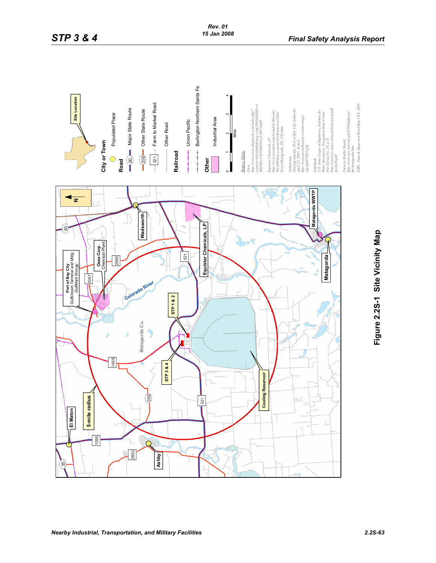

<span id="page-62-0"></span>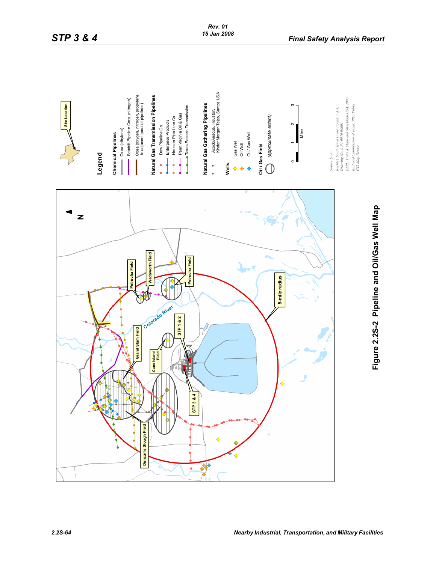

# Figure 2.2S-2 Pipeline and Oil/Gas Well Map **Figure 2.2S-2 Pipeline and Oil/Gas Well Map**

<span id="page-63-0"></span>*2.2S-64 Nearby Industrial, Transportation, and Military Facilities*